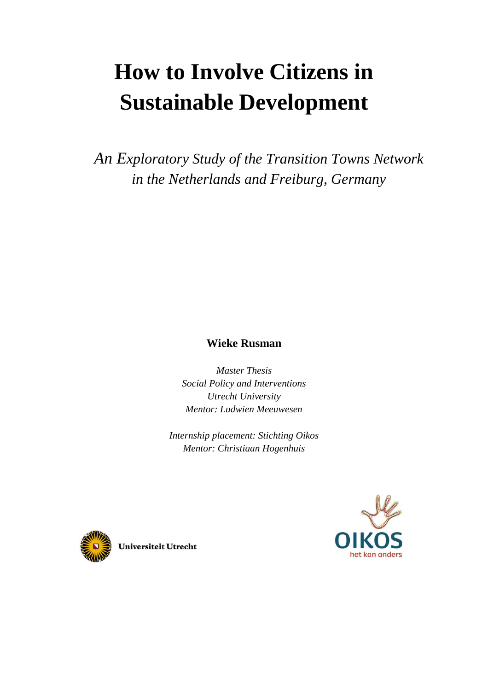# **How to Involve Citizens in Sustainable Development**

*An Exploratory Study of the Transition Towns Network in the Netherlands and Freiburg, Germany*

### **Wieke Rusman**

*Master Thesis Social Policy and Interventions Utrecht University Mentor: Ludwien Meeuwesen* 

*Internship placement: Stichting Oikos Mentor: Christiaan Hogenhuis* 





Universiteit Utrecht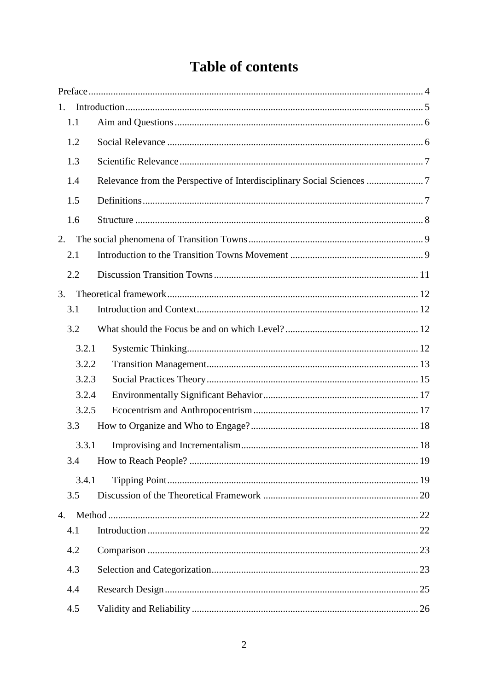# **Table of contents**

| 1.             |  |
|----------------|--|
| 1.1            |  |
| 1.2            |  |
| 1.3            |  |
| 1.4            |  |
| 1.5            |  |
| 1.6            |  |
| 2.             |  |
| 2.1            |  |
| 2.2            |  |
| 3.             |  |
| 3.1            |  |
| 3.2            |  |
| 3.2.1          |  |
| 3.2.2          |  |
| 3.2.3          |  |
| 3.2.4          |  |
| 3.2.5          |  |
| 3.3            |  |
| 3.3.1          |  |
| 3.4            |  |
| 3.4.1          |  |
| 3.5            |  |
| $\mathbf{4}$ . |  |
| 4.1            |  |
| 4.2            |  |
| 4.3            |  |
| 4.4            |  |
| 4.5            |  |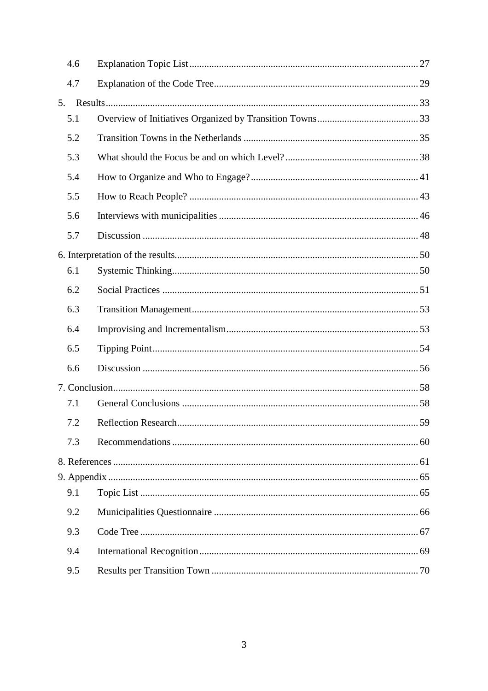| 4.6 |                     |    |
|-----|---------------------|----|
| 4.7 |                     |    |
| 5.  |                     |    |
| 5.1 |                     |    |
| 5.2 |                     |    |
| 5.3 |                     |    |
| 5.4 |                     |    |
| 5.5 |                     |    |
| 5.6 |                     |    |
| 5.7 |                     |    |
|     |                     |    |
| 6.1 |                     |    |
| 6.2 |                     |    |
| 6.3 |                     |    |
| 6.4 |                     |    |
| 6.5 |                     |    |
| 6.6 |                     |    |
|     |                     |    |
| 7.1 |                     |    |
| 7.2 | Reflection Research | 59 |
| 7.3 |                     |    |
|     |                     |    |
|     |                     |    |
| 9.1 |                     |    |
| 9.2 |                     |    |
| 9.3 |                     |    |
| 9.4 |                     |    |
| 9.5 |                     |    |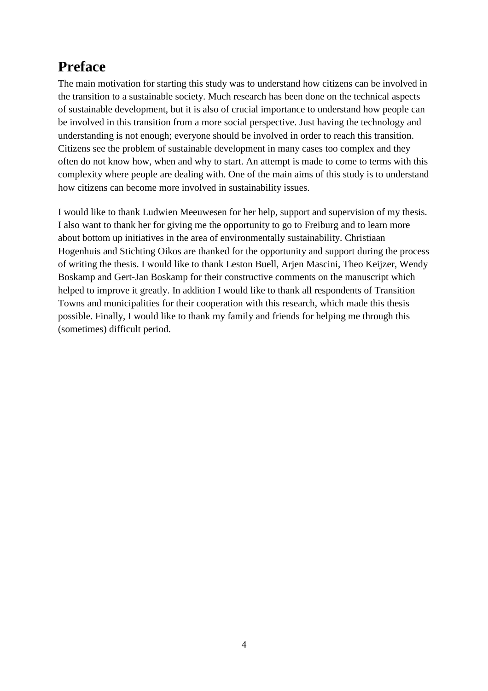# **Preface**

The main motivation for starting this study was to understand how citizens can be involved in the transition to a sustainable society. Much research has been done on the technical aspects of sustainable development, but it is also of crucial importance to understand how people can be involved in this transition from a more social perspective. Just having the technology and understanding is not enough; everyone should be involved in order to reach this transition. Citizens see the problem of sustainable development in many cases too complex and they often do not know how, when and why to start. An attempt is made to come to terms with this complexity where people are dealing with. One of the main aims of this study is to understand how citizens can become more involved in sustainability issues.

I would like to thank Ludwien Meeuwesen for her help, support and supervision of my thesis. I also want to thank her for giving me the opportunity to go to Freiburg and to learn more about bottom up initiatives in the area of environmentally sustainability. Christiaan Hogenhuis and Stichting Oikos are thanked for the opportunity and support during the process of writing the thesis. I would like to thank Leston Buell, Arjen Mascini, Theo Keijzer, Wendy Boskamp and Gert-Jan Boskamp for their constructive comments on the manuscript which helped to improve it greatly. In addition I would like to thank all respondents of Transition Towns and municipalities for their cooperation with this research, which made this thesis possible. Finally, I would like to thank my family and friends for helping me through this (sometimes) difficult period.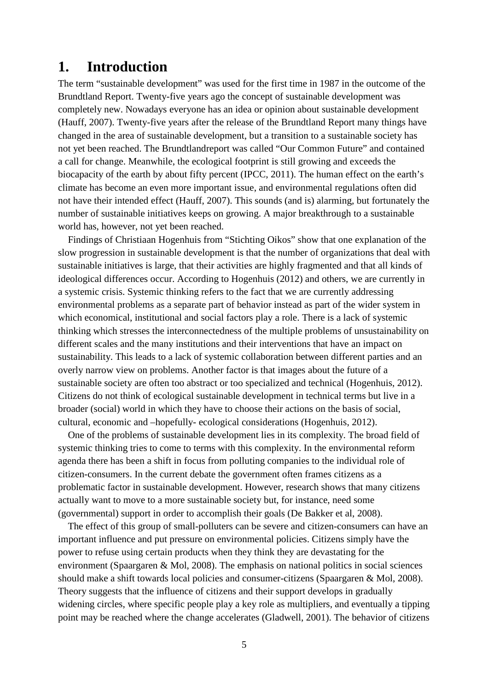### **1. Introduction**

The term "sustainable development" was used for the first time in 1987 in the outcome of the Brundtland Report. Twenty-five years ago the concept of sustainable development was completely new. Nowadays everyone has an idea or opinion about sustainable development (Hauff, 2007). Twenty-five years after the release of the Brundtland Report many things have changed in the area of sustainable development, but a transition to a sustainable society has not yet been reached. The Brundtlandreport was called "Our Common Future" and contained a call for change. Meanwhile, the ecological footprint is still growing and exceeds the biocapacity of the earth by about fifty percent (IPCC, 2011). The human effect on the earth's climate has become an even more important issue, and environmental regulations often did not have their intended effect (Hauff, 2007). This sounds (and is) alarming, but fortunately the number of sustainable initiatives keeps on growing. A major breakthrough to a sustainable world has, however, not yet been reached.

 Findings of Christiaan Hogenhuis from "Stichting Oikos" show that one explanation of the slow progression in sustainable development is that the number of organizations that deal with sustainable initiatives is large, that their activities are highly fragmented and that all kinds of ideological differences occur. According to Hogenhuis (2012) and others, we are currently in a systemic crisis. Systemic thinking refers to the fact that we are currently addressing environmental problems as a separate part of behavior instead as part of the wider system in which economical, institutional and social factors play a role. There is a lack of systemic thinking which stresses the interconnectedness of the multiple problems of unsustainability on different scales and the many institutions and their interventions that have an impact on sustainability. This leads to a lack of systemic collaboration between different parties and an overly narrow view on problems. Another factor is that images about the future of a sustainable society are often too abstract or too specialized and technical (Hogenhuis, 2012). Citizens do not think of ecological sustainable development in technical terms but live in a broader (social) world in which they have to choose their actions on the basis of social, cultural, economic and –hopefully- ecological considerations (Hogenhuis, 2012).

 One of the problems of sustainable development lies in its complexity. The broad field of systemic thinking tries to come to terms with this complexity. In the environmental reform agenda there has been a shift in focus from polluting companies to the individual role of citizen-consumers. In the current debate the government often frames citizens as a problematic factor in sustainable development. However, research shows that many citizens actually want to move to a more sustainable society but, for instance, need some (governmental) support in order to accomplish their goals (De Bakker et al, 2008).

 The effect of this group of small-polluters can be severe and citizen-consumers can have an important influence and put pressure on environmental policies. Citizens simply have the power to refuse using certain products when they think they are devastating for the environment (Spaargaren & Mol, 2008). The emphasis on national politics in social sciences should make a shift towards local policies and consumer-citizens (Spaargaren & Mol, 2008). Theory suggests that the influence of citizens and their support develops in gradually widening circles, where specific people play a key role as multipliers, and eventually a tipping point may be reached where the change accelerates (Gladwell, 2001). The behavior of citizens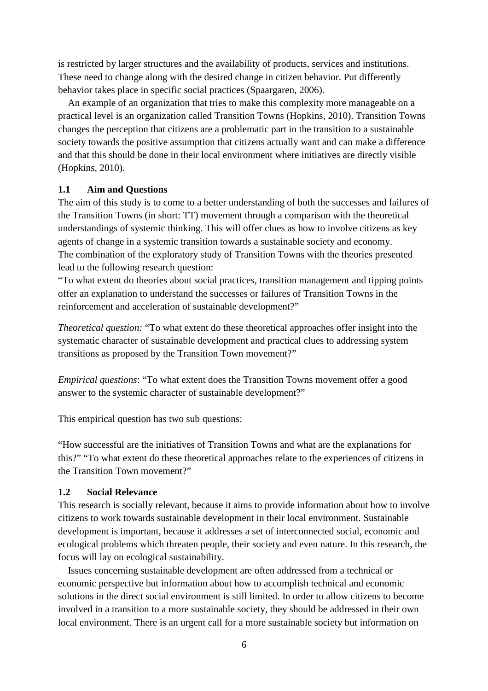is restricted by larger structures and the availability of products, services and institutions. These need to change along with the desired change in citizen behavior. Put differently behavior takes place in specific social practices (Spaargaren, 2006).

 An example of an organization that tries to make this complexity more manageable on a practical level is an organization called Transition Towns (Hopkins, 2010). Transition Towns changes the perception that citizens are a problematic part in the transition to a sustainable society towards the positive assumption that citizens actually want and can make a difference and that this should be done in their local environment where initiatives are directly visible (Hopkins, 2010).

#### **1.1 Aim and Questions**

The aim of this study is to come to a better understanding of both the successes and failures of the Transition Towns (in short: TT) movement through a comparison with the theoretical understandings of systemic thinking. This will offer clues as how to involve citizens as key agents of change in a systemic transition towards a sustainable society and economy. The combination of the exploratory study of Transition Towns with the theories presented lead to the following research question:

"To what extent do theories about social practices, transition management and tipping points offer an explanation to understand the successes or failures of Transition Towns in the reinforcement and acceleration of sustainable development?"

*Theoretical question:* "To what extent do these theoretical approaches offer insight into the systematic character of sustainable development and practical clues to addressing system transitions as proposed by the Transition Town movement?"

*Empirical questions*: "To what extent does the Transition Towns movement offer a good answer to the systemic character of sustainable development?"

This empirical question has two sub questions:

"How successful are the initiatives of Transition Towns and what are the explanations for this?" "To what extent do these theoretical approaches relate to the experiences of citizens in the Transition Town movement?"

#### **1.2 Social Relevance**

This research is socially relevant, because it aims to provide information about how to involve citizens to work towards sustainable development in their local environment. Sustainable development is important, because it addresses a set of interconnected social, economic and ecological problems which threaten people, their society and even nature. In this research, the focus will lay on ecological sustainability.

 Issues concerning sustainable development are often addressed from a technical or economic perspective but information about how to accomplish technical and economic solutions in the direct social environment is still limited. In order to allow citizens to become involved in a transition to a more sustainable society, they should be addressed in their own local environment. There is an urgent call for a more sustainable society but information on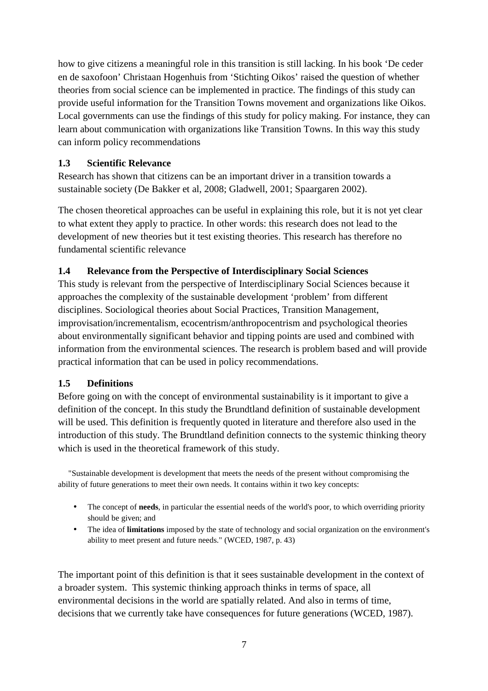how to give citizens a meaningful role in this transition is still lacking. In his book 'De ceder en de saxofoon' Christaan Hogenhuis from 'Stichting Oikos' raised the question of whether theories from social science can be implemented in practice. The findings of this study can provide useful information for the Transition Towns movement and organizations like Oikos. Local governments can use the findings of this study for policy making. For instance, they can learn about communication with organizations like Transition Towns. In this way this study can inform policy recommendations

#### **1.3 Scientific Relevance**

Research has shown that citizens can be an important driver in a transition towards a sustainable society (De Bakker et al, 2008; Gladwell, 2001; Spaargaren 2002).

The chosen theoretical approaches can be useful in explaining this role, but it is not yet clear to what extent they apply to practice. In other words: this research does not lead to the development of new theories but it test existing theories. This research has therefore no fundamental scientific relevance

#### **1.4 Relevance from the Perspective of Interdisciplinary Social Sciences**

This study is relevant from the perspective of Interdisciplinary Social Sciences because it approaches the complexity of the sustainable development 'problem' from different disciplines. Sociological theories about Social Practices, Transition Management, improvisation/incrementalism, ecocentrism/anthropocentrism and psychological theories about environmentally significant behavior and tipping points are used and combined with information from the environmental sciences. The research is problem based and will provide practical information that can be used in policy recommendations.

#### **1.5 Definitions**

Before going on with the concept of environmental sustainability is it important to give a definition of the concept. In this study the Brundtland definition of sustainable development will be used. This definition is frequently quoted in literature and therefore also used in the introduction of this study. The Brundtland definition connects to the systemic thinking theory which is used in the theoretical framework of this study.

 "Sustainable development is development that meets the needs of the present without compromising the ability of future generations to meet their own needs. It contains within it two key concepts:

- The concept of **needs**, in particular the essential needs of the world's poor, to which overriding priority should be given; and
- The idea of **limitations** imposed by the state of technology and social organization on the environment's ability to meet present and future needs." (WCED, 1987, p. 43)

The important point of this definition is that it sees sustainable development in the context of a broader system. This systemic thinking approach thinks in terms of space, all environmental decisions in the world are spatially related. And also in terms of time, decisions that we currently take have consequences for future generations (WCED, 1987).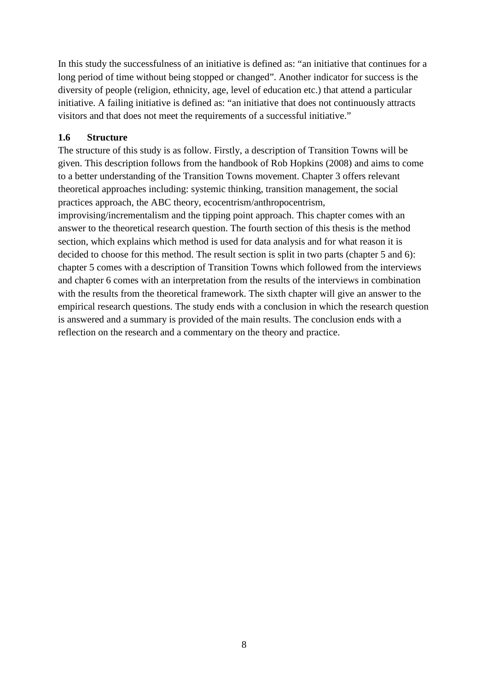In this study the successfulness of an initiative is defined as: "an initiative that continues for a long period of time without being stopped or changed". Another indicator for success is the diversity of people (religion, ethnicity, age, level of education etc.) that attend a particular initiative. A failing initiative is defined as: "an initiative that does not continuously attracts visitors and that does not meet the requirements of a successful initiative."

#### **1.6 Structure**

The structure of this study is as follow. Firstly, a description of Transition Towns will be given. This description follows from the handbook of Rob Hopkins (2008) and aims to come to a better understanding of the Transition Towns movement. Chapter 3 offers relevant theoretical approaches including: systemic thinking, transition management, the social practices approach, the ABC theory, ecocentrism/anthropocentrism,

improvising/incrementalism and the tipping point approach. This chapter comes with an answer to the theoretical research question. The fourth section of this thesis is the method section, which explains which method is used for data analysis and for what reason it is decided to choose for this method. The result section is split in two parts (chapter 5 and 6): chapter 5 comes with a description of Transition Towns which followed from the interviews and chapter 6 comes with an interpretation from the results of the interviews in combination with the results from the theoretical framework. The sixth chapter will give an answer to the empirical research questions. The study ends with a conclusion in which the research question is answered and a summary is provided of the main results. The conclusion ends with a reflection on the research and a commentary on the theory and practice.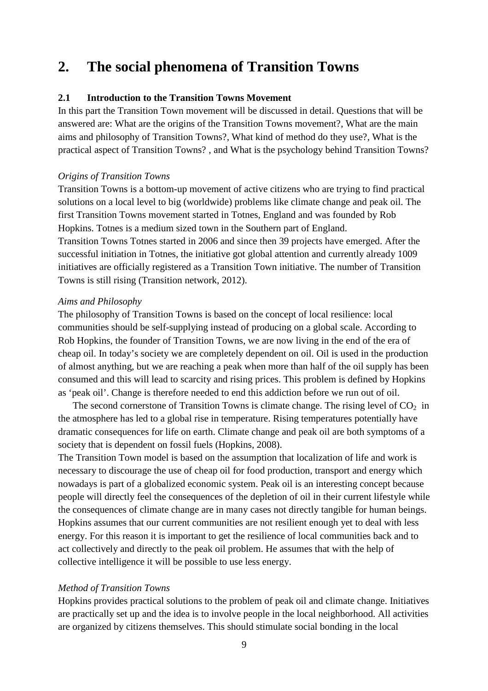# **2. The social phenomena of Transition Towns**

#### **2.1 Introduction to the Transition Towns Movement**

In this part the Transition Town movement will be discussed in detail. Questions that will be answered are: What are the origins of the Transition Towns movement?, What are the main aims and philosophy of Transition Towns?, What kind of method do they use?, What is the practical aspect of Transition Towns? , and What is the psychology behind Transition Towns?

#### *Origins of Transition Towns*

Transition Towns is a bottom-up movement of active citizens who are trying to find practical solutions on a local level to big (worldwide) problems like climate change and peak oil. The first Transition Towns movement started in Totnes, England and was founded by Rob Hopkins. Totnes is a medium sized town in the Southern part of England. Transition Towns Totnes started in 2006 and since then 39 projects have emerged. After the successful initiation in Totnes, the initiative got global attention and currently already 1009 initiatives are officially registered as a Transition Town initiative. The number of Transition Towns is still rising (Transition network, 2012).

#### *Aims and Philosophy*

The philosophy of Transition Towns is based on the concept of local resilience: local communities should be self-supplying instead of producing on a global scale. According to Rob Hopkins, the founder of Transition Towns, we are now living in the end of the era of cheap oil. In today's society we are completely dependent on oil. Oil is used in the production of almost anything, but we are reaching a peak when more than half of the oil supply has been consumed and this will lead to scarcity and rising prices. This problem is defined by Hopkins as 'peak oil'. Change is therefore needed to end this addiction before we run out of oil.

The second cornerstone of Transition Towns is climate change. The rising level of  $CO<sub>2</sub>$  in the atmosphere has led to a global rise in temperature. Rising temperatures potentially have dramatic consequences for life on earth. Climate change and peak oil are both symptoms of a society that is dependent on fossil fuels (Hopkins, 2008).

The Transition Town model is based on the assumption that localization of life and work is necessary to discourage the use of cheap oil for food production, transport and energy which nowadays is part of a globalized economic system. Peak oil is an interesting concept because people will directly feel the consequences of the depletion of oil in their current lifestyle while the consequences of climate change are in many cases not directly tangible for human beings. Hopkins assumes that our current communities are not resilient enough yet to deal with less energy. For this reason it is important to get the resilience of local communities back and to act collectively and directly to the peak oil problem. He assumes that with the help of collective intelligence it will be possible to use less energy.

#### *Method of Transition Towns*

Hopkins provides practical solutions to the problem of peak oil and climate change. Initiatives are practically set up and the idea is to involve people in the local neighborhood. All activities are organized by citizens themselves. This should stimulate social bonding in the local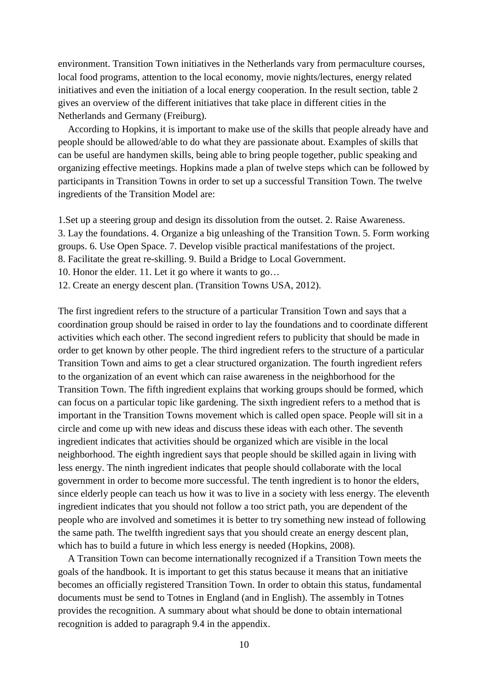environment. Transition Town initiatives in the Netherlands vary from permaculture courses, local food programs, attention to the local economy, movie nights/lectures, energy related initiatives and even the initiation of a local energy cooperation. In the result section, table 2 gives an overview of the different initiatives that take place in different cities in the Netherlands and Germany (Freiburg).

 According to Hopkins, it is important to make use of the skills that people already have and people should be allowed/able to do what they are passionate about. Examples of skills that can be useful are handymen skills, being able to bring people together, public speaking and organizing effective meetings. Hopkins made a plan of twelve steps which can be followed by participants in Transition Towns in order to set up a successful Transition Town. The twelve ingredients of the Transition Model are:

1.Set up a steering group and design its dissolution from the outset. 2. Raise Awareness. 3. Lay the foundations. 4. Organize a big unleashing of the Transition Town. 5. Form working groups. 6. Use Open Space. 7. Develop visible practical manifestations of the project. 8. Facilitate the great re-skilling. 9. Build a Bridge to Local Government.

10. Honor the elder. 11. Let it go where it wants to go…

12. Create an energy descent plan. (Transition Towns USA, 2012).

The first ingredient refers to the structure of a particular Transition Town and says that a coordination group should be raised in order to lay the foundations and to coordinate different activities which each other. The second ingredient refers to publicity that should be made in order to get known by other people. The third ingredient refers to the structure of a particular Transition Town and aims to get a clear structured organization. The fourth ingredient refers to the organization of an event which can raise awareness in the neighborhood for the Transition Town. The fifth ingredient explains that working groups should be formed, which can focus on a particular topic like gardening. The sixth ingredient refers to a method that is important in the Transition Towns movement which is called open space. People will sit in a circle and come up with new ideas and discuss these ideas with each other. The seventh ingredient indicates that activities should be organized which are visible in the local neighborhood. The eighth ingredient says that people should be skilled again in living with less energy. The ninth ingredient indicates that people should collaborate with the local government in order to become more successful. The tenth ingredient is to honor the elders, since elderly people can teach us how it was to live in a society with less energy. The eleventh ingredient indicates that you should not follow a too strict path, you are dependent of the people who are involved and sometimes it is better to try something new instead of following the same path. The twelfth ingredient says that you should create an energy descent plan, which has to build a future in which less energy is needed (Hopkins, 2008).

 A Transition Town can become internationally recognized if a Transition Town meets the goals of the handbook. It is important to get this status because it means that an initiative becomes an officially registered Transition Town. In order to obtain this status, fundamental documents must be send to Totnes in England (and in English). The assembly in Totnes provides the recognition. A summary about what should be done to obtain international recognition is added to paragraph 9.4 in the appendix.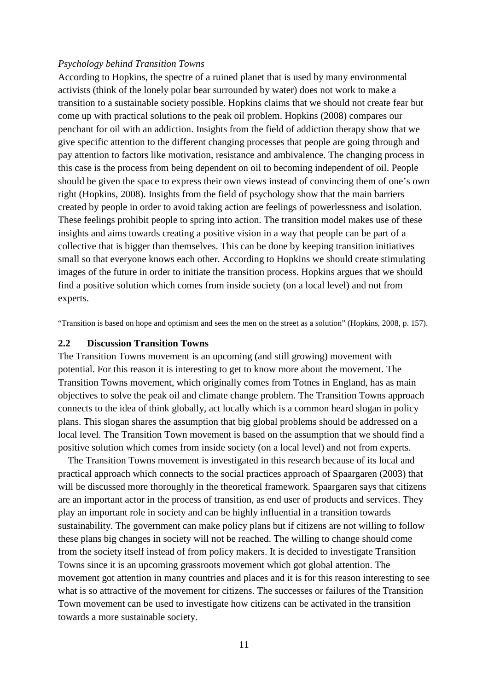#### *Psychology behind Transition Towns*

According to Hopkins, the spectre of a ruined planet that is used by many environmental activists (think of the lonely polar bear surrounded by water) does not work to make a transition to a sustainable society possible. Hopkins claims that we should not create fear but come up with practical solutions to the peak oil problem. Hopkins (2008) compares our penchant for oil with an addiction. Insights from the field of addiction therapy show that we give specific attention to the different changing processes that people are going through and pay attention to factors like motivation, resistance and ambivalence. The changing process in this case is the process from being dependent on oil to becoming independent of oil. People should be given the space to express their own views instead of convincing them of one's own right (Hopkins, 2008). Insights from the field of psychology show that the main barriers created by people in order to avoid taking action are feelings of powerlessness and isolation. These feelings prohibit people to spring into action. The transition model makes use of these insights and aims towards creating a positive vision in a way that people can be part of a collective that is bigger than themselves. This can be done by keeping transition initiatives small so that everyone knows each other. According to Hopkins we should create stimulating images of the future in order to initiate the transition process. Hopkins argues that we should find a positive solution which comes from inside society (on a local level) and not from experts.

"Transition is based on hope and optimism and sees the men on the street as a solution" (Hopkins, 2008, p. 157).

#### **2.2 Discussion Transition Towns**

The Transition Towns movement is an upcoming (and still growing) movement with potential. For this reason it is interesting to get to know more about the movement. The Transition Towns movement, which originally comes from Totnes in England, has as main objectives to solve the peak oil and climate change problem. The Transition Towns approach connects to the idea of think globally, act locally which is a common heard slogan in policy plans. This slogan shares the assumption that big global problems should be addressed on a local level. The Transition Town movement is based on the assumption that we should find a positive solution which comes from inside society (on a local level) and not from experts.

 The Transition Towns movement is investigated in this research because of its local and practical approach which connects to the social practices approach of Spaargaren (2003) that will be discussed more thoroughly in the theoretical framework. Spaargaren says that citizens are an important actor in the process of transition, as end user of products and services. They play an important role in society and can be highly influential in a transition towards sustainability. The government can make policy plans but if citizens are not willing to follow these plans big changes in society will not be reached. The willing to change should come from the society itself instead of from policy makers. It is decided to investigate Transition Towns since it is an upcoming grassroots movement which got global attention. The movement got attention in many countries and places and it is for this reason interesting to see what is so attractive of the movement for citizens. The successes or failures of the Transition Town movement can be used to investigate how citizens can be activated in the transition towards a more sustainable society.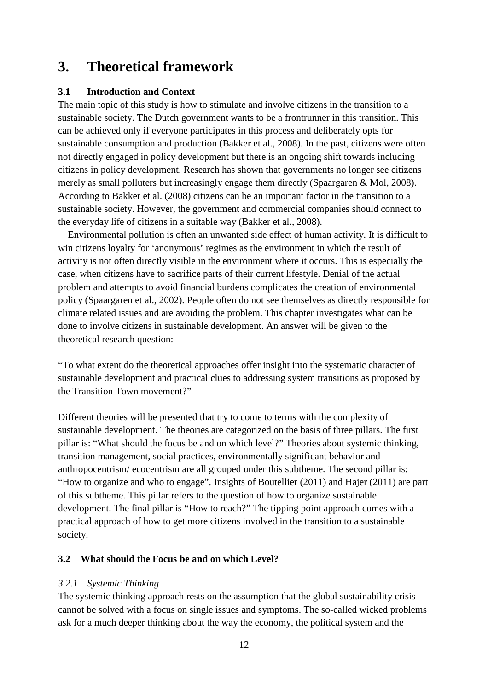# **3. Theoretical framework**

#### **3.1 Introduction and Context**

The main topic of this study is how to stimulate and involve citizens in the transition to a sustainable society. The Dutch government wants to be a frontrunner in this transition. This can be achieved only if everyone participates in this process and deliberately opts for sustainable consumption and production (Bakker et al., 2008). In the past, citizens were often not directly engaged in policy development but there is an ongoing shift towards including citizens in policy development. Research has shown that governments no longer see citizens merely as small polluters but increasingly engage them directly (Spaargaren & Mol, 2008). According to Bakker et al. (2008) citizens can be an important factor in the transition to a sustainable society. However, the government and commercial companies should connect to the everyday life of citizens in a suitable way (Bakker et al., 2008).

 Environmental pollution is often an unwanted side effect of human activity. It is difficult to win citizens loyalty for 'anonymous' regimes as the environment in which the result of activity is not often directly visible in the environment where it occurs. This is especially the case, when citizens have to sacrifice parts of their current lifestyle. Denial of the actual problem and attempts to avoid financial burdens complicates the creation of environmental policy (Spaargaren et al., 2002). People often do not see themselves as directly responsible for climate related issues and are avoiding the problem. This chapter investigates what can be done to involve citizens in sustainable development. An answer will be given to the theoretical research question:

"To what extent do the theoretical approaches offer insight into the systematic character of sustainable development and practical clues to addressing system transitions as proposed by the Transition Town movement?"

Different theories will be presented that try to come to terms with the complexity of sustainable development. The theories are categorized on the basis of three pillars. The first pillar is: "What should the focus be and on which level?" Theories about systemic thinking, transition management, social practices, environmentally significant behavior and anthropocentrism/ ecocentrism are all grouped under this subtheme. The second pillar is: "How to organize and who to engage". Insights of Boutellier (2011) and Hajer (2011) are part of this subtheme. This pillar refers to the question of how to organize sustainable development. The final pillar is "How to reach?" The tipping point approach comes with a practical approach of how to get more citizens involved in the transition to a sustainable society.

#### **3.2 What should the Focus be and on which Level?**

#### *3.2.1 Systemic Thinking*

The systemic thinking approach rests on the assumption that the global sustainability crisis cannot be solved with a focus on single issues and symptoms. The so-called wicked problems ask for a much deeper thinking about the way the economy, the political system and the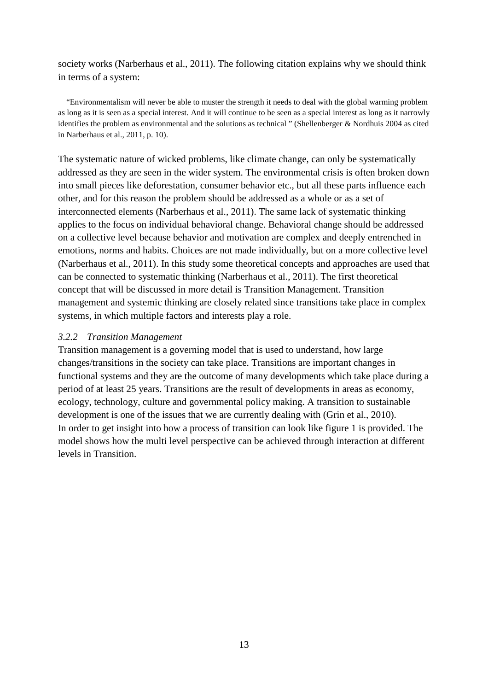society works (Narberhaus et al., 2011). The following citation explains why we should think in terms of a system:

 "Environmentalism will never be able to muster the strength it needs to deal with the global warming problem as long as it is seen as a special interest. And it will continue to be seen as a special interest as long as it narrowly identifies the problem as environmental and the solutions as technical " (Shellenberger & Nordhuis 2004 as cited in Narberhaus et al., 2011, p. 10).

The systematic nature of wicked problems, like climate change, can only be systematically addressed as they are seen in the wider system. The environmental crisis is often broken down into small pieces like deforestation, consumer behavior etc., but all these parts influence each other, and for this reason the problem should be addressed as a whole or as a set of interconnected elements (Narberhaus et al., 2011). The same lack of systematic thinking applies to the focus on individual behavioral change. Behavioral change should be addressed on a collective level because behavior and motivation are complex and deeply entrenched in emotions, norms and habits. Choices are not made individually, but on a more collective level (Narberhaus et al., 2011). In this study some theoretical concepts and approaches are used that can be connected to systematic thinking (Narberhaus et al., 2011). The first theoretical concept that will be discussed in more detail is Transition Management. Transition management and systemic thinking are closely related since transitions take place in complex systems, in which multiple factors and interests play a role.

#### *3.2.2 Transition Management*

Transition management is a governing model that is used to understand, how large changes/transitions in the society can take place. Transitions are important changes in functional systems and they are the outcome of many developments which take place during a period of at least 25 years. Transitions are the result of developments in areas as economy, ecology, technology, culture and governmental policy making. A transition to sustainable development is one of the issues that we are currently dealing with (Grin et al., 2010). In order to get insight into how a process of transition can look like figure 1 is provided. The model shows how the multi level perspective can be achieved through interaction at different levels in Transition.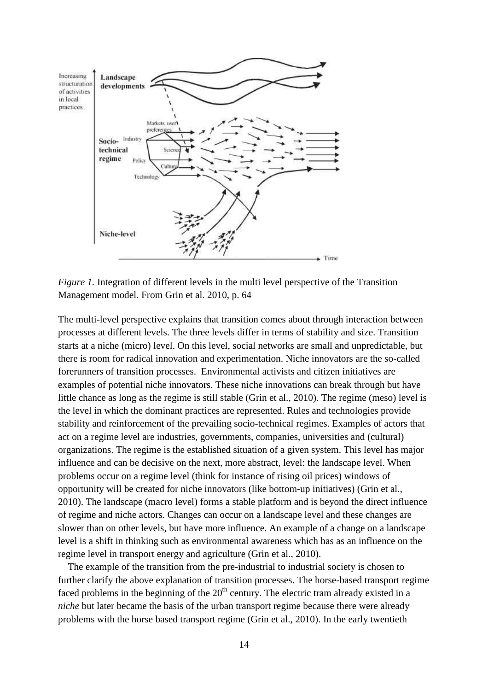

*Figure 1.* Integration of different levels in the multi level perspective of the Transition Management model. From Grin et al. 2010, p. 64

The multi-level perspective explains that transition comes about through interaction between processes at different levels. The three levels differ in terms of stability and size. Transition starts at a niche (micro) level. On this level, social networks are small and unpredictable, but there is room for radical innovation and experimentation. Niche innovators are the so-called forerunners of transition processes. Environmental activists and citizen initiatives are examples of potential niche innovators. These niche innovations can break through but have little chance as long as the regime is still stable (Grin et al., 2010). The regime (meso) level is the level in which the dominant practices are represented. Rules and technologies provide stability and reinforcement of the prevailing socio-technical regimes. Examples of actors that act on a regime level are industries, governments, companies, universities and (cultural) organizations. The regime is the established situation of a given system. This level has major influence and can be decisive on the next, more abstract, level: the landscape level. When problems occur on a regime level (think for instance of rising oil prices) windows of opportunity will be created for niche innovators (like bottom-up initiatives) (Grin et al., 2010). The landscape (macro level) forms a stable platform and is beyond the direct influence of regime and niche actors. Changes can occur on a landscape level and these changes are slower than on other levels, but have more influence. An example of a change on a landscape level is a shift in thinking such as environmental awareness which has as an influence on the regime level in transport energy and agriculture (Grin et al., 2010).

 The example of the transition from the pre-industrial to industrial society is chosen to further clarify the above explanation of transition processes. The horse-based transport regime faced problems in the beginning of the  $20<sup>th</sup>$  century. The electric tram already existed in a *niche* but later became the basis of the urban transport regime because there were already problems with the horse based transport regime (Grin et al., 2010). In the early twentieth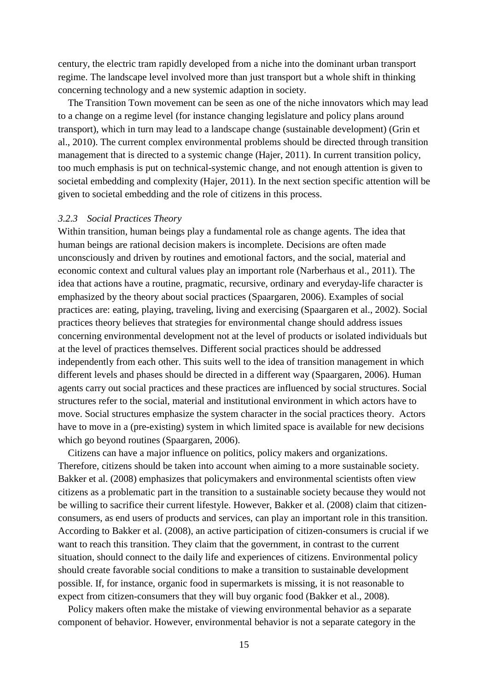century, the electric tram rapidly developed from a niche into the dominant urban transport regime. The landscape level involved more than just transport but a whole shift in thinking concerning technology and a new systemic adaption in society.

 The Transition Town movement can be seen as one of the niche innovators which may lead to a change on a regime level (for instance changing legislature and policy plans around transport), which in turn may lead to a landscape change (sustainable development) (Grin et al., 2010). The current complex environmental problems should be directed through transition management that is directed to a systemic change (Hajer, 2011). In current transition policy, too much emphasis is put on technical-systemic change, and not enough attention is given to societal embedding and complexity (Hajer, 2011). In the next section specific attention will be given to societal embedding and the role of citizens in this process.

#### *3.2.3 Social Practices Theory*

Within transition, human beings play a fundamental role as change agents. The idea that human beings are rational decision makers is incomplete. Decisions are often made unconsciously and driven by routines and emotional factors, and the social, material and economic context and cultural values play an important role (Narberhaus et al., 2011). The idea that actions have a routine, pragmatic, recursive, ordinary and everyday-life character is emphasized by the theory about social practices (Spaargaren, 2006). Examples of social practices are: eating, playing, traveling, living and exercising (Spaargaren et al., 2002). Social practices theory believes that strategies for environmental change should address issues concerning environmental development not at the level of products or isolated individuals but at the level of practices themselves. Different social practices should be addressed independently from each other. This suits well to the idea of transition management in which different levels and phases should be directed in a different way (Spaargaren, 2006). Human agents carry out social practices and these practices are influenced by social structures. Social structures refer to the social, material and institutional environment in which actors have to move. Social structures emphasize the system character in the social practices theory. Actors have to move in a (pre-existing) system in which limited space is available for new decisions which go beyond routines (Spaargaren, 2006).

 Citizens can have a major influence on politics, policy makers and organizations. Therefore, citizens should be taken into account when aiming to a more sustainable society. Bakker et al. (2008) emphasizes that policymakers and environmental scientists often view citizens as a problematic part in the transition to a sustainable society because they would not be willing to sacrifice their current lifestyle. However, Bakker et al. (2008) claim that citizenconsumers, as end users of products and services, can play an important role in this transition. According to Bakker et al. (2008), an active participation of citizen-consumers is crucial if we want to reach this transition. They claim that the government, in contrast to the current situation, should connect to the daily life and experiences of citizens. Environmental policy should create favorable social conditions to make a transition to sustainable development possible. If, for instance, organic food in supermarkets is missing, it is not reasonable to expect from citizen-consumers that they will buy organic food (Bakker et al., 2008).

 Policy makers often make the mistake of viewing environmental behavior as a separate component of behavior. However, environmental behavior is not a separate category in the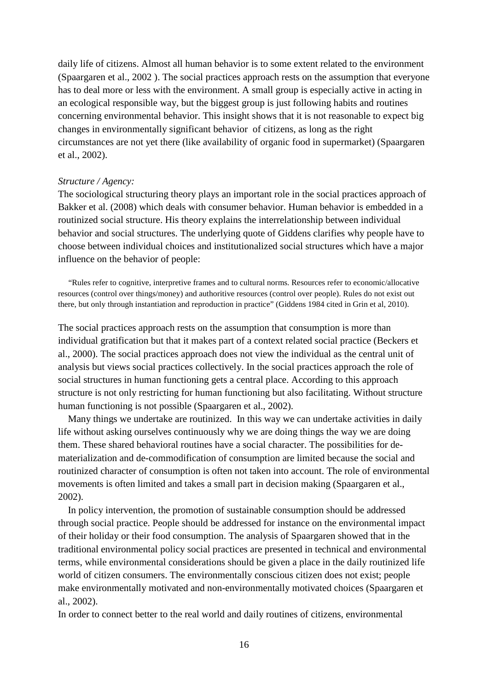daily life of citizens. Almost all human behavior is to some extent related to the environment (Spaargaren et al., 2002 ). The social practices approach rests on the assumption that everyone has to deal more or less with the environment. A small group is especially active in acting in an ecological responsible way, but the biggest group is just following habits and routines concerning environmental behavior. This insight shows that it is not reasonable to expect big changes in environmentally significant behavior of citizens, as long as the right circumstances are not yet there (like availability of organic food in supermarket) (Spaargaren et al., 2002).

#### *Structure / Agency:*

The sociological structuring theory plays an important role in the social practices approach of Bakker et al. (2008) which deals with consumer behavior. Human behavior is embedded in a routinized social structure. His theory explains the interrelationship between individual behavior and social structures. The underlying quote of Giddens clarifies why people have to choose between individual choices and institutionalized social structures which have a major influence on the behavior of people:

 "Rules refer to cognitive, interpretive frames and to cultural norms. Resources refer to economic/allocative resources (control over things/money) and authoritive resources (control over people). Rules do not exist out there, but only through instantiation and reproduction in practice" (Giddens 1984 cited in Grin et al, 2010).

The social practices approach rests on the assumption that consumption is more than individual gratification but that it makes part of a context related social practice (Beckers et al., 2000). The social practices approach does not view the individual as the central unit of analysis but views social practices collectively. In the social practices approach the role of social structures in human functioning gets a central place. According to this approach structure is not only restricting for human functioning but also facilitating. Without structure human functioning is not possible (Spaargaren et al., 2002).

 Many things we undertake are routinized. In this way we can undertake activities in daily life without asking ourselves continuously why we are doing things the way we are doing them. These shared behavioral routines have a social character. The possibilities for dematerialization and de-commodification of consumption are limited because the social and routinized character of consumption is often not taken into account. The role of environmental movements is often limited and takes a small part in decision making (Spaargaren et al., 2002).

 In policy intervention, the promotion of sustainable consumption should be addressed through social practice. People should be addressed for instance on the environmental impact of their holiday or their food consumption. The analysis of Spaargaren showed that in the traditional environmental policy social practices are presented in technical and environmental terms, while environmental considerations should be given a place in the daily routinized life world of citizen consumers. The environmentally conscious citizen does not exist; people make environmentally motivated and non-environmentally motivated choices (Spaargaren et al., 2002).

In order to connect better to the real world and daily routines of citizens, environmental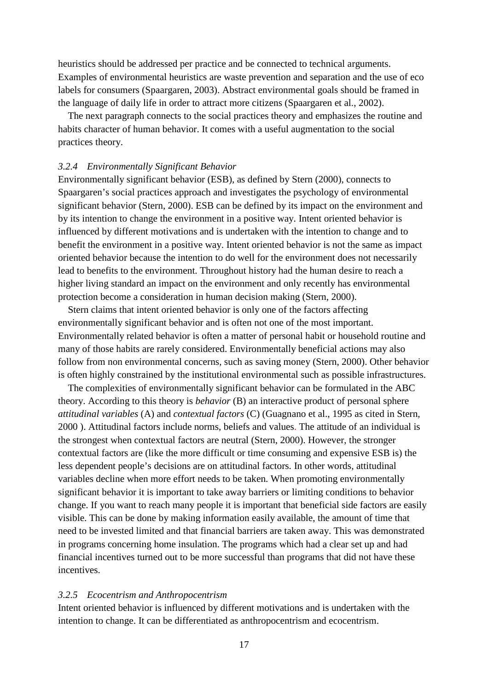heuristics should be addressed per practice and be connected to technical arguments. Examples of environmental heuristics are waste prevention and separation and the use of eco labels for consumers (Spaargaren, 2003). Abstract environmental goals should be framed in the language of daily life in order to attract more citizens (Spaargaren et al., 2002).

 The next paragraph connects to the social practices theory and emphasizes the routine and habits character of human behavior. It comes with a useful augmentation to the social practices theory.

#### *3.2.4 Environmentally Significant Behavior*

Environmentally significant behavior (ESB), as defined by Stern (2000), connects to Spaargaren's social practices approach and investigates the psychology of environmental significant behavior (Stern, 2000). ESB can be defined by its impact on the environment and by its intention to change the environment in a positive way. Intent oriented behavior is influenced by different motivations and is undertaken with the intention to change and to benefit the environment in a positive way. Intent oriented behavior is not the same as impact oriented behavior because the intention to do well for the environment does not necessarily lead to benefits to the environment. Throughout history had the human desire to reach a higher living standard an impact on the environment and only recently has environmental protection become a consideration in human decision making (Stern, 2000).

 Stern claims that intent oriented behavior is only one of the factors affecting environmentally significant behavior and is often not one of the most important. Environmentally related behavior is often a matter of personal habit or household routine and many of those habits are rarely considered. Environmentally beneficial actions may also follow from non environmental concerns, such as saving money (Stern, 2000). Other behavior is often highly constrained by the institutional environmental such as possible infrastructures.

 The complexities of environmentally significant behavior can be formulated in the ABC theory. According to this theory is *behavior* (B) an interactive product of personal sphere *attitudinal variables* (A) and *contextual factors* (C) (Guagnano et al., 1995 as cited in Stern, 2000 ). Attitudinal factors include norms, beliefs and values. The attitude of an individual is the strongest when contextual factors are neutral (Stern, 2000). However, the stronger contextual factors are (like the more difficult or time consuming and expensive ESB is) the less dependent people's decisions are on attitudinal factors. In other words, attitudinal variables decline when more effort needs to be taken. When promoting environmentally significant behavior it is important to take away barriers or limiting conditions to behavior change. If you want to reach many people it is important that beneficial side factors are easily visible. This can be done by making information easily available, the amount of time that need to be invested limited and that financial barriers are taken away. This was demonstrated in programs concerning home insulation. The programs which had a clear set up and had financial incentives turned out to be more successful than programs that did not have these incentives.

#### *3.2.5 Ecocentrism and Anthropocentrism*

Intent oriented behavior is influenced by different motivations and is undertaken with the intention to change. It can be differentiated as anthropocentrism and ecocentrism.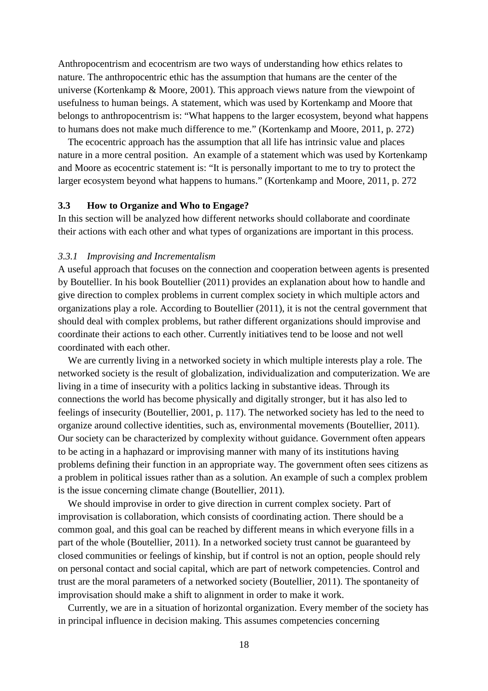Anthropocentrism and ecocentrism are two ways of understanding how ethics relates to nature. The anthropocentric ethic has the assumption that humans are the center of the universe (Kortenkamp & Moore, 2001). This approach views nature from the viewpoint of usefulness to human beings. A statement, which was used by Kortenkamp and Moore that belongs to anthropocentrism is: "What happens to the larger ecosystem, beyond what happens to humans does not make much difference to me." (Kortenkamp and Moore, 2011, p. 272)

 The ecocentric approach has the assumption that all life has intrinsic value and places nature in a more central position. An example of a statement which was used by Kortenkamp and Moore as ecocentric statement is: "It is personally important to me to try to protect the larger ecosystem beyond what happens to humans." (Kortenkamp and Moore, 2011, p. 272

#### **3.3 How to Organize and Who to Engage?**

In this section will be analyzed how different networks should collaborate and coordinate their actions with each other and what types of organizations are important in this process.

#### *3.3.1 Improvising and Incrementalism*

A useful approach that focuses on the connection and cooperation between agents is presented by Boutellier. In his book Boutellier (2011) provides an explanation about how to handle and give direction to complex problems in current complex society in which multiple actors and organizations play a role. According to Boutellier (2011), it is not the central government that should deal with complex problems, but rather different organizations should improvise and coordinate their actions to each other. Currently initiatives tend to be loose and not well coordinated with each other.

 We are currently living in a networked society in which multiple interests play a role. The networked society is the result of globalization, individualization and computerization. We are living in a time of insecurity with a politics lacking in substantive ideas. Through its connections the world has become physically and digitally stronger, but it has also led to feelings of insecurity (Boutellier, 2001, p. 117). The networked society has led to the need to organize around collective identities, such as, environmental movements (Boutellier, 2011). Our society can be characterized by complexity without guidance. Government often appears to be acting in a haphazard or improvising manner with many of its institutions having problems defining their function in an appropriate way. The government often sees citizens as a problem in political issues rather than as a solution. An example of such a complex problem is the issue concerning climate change (Boutellier, 2011).

 We should improvise in order to give direction in current complex society. Part of improvisation is collaboration, which consists of coordinating action. There should be a common goal, and this goal can be reached by different means in which everyone fills in a part of the whole (Boutellier, 2011). In a networked society trust cannot be guaranteed by closed communities or feelings of kinship, but if control is not an option, people should rely on personal contact and social capital, which are part of network competencies. Control and trust are the moral parameters of a networked society (Boutellier, 2011). The spontaneity of improvisation should make a shift to alignment in order to make it work.

 Currently, we are in a situation of horizontal organization. Every member of the society has in principal influence in decision making. This assumes competencies concerning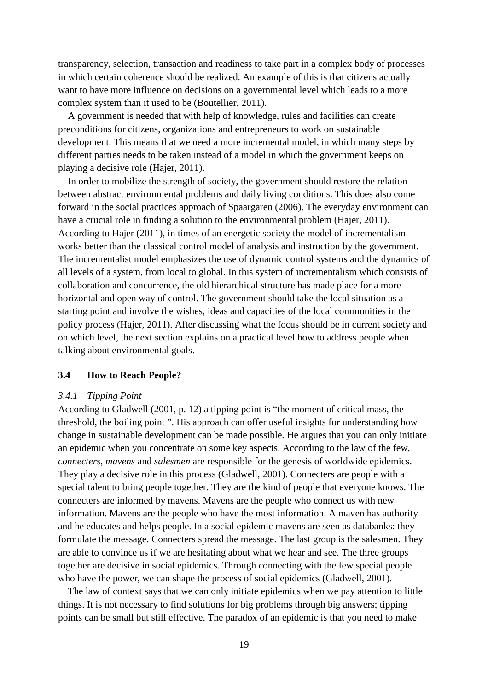transparency, selection, transaction and readiness to take part in a complex body of processes in which certain coherence should be realized. An example of this is that citizens actually want to have more influence on decisions on a governmental level which leads to a more complex system than it used to be (Boutellier, 2011).

 A government is needed that with help of knowledge, rules and facilities can create preconditions for citizens, organizations and entrepreneurs to work on sustainable development. This means that we need a more incremental model, in which many steps by different parties needs to be taken instead of a model in which the government keeps on playing a decisive role (Hajer, 2011).

 In order to mobilize the strength of society, the government should restore the relation between abstract environmental problems and daily living conditions. This does also come forward in the social practices approach of Spaargaren (2006). The everyday environment can have a crucial role in finding a solution to the environmental problem (Hajer, 2011). According to Hajer (2011), in times of an energetic society the model of incrementalism works better than the classical control model of analysis and instruction by the government. The incrementalist model emphasizes the use of dynamic control systems and the dynamics of all levels of a system, from local to global. In this system of incrementalism which consists of collaboration and concurrence, the old hierarchical structure has made place for a more horizontal and open way of control. The government should take the local situation as a starting point and involve the wishes, ideas and capacities of the local communities in the policy process (Hajer, 2011). After discussing what the focus should be in current society and on which level, the next section explains on a practical level how to address people when talking about environmental goals.

#### **3.4 How to Reach People?**

#### *3.4.1 Tipping Point*

According to Gladwell (2001, p. 12) a tipping point is "the moment of critical mass, the threshold, the boiling point ". His approach can offer useful insights for understanding how change in sustainable development can be made possible. He argues that you can only initiate an epidemic when you concentrate on some key aspects. According to the law of the few, *connecters*, *mavens* and *salesmen* are responsible for the genesis of worldwide epidemics. They play a decisive role in this process (Gladwell, 2001). Connecters are people with a special talent to bring people together. They are the kind of people that everyone knows. The connecters are informed by mavens. Mavens are the people who connect us with new information. Mavens are the people who have the most information. A maven has authority and he educates and helps people. In a social epidemic mavens are seen as databanks: they formulate the message. Connecters spread the message. The last group is the salesmen. They are able to convince us if we are hesitating about what we hear and see. The three groups together are decisive in social epidemics. Through connecting with the few special people who have the power, we can shape the process of social epidemics (Gladwell, 2001).

 The law of context says that we can only initiate epidemics when we pay attention to little things. It is not necessary to find solutions for big problems through big answers; tipping points can be small but still effective. The paradox of an epidemic is that you need to make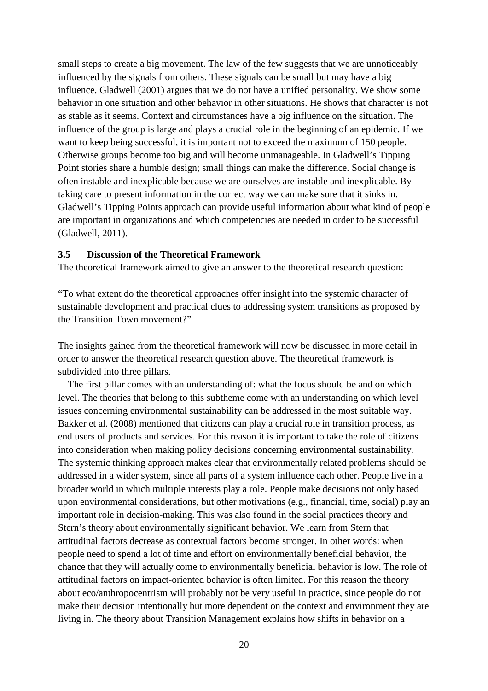small steps to create a big movement. The law of the few suggests that we are unnoticeably influenced by the signals from others. These signals can be small but may have a big influence. Gladwell (2001) argues that we do not have a unified personality. We show some behavior in one situation and other behavior in other situations. He shows that character is not as stable as it seems. Context and circumstances have a big influence on the situation. The influence of the group is large and plays a crucial role in the beginning of an epidemic. If we want to keep being successful, it is important not to exceed the maximum of 150 people. Otherwise groups become too big and will become unmanageable. In Gladwell's Tipping Point stories share a humble design; small things can make the difference. Social change is often instable and inexplicable because we are ourselves are instable and inexplicable. By taking care to present information in the correct way we can make sure that it sinks in. Gladwell's Tipping Points approach can provide useful information about what kind of people are important in organizations and which competencies are needed in order to be successful (Gladwell, 2011).

#### **3.5 Discussion of the Theoretical Framework**

The theoretical framework aimed to give an answer to the theoretical research question:

"To what extent do the theoretical approaches offer insight into the systemic character of sustainable development and practical clues to addressing system transitions as proposed by the Transition Town movement?"

The insights gained from the theoretical framework will now be discussed in more detail in order to answer the theoretical research question above. The theoretical framework is subdivided into three pillars.

 The first pillar comes with an understanding of: what the focus should be and on which level. The theories that belong to this subtheme come with an understanding on which level issues concerning environmental sustainability can be addressed in the most suitable way. Bakker et al. (2008) mentioned that citizens can play a crucial role in transition process, as end users of products and services. For this reason it is important to take the role of citizens into consideration when making policy decisions concerning environmental sustainability. The systemic thinking approach makes clear that environmentally related problems should be addressed in a wider system, since all parts of a system influence each other. People live in a broader world in which multiple interests play a role. People make decisions not only based upon environmental considerations, but other motivations (e.g., financial, time, social) play an important role in decision-making. This was also found in the social practices theory and Stern's theory about environmentally significant behavior. We learn from Stern that attitudinal factors decrease as contextual factors become stronger. In other words: when people need to spend a lot of time and effort on environmentally beneficial behavior, the chance that they will actually come to environmentally beneficial behavior is low. The role of attitudinal factors on impact-oriented behavior is often limited. For this reason the theory about eco/anthropocentrism will probably not be very useful in practice, since people do not make their decision intentionally but more dependent on the context and environment they are living in. The theory about Transition Management explains how shifts in behavior on a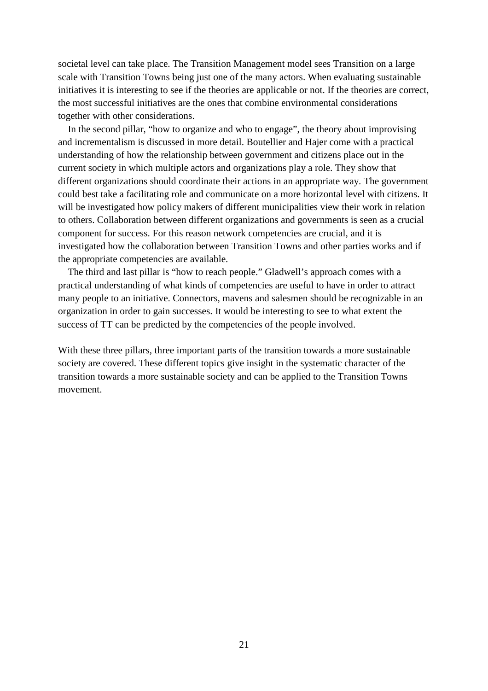societal level can take place. The Transition Management model sees Transition on a large scale with Transition Towns being just one of the many actors. When evaluating sustainable initiatives it is interesting to see if the theories are applicable or not. If the theories are correct, the most successful initiatives are the ones that combine environmental considerations together with other considerations.

 In the second pillar, "how to organize and who to engage", the theory about improvising and incrementalism is discussed in more detail. Boutellier and Hajer come with a practical understanding of how the relationship between government and citizens place out in the current society in which multiple actors and organizations play a role. They show that different organizations should coordinate their actions in an appropriate way. The government could best take a facilitating role and communicate on a more horizontal level with citizens. It will be investigated how policy makers of different municipalities view their work in relation to others. Collaboration between different organizations and governments is seen as a crucial component for success. For this reason network competencies are crucial, and it is investigated how the collaboration between Transition Towns and other parties works and if the appropriate competencies are available.

 The third and last pillar is "how to reach people." Gladwell's approach comes with a practical understanding of what kinds of competencies are useful to have in order to attract many people to an initiative. Connectors, mavens and salesmen should be recognizable in an organization in order to gain successes. It would be interesting to see to what extent the success of TT can be predicted by the competencies of the people involved.

With these three pillars, three important parts of the transition towards a more sustainable society are covered. These different topics give insight in the systematic character of the transition towards a more sustainable society and can be applied to the Transition Towns movement.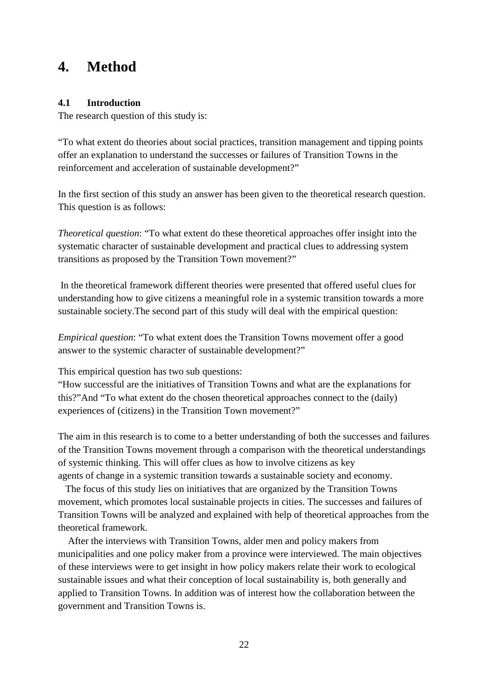# **4. Method**

#### **4.1 Introduction**

The research question of this study is:

"To what extent do theories about social practices, transition management and tipping points offer an explanation to understand the successes or failures of Transition Towns in the reinforcement and acceleration of sustainable development?"

In the first section of this study an answer has been given to the theoretical research question. This question is as follows:

*Theoretical question*: "To what extent do these theoretical approaches offer insight into the systematic character of sustainable development and practical clues to addressing system transitions as proposed by the Transition Town movement?"

 In the theoretical framework different theories were presented that offered useful clues for understanding how to give citizens a meaningful role in a systemic transition towards a more sustainable society.The second part of this study will deal with the empirical question:

*Empirical question*: "To what extent does the Transition Towns movement offer a good answer to the systemic character of sustainable development?"

This empirical question has two sub questions:

"How successful are the initiatives of Transition Towns and what are the explanations for this?"And "To what extent do the chosen theoretical approaches connect to the (daily) experiences of (citizens) in the Transition Town movement?"

The aim in this research is to come to a better understanding of both the successes and failures of the Transition Towns movement through a comparison with the theoretical understandings of systemic thinking. This will offer clues as how to involve citizens as key agents of change in a systemic transition towards a sustainable society and economy.

 The focus of this study lies on initiatives that are organized by the Transition Towns movement, which promotes local sustainable projects in cities. The successes and failures of Transition Towns will be analyzed and explained with help of theoretical approaches from the theoretical framework.

 After the interviews with Transition Towns, alder men and policy makers from municipalities and one policy maker from a province were interviewed. The main objectives of these interviews were to get insight in how policy makers relate their work to ecological sustainable issues and what their conception of local sustainability is, both generally and applied to Transition Towns. In addition was of interest how the collaboration between the government and Transition Towns is.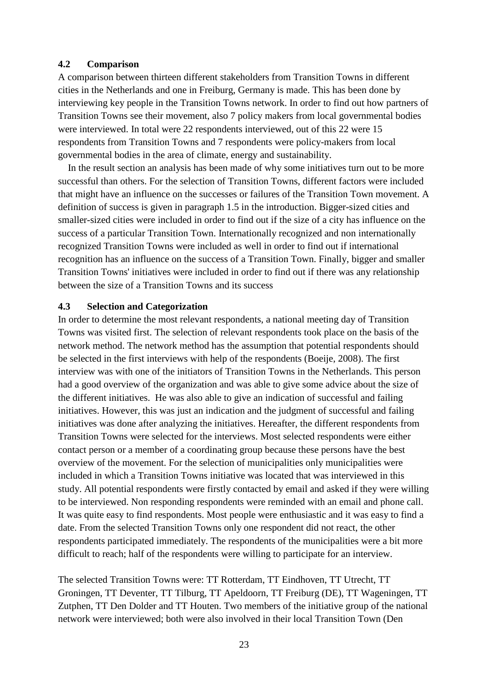#### **4.2 Comparison**

A comparison between thirteen different stakeholders from Transition Towns in different cities in the Netherlands and one in Freiburg, Germany is made. This has been done by interviewing key people in the Transition Towns network. In order to find out how partners of Transition Towns see their movement, also 7 policy makers from local governmental bodies were interviewed. In total were 22 respondents interviewed, out of this 22 were 15 respondents from Transition Towns and 7 respondents were policy-makers from local governmental bodies in the area of climate, energy and sustainability.

 In the result section an analysis has been made of why some initiatives turn out to be more successful than others. For the selection of Transition Towns, different factors were included that might have an influence on the successes or failures of the Transition Town movement. A definition of success is given in paragraph 1.5 in the introduction. Bigger-sized cities and smaller-sized cities were included in order to find out if the size of a city has influence on the success of a particular Transition Town. Internationally recognized and non internationally recognized Transition Towns were included as well in order to find out if international recognition has an influence on the success of a Transition Town. Finally, bigger and smaller Transition Towns' initiatives were included in order to find out if there was any relationship between the size of a Transition Towns and its success

#### **4.3 Selection and Categorization**

In order to determine the most relevant respondents, a national meeting day of Transition Towns was visited first. The selection of relevant respondents took place on the basis of the network method. The network method has the assumption that potential respondents should be selected in the first interviews with help of the respondents (Boeije, 2008). The first interview was with one of the initiators of Transition Towns in the Netherlands. This person had a good overview of the organization and was able to give some advice about the size of the different initiatives. He was also able to give an indication of successful and failing initiatives. However, this was just an indication and the judgment of successful and failing initiatives was done after analyzing the initiatives. Hereafter, the different respondents from Transition Towns were selected for the interviews. Most selected respondents were either contact person or a member of a coordinating group because these persons have the best overview of the movement. For the selection of municipalities only municipalities were included in which a Transition Towns initiative was located that was interviewed in this study. All potential respondents were firstly contacted by email and asked if they were willing to be interviewed. Non responding respondents were reminded with an email and phone call. It was quite easy to find respondents. Most people were enthusiastic and it was easy to find a date. From the selected Transition Towns only one respondent did not react, the other respondents participated immediately. The respondents of the municipalities were a bit more difficult to reach; half of the respondents were willing to participate for an interview.

The selected Transition Towns were: TT Rotterdam, TT Eindhoven, TT Utrecht, TT Groningen, TT Deventer, TT Tilburg, TT Apeldoorn, TT Freiburg (DE), TT Wageningen, TT Zutphen, TT Den Dolder and TT Houten. Two members of the initiative group of the national network were interviewed; both were also involved in their local Transition Town (Den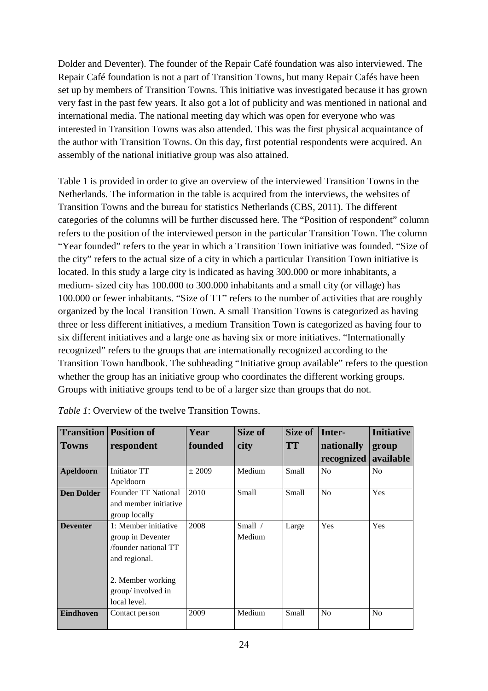Dolder and Deventer). The founder of the Repair Café foundation was also interviewed. The Repair Café foundation is not a part of Transition Towns, but many Repair Cafés have been set up by members of Transition Towns. This initiative was investigated because it has grown very fast in the past few years. It also got a lot of publicity and was mentioned in national and international media. The national meeting day which was open for everyone who was interested in Transition Towns was also attended. This was the first physical acquaintance of the author with Transition Towns. On this day, first potential respondents were acquired. An assembly of the national initiative group was also attained.

Table 1 is provided in order to give an overview of the interviewed Transition Towns in the Netherlands. The information in the table is acquired from the interviews, the websites of Transition Towns and the bureau for statistics Netherlands (CBS, 2011). The different categories of the columns will be further discussed here. The "Position of respondent" column refers to the position of the interviewed person in the particular Transition Town. The column "Year founded" refers to the year in which a Transition Town initiative was founded. "Size of the city" refers to the actual size of a city in which a particular Transition Town initiative is located. In this study a large city is indicated as having 300.000 or more inhabitants, a medium- sized city has 100.000 to 300.000 inhabitants and a small city (or village) has 100.000 or fewer inhabitants. "Size of TT" refers to the number of activities that are roughly organized by the local Transition Town. A small Transition Towns is categorized as having three or less different initiatives, a medium Transition Town is categorized as having four to six different initiatives and a large one as having six or more initiatives. "Internationally recognized" refers to the groups that are internationally recognized according to the Transition Town handbook. The subheading "Initiative group available" refers to the question whether the group has an initiative group who coordinates the different working groups. Groups with initiative groups tend to be of a larger size than groups that do not.

| <b>Transition</b> | <b>Position of</b>         | Year    | Size of   | Size of   | Inter-         | <b>Initiative</b> |  |
|-------------------|----------------------------|---------|-----------|-----------|----------------|-------------------|--|
| <b>Towns</b>      | respondent                 | founded | city      | <b>TT</b> | nationally     | group             |  |
|                   |                            |         |           |           | recognized     | available         |  |
| Apeldoorn         | Initiator TT               | ± 2009  | Medium    | Small     | No             | No                |  |
|                   | Apeldoorn                  |         |           |           |                |                   |  |
| <b>Den Dolder</b> | <b>Founder TT National</b> | 2010    | Small     | Small     | N <sub>0</sub> | Yes               |  |
|                   | and member initiative      |         |           |           |                |                   |  |
|                   | group locally              |         |           |           |                |                   |  |
| <b>Deventer</b>   | 1: Member initiative       | 2008    | Small $/$ | Large     | Yes            | Yes               |  |
|                   | group in Deventer          |         | Medium    |           |                |                   |  |
|                   | /founder national TT       |         |           |           |                |                   |  |
|                   | and regional.              |         |           |           |                |                   |  |
|                   |                            |         |           |           |                |                   |  |
|                   | 2. Member working          |         |           |           |                |                   |  |
|                   | group/involved in          |         |           |           |                |                   |  |
|                   | local level.               |         |           |           |                |                   |  |
| <b>Eindhoven</b>  | Contact person             | 2009    | Medium    | Small     | N <sub>o</sub> | No                |  |
|                   |                            |         |           |           |                |                   |  |

*Table 1*: Overview of the twelve Transition Towns.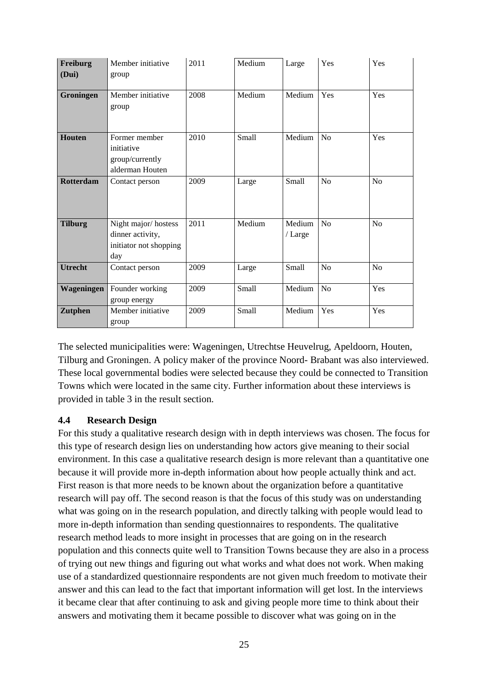| Freiburg<br>(Dui) | Member initiative<br>group                                               | 2011 | Medium | Large             | Yes | Yes            |
|-------------------|--------------------------------------------------------------------------|------|--------|-------------------|-----|----------------|
| Groningen         | Member initiative<br>group                                               | 2008 | Medium | Medium            | Yes | Yes            |
| Houten            | Former member<br>initiative<br>group/currently<br>alderman Houten        | 2010 | Small  | Medium            | No  | Yes            |
| <b>Rotterdam</b>  | Contact person                                                           | 2009 | Large  | Small             | No  | N <sub>o</sub> |
| <b>Tilburg</b>    | Night major/hostess<br>dinner activity,<br>initiator not shopping<br>day | 2011 | Medium | Medium<br>/ Large | No  | N <sub>o</sub> |
| <b>Utrecht</b>    | Contact person                                                           | 2009 | Large  | Small             | No  | No             |
| Wageningen        | Founder working<br>group energy                                          | 2009 | Small  | Medium            | No  | Yes            |
| <b>Zutphen</b>    | Member initiative<br>group                                               | 2009 | Small  | Medium            | Yes | Yes            |

The selected municipalities were: Wageningen, Utrechtse Heuvelrug, Apeldoorn, Houten, Tilburg and Groningen. A policy maker of the province Noord- Brabant was also interviewed. These local governmental bodies were selected because they could be connected to Transition Towns which were located in the same city. Further information about these interviews is provided in table 3 in the result section.

#### **4.4 Research Design**

For this study a qualitative research design with in depth interviews was chosen. The focus for this type of research design lies on understanding how actors give meaning to their social environment. In this case a qualitative research design is more relevant than a quantitative one because it will provide more in-depth information about how people actually think and act. First reason is that more needs to be known about the organization before a quantitative research will pay off. The second reason is that the focus of this study was on understanding what was going on in the research population, and directly talking with people would lead to more in-depth information than sending questionnaires to respondents. The qualitative research method leads to more insight in processes that are going on in the research population and this connects quite well to Transition Towns because they are also in a process of trying out new things and figuring out what works and what does not work. When making use of a standardized questionnaire respondents are not given much freedom to motivate their answer and this can lead to the fact that important information will get lost. In the interviews it became clear that after continuing to ask and giving people more time to think about their answers and motivating them it became possible to discover what was going on in the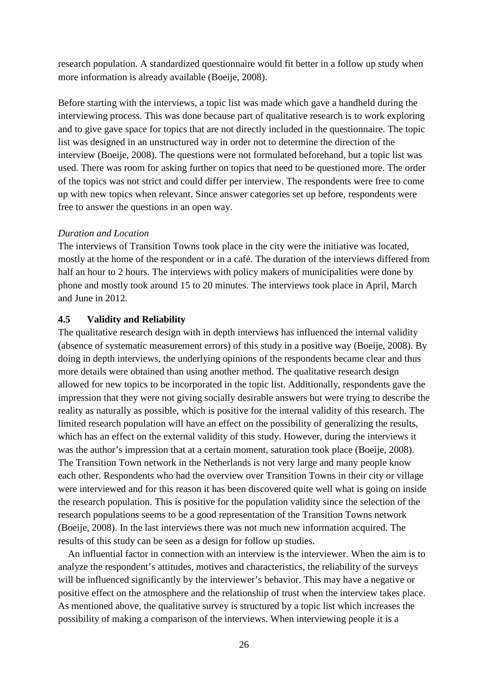research population. A standardized questionnaire would fit better in a follow up study when more information is already available (Boeije, 2008).

Before starting with the interviews, a topic list was made which gave a handheld during the interviewing process. This was done because part of qualitative research is to work exploring and to give gave space for topics that are not directly included in the questionnaire. The topic list was designed in an unstructured way in order not to determine the direction of the interview (Boeije, 2008). The questions were not formulated beforehand, but a topic list was used. There was room for asking further on topics that need to be questioned more. The order of the topics was not strict and could differ per interview. The respondents were free to come up with new topics when relevant. Since answer categories set up before, respondents were free to answer the questions in an open way.

#### *Duration and Location*

The interviews of Transition Towns took place in the city were the initiative was located, mostly at the home of the respondent or in a café. The duration of the interviews differed from half an hour to 2 hours. The interviews with policy makers of municipalities were done by phone and mostly took around 15 to 20 minutes. The interviews took place in April, March and June in 2012.

#### **4.5 Validity and Reliability**

The qualitative research design with in depth interviews has influenced the internal validity (absence of systematic measurement errors) of this study in a positive way (Boeije, 2008). By doing in depth interviews, the underlying opinions of the respondents became clear and thus more details were obtained than using another method. The qualitative research design allowed for new topics to be incorporated in the topic list. Additionally, respondents gave the impression that they were not giving socially desirable answers but were trying to describe the reality as naturally as possible, which is positive for the internal validity of this research. The limited research population will have an effect on the possibility of generalizing the results, which has an effect on the external validity of this study. However, during the interviews it was the author's impression that at a certain moment, saturation took place (Boeije, 2008). The Transition Town network in the Netherlands is not very large and many people know each other. Respondents who had the overview over Transition Towns in their city or village were interviewed and for this reason it has been discovered quite well what is going on inside the research population. This is positive for the population validity since the selection of the research populations seems to be a good representation of the Transition Towns network (Boeije, 2008). In the last interviews there was not much new information acquired. The results of this study can be seen as a design for follow up studies.

 An influential factor in connection with an interview is the interviewer. When the aim is to analyze the respondent's attitudes, motives and characteristics, the reliability of the surveys will be influenced significantly by the interviewer's behavior. This may have a negative or positive effect on the atmosphere and the relationship of trust when the interview takes place. As mentioned above, the qualitative survey is structured by a topic list which increases the possibility of making a comparison of the interviews. When interviewing people it is a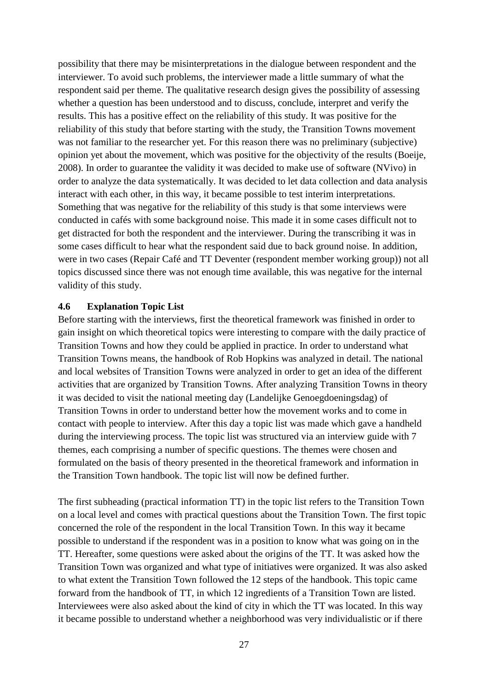possibility that there may be misinterpretations in the dialogue between respondent and the interviewer. To avoid such problems, the interviewer made a little summary of what the respondent said per theme. The qualitative research design gives the possibility of assessing whether a question has been understood and to discuss, conclude, interpret and verify the results. This has a positive effect on the reliability of this study. It was positive for the reliability of this study that before starting with the study, the Transition Towns movement was not familiar to the researcher yet. For this reason there was no preliminary (subjective) opinion yet about the movement, which was positive for the objectivity of the results (Boeije, 2008). In order to guarantee the validity it was decided to make use of software (NVivo) in order to analyze the data systematically. It was decided to let data collection and data analysis interact with each other, in this way, it became possible to test interim interpretations. Something that was negative for the reliability of this study is that some interviews were conducted in cafés with some background noise. This made it in some cases difficult not to get distracted for both the respondent and the interviewer. During the transcribing it was in some cases difficult to hear what the respondent said due to back ground noise. In addition, were in two cases (Repair Café and TT Deventer (respondent member working group)) not all topics discussed since there was not enough time available, this was negative for the internal validity of this study.

#### **4.6 Explanation Topic List**

Before starting with the interviews, first the theoretical framework was finished in order to gain insight on which theoretical topics were interesting to compare with the daily practice of Transition Towns and how they could be applied in practice. In order to understand what Transition Towns means, the handbook of Rob Hopkins was analyzed in detail. The national and local websites of Transition Towns were analyzed in order to get an idea of the different activities that are organized by Transition Towns. After analyzing Transition Towns in theory it was decided to visit the national meeting day (Landelijke Genoegdoeningsdag) of Transition Towns in order to understand better how the movement works and to come in contact with people to interview. After this day a topic list was made which gave a handheld during the interviewing process. The topic list was structured via an interview guide with 7 themes, each comprising a number of specific questions. The themes were chosen and formulated on the basis of theory presented in the theoretical framework and information in the Transition Town handbook. The topic list will now be defined further.

The first subheading (practical information TT) in the topic list refers to the Transition Town on a local level and comes with practical questions about the Transition Town. The first topic concerned the role of the respondent in the local Transition Town. In this way it became possible to understand if the respondent was in a position to know what was going on in the TT. Hereafter, some questions were asked about the origins of the TT. It was asked how the Transition Town was organized and what type of initiatives were organized. It was also asked to what extent the Transition Town followed the 12 steps of the handbook. This topic came forward from the handbook of TT, in which 12 ingredients of a Transition Town are listed. Interviewees were also asked about the kind of city in which the TT was located. In this way it became possible to understand whether a neighborhood was very individualistic or if there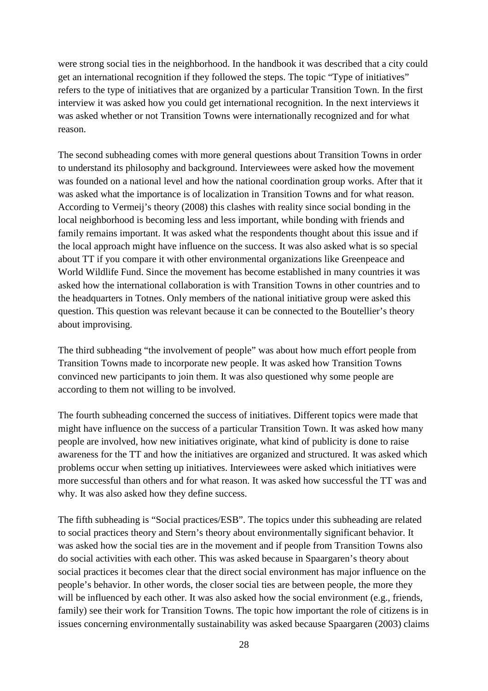were strong social ties in the neighborhood. In the handbook it was described that a city could get an international recognition if they followed the steps. The topic "Type of initiatives" refers to the type of initiatives that are organized by a particular Transition Town. In the first interview it was asked how you could get international recognition. In the next interviews it was asked whether or not Transition Towns were internationally recognized and for what reason.

The second subheading comes with more general questions about Transition Towns in order to understand its philosophy and background. Interviewees were asked how the movement was founded on a national level and how the national coordination group works. After that it was asked what the importance is of localization in Transition Towns and for what reason. According to Vermeij's theory (2008) this clashes with reality since social bonding in the local neighborhood is becoming less and less important, while bonding with friends and family remains important. It was asked what the respondents thought about this issue and if the local approach might have influence on the success. It was also asked what is so special about TT if you compare it with other environmental organizations like Greenpeace and World Wildlife Fund. Since the movement has become established in many countries it was asked how the international collaboration is with Transition Towns in other countries and to the headquarters in Totnes. Only members of the national initiative group were asked this question. This question was relevant because it can be connected to the Boutellier's theory about improvising.

The third subheading "the involvement of people" was about how much effort people from Transition Towns made to incorporate new people. It was asked how Transition Towns convinced new participants to join them. It was also questioned why some people are according to them not willing to be involved.

The fourth subheading concerned the success of initiatives. Different topics were made that might have influence on the success of a particular Transition Town. It was asked how many people are involved, how new initiatives originate, what kind of publicity is done to raise awareness for the TT and how the initiatives are organized and structured. It was asked which problems occur when setting up initiatives. Interviewees were asked which initiatives were more successful than others and for what reason. It was asked how successful the TT was and why. It was also asked how they define success.

The fifth subheading is "Social practices/ESB". The topics under this subheading are related to social practices theory and Stern's theory about environmentally significant behavior. It was asked how the social ties are in the movement and if people from Transition Towns also do social activities with each other. This was asked because in Spaargaren's theory about social practices it becomes clear that the direct social environment has major influence on the people's behavior. In other words, the closer social ties are between people, the more they will be influenced by each other. It was also asked how the social environment (e.g., friends, family) see their work for Transition Towns. The topic how important the role of citizens is in issues concerning environmentally sustainability was asked because Spaargaren (2003) claims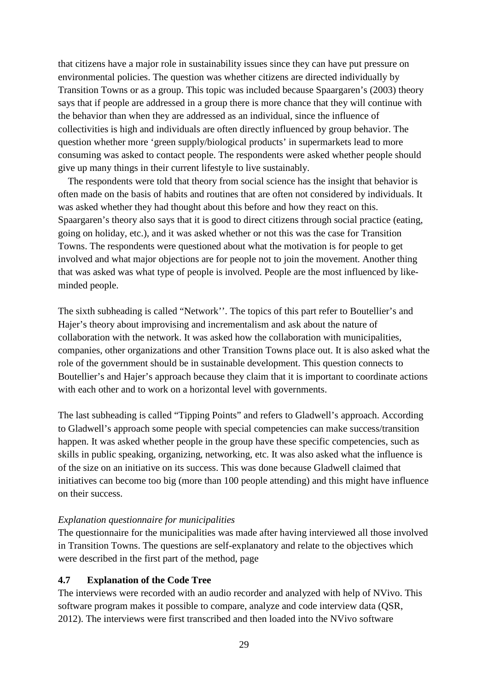that citizens have a major role in sustainability issues since they can have put pressure on environmental policies. The question was whether citizens are directed individually by Transition Towns or as a group. This topic was included because Spaargaren's (2003) theory says that if people are addressed in a group there is more chance that they will continue with the behavior than when they are addressed as an individual, since the influence of collectivities is high and individuals are often directly influenced by group behavior. The question whether more 'green supply/biological products' in supermarkets lead to more consuming was asked to contact people. The respondents were asked whether people should give up many things in their current lifestyle to live sustainably.

 The respondents were told that theory from social science has the insight that behavior is often made on the basis of habits and routines that are often not considered by individuals. It was asked whether they had thought about this before and how they react on this. Spaargaren's theory also says that it is good to direct citizens through social practice (eating, going on holiday, etc.), and it was asked whether or not this was the case for Transition Towns. The respondents were questioned about what the motivation is for people to get involved and what major objections are for people not to join the movement. Another thing that was asked was what type of people is involved. People are the most influenced by likeminded people.

The sixth subheading is called "Network''. The topics of this part refer to Boutellier's and Hajer's theory about improvising and incrementalism and ask about the nature of collaboration with the network. It was asked how the collaboration with municipalities, companies, other organizations and other Transition Towns place out. It is also asked what the role of the government should be in sustainable development. This question connects to Boutellier's and Hajer's approach because they claim that it is important to coordinate actions with each other and to work on a horizontal level with governments.

The last subheading is called "Tipping Points" and refers to Gladwell's approach. According to Gladwell's approach some people with special competencies can make success/transition happen. It was asked whether people in the group have these specific competencies, such as skills in public speaking, organizing, networking, etc. It was also asked what the influence is of the size on an initiative on its success. This was done because Gladwell claimed that initiatives can become too big (more than 100 people attending) and this might have influence on their success.

#### *Explanation questionnaire for municipalities*

The questionnaire for the municipalities was made after having interviewed all those involved in Transition Towns. The questions are self-explanatory and relate to the objectives which were described in the first part of the method, page

#### **4.7 Explanation of the Code Tree**

The interviews were recorded with an audio recorder and analyzed with help of NVivo. This software program makes it possible to compare, analyze and code interview data (QSR, 2012). The interviews were first transcribed and then loaded into the NVivo software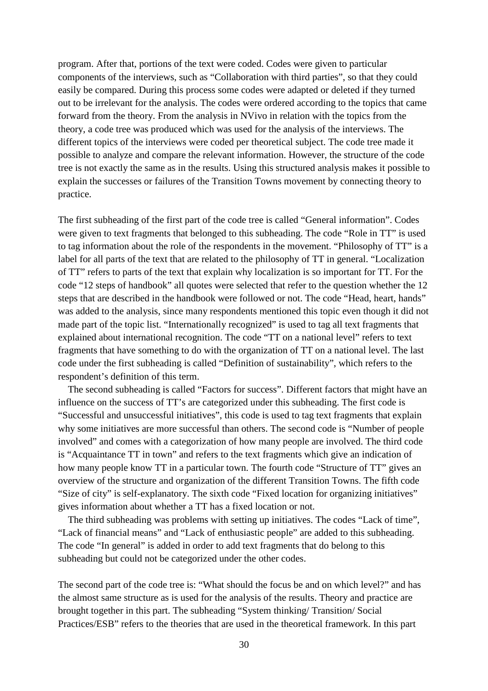program. After that, portions of the text were coded. Codes were given to particular components of the interviews, such as "Collaboration with third parties", so that they could easily be compared. During this process some codes were adapted or deleted if they turned out to be irrelevant for the analysis. The codes were ordered according to the topics that came forward from the theory. From the analysis in NVivo in relation with the topics from the theory, a code tree was produced which was used for the analysis of the interviews. The different topics of the interviews were coded per theoretical subject. The code tree made it possible to analyze and compare the relevant information. However, the structure of the code tree is not exactly the same as in the results. Using this structured analysis makes it possible to explain the successes or failures of the Transition Towns movement by connecting theory to practice.

The first subheading of the first part of the code tree is called "General information". Codes were given to text fragments that belonged to this subheading. The code "Role in TT" is used to tag information about the role of the respondents in the movement. "Philosophy of TT" is a label for all parts of the text that are related to the philosophy of TT in general. "Localization of TT" refers to parts of the text that explain why localization is so important for TT. For the code "12 steps of handbook" all quotes were selected that refer to the question whether the 12 steps that are described in the handbook were followed or not. The code "Head, heart, hands" was added to the analysis, since many respondents mentioned this topic even though it did not made part of the topic list. "Internationally recognized" is used to tag all text fragments that explained about international recognition. The code "TT on a national level" refers to text fragments that have something to do with the organization of TT on a national level. The last code under the first subheading is called "Definition of sustainability", which refers to the respondent's definition of this term.

 The second subheading is called "Factors for success". Different factors that might have an influence on the success of TT's are categorized under this subheading. The first code is "Successful and unsuccessful initiatives", this code is used to tag text fragments that explain why some initiatives are more successful than others. The second code is "Number of people involved" and comes with a categorization of how many people are involved. The third code is "Acquaintance TT in town" and refers to the text fragments which give an indication of how many people know TT in a particular town. The fourth code "Structure of TT" gives an overview of the structure and organization of the different Transition Towns. The fifth code "Size of city" is self-explanatory. The sixth code "Fixed location for organizing initiatives" gives information about whether a TT has a fixed location or not.

 The third subheading was problems with setting up initiatives. The codes "Lack of time", "Lack of financial means" and "Lack of enthusiastic people" are added to this subheading. The code "In general" is added in order to add text fragments that do belong to this subheading but could not be categorized under the other codes.

The second part of the code tree is: "What should the focus be and on which level?" and has the almost same structure as is used for the analysis of the results. Theory and practice are brought together in this part. The subheading "System thinking/ Transition/ Social Practices/ESB" refers to the theories that are used in the theoretical framework. In this part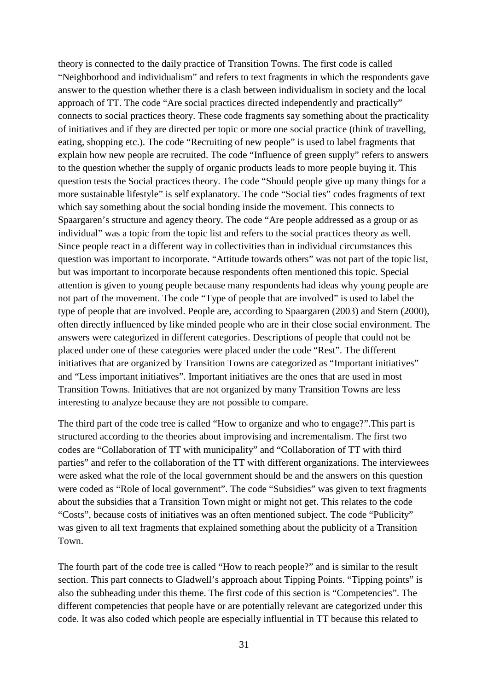theory is connected to the daily practice of Transition Towns. The first code is called "Neighborhood and individualism" and refers to text fragments in which the respondents gave answer to the question whether there is a clash between individualism in society and the local approach of TT. The code "Are social practices directed independently and practically" connects to social practices theory. These code fragments say something about the practicality of initiatives and if they are directed per topic or more one social practice (think of travelling, eating, shopping etc.). The code "Recruiting of new people" is used to label fragments that explain how new people are recruited. The code "Influence of green supply" refers to answers to the question whether the supply of organic products leads to more people buying it. This question tests the Social practices theory. The code "Should people give up many things for a more sustainable lifestyle" is self explanatory. The code "Social ties" codes fragments of text which say something about the social bonding inside the movement. This connects to Spaargaren's structure and agency theory. The code "Are people addressed as a group or as individual" was a topic from the topic list and refers to the social practices theory as well. Since people react in a different way in collectivities than in individual circumstances this question was important to incorporate. "Attitude towards others" was not part of the topic list, but was important to incorporate because respondents often mentioned this topic. Special attention is given to young people because many respondents had ideas why young people are not part of the movement. The code "Type of people that are involved" is used to label the type of people that are involved. People are, according to Spaargaren (2003) and Stern (2000), often directly influenced by like minded people who are in their close social environment. The answers were categorized in different categories. Descriptions of people that could not be placed under one of these categories were placed under the code "Rest". The different initiatives that are organized by Transition Towns are categorized as "Important initiatives" and "Less important initiatives". Important initiatives are the ones that are used in most Transition Towns. Initiatives that are not organized by many Transition Towns are less interesting to analyze because they are not possible to compare.

The third part of the code tree is called "How to organize and who to engage?".This part is structured according to the theories about improvising and incrementalism. The first two codes are "Collaboration of TT with municipality" and "Collaboration of TT with third parties" and refer to the collaboration of the TT with different organizations. The interviewees were asked what the role of the local government should be and the answers on this question were coded as "Role of local government". The code "Subsidies" was given to text fragments about the subsidies that a Transition Town might or might not get. This relates to the code "Costs", because costs of initiatives was an often mentioned subject. The code "Publicity" was given to all text fragments that explained something about the publicity of a Transition Town.

The fourth part of the code tree is called "How to reach people?" and is similar to the result section. This part connects to Gladwell's approach about Tipping Points. "Tipping points" is also the subheading under this theme. The first code of this section is "Competencies". The different competencies that people have or are potentially relevant are categorized under this code. It was also coded which people are especially influential in TT because this related to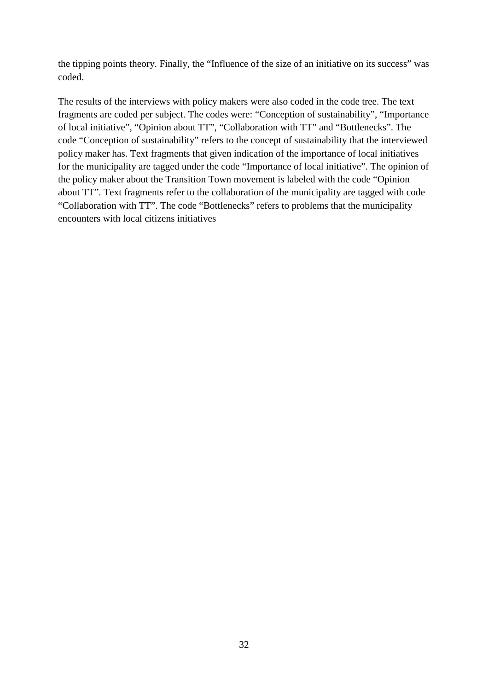the tipping points theory. Finally, the "Influence of the size of an initiative on its success" was coded.

The results of the interviews with policy makers were also coded in the code tree. The text fragments are coded per subject. The codes were: "Conception of sustainability", "Importance of local initiative", "Opinion about TT", "Collaboration with TT" and "Bottlenecks". The code "Conception of sustainability" refers to the concept of sustainability that the interviewed policy maker has. Text fragments that given indication of the importance of local initiatives for the municipality are tagged under the code "Importance of local initiative". The opinion of the policy maker about the Transition Town movement is labeled with the code "Opinion about TT". Text fragments refer to the collaboration of the municipality are tagged with code "Collaboration with TT". The code "Bottlenecks" refers to problems that the municipality encounters with local citizens initiatives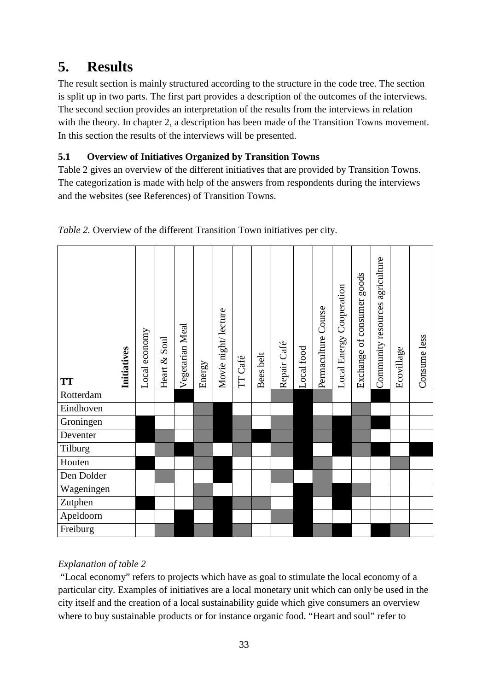# **5. Results**

The result section is mainly structured according to the structure in the code tree. The section is split up in two parts. The first part provides a description of the outcomes of the interviews. The second section provides an interpretation of the results from the interviews in relation with the theory. In chapter 2, a description has been made of the Transition Towns movement. In this section the results of the interviews will be presented.

### **5.1 Overview of Initiatives Organized by Transition Towns**

Table 2 gives an overview of the different initiatives that are provided by Transition Towns. The categorization is made with help of the answers from respondents during the interviews and the websites (see References) of Transition Towns.

| <b>Initiatives</b><br><b>TT</b> | Local economy | Soul<br>Heart $\&$ | Vegetarian Meal | Energy | Movie night/lecture | TT Café | Bees belt | Repair Café | Local food | Permaculture Course | Local Energy Cooperation | goods<br>Exchange of consumer | Community resources agriculture | Ecovillage | Consume less |
|---------------------------------|---------------|--------------------|-----------------|--------|---------------------|---------|-----------|-------------|------------|---------------------|--------------------------|-------------------------------|---------------------------------|------------|--------------|
| Rotterdam                       |               |                    |                 |        |                     |         |           |             |            |                     |                          |                               |                                 |            |              |
| Eindhoven                       |               |                    |                 |        |                     |         |           |             |            |                     |                          |                               |                                 |            |              |
| Groningen                       |               |                    |                 |        |                     |         |           |             |            |                     |                          |                               |                                 |            |              |
| Deventer                        |               |                    |                 |        |                     |         |           |             |            |                     |                          |                               |                                 |            |              |
| Tilburg                         |               |                    |                 |        |                     |         |           |             |            |                     |                          |                               |                                 |            |              |
| Houten                          |               |                    |                 |        |                     |         |           |             |            |                     |                          |                               |                                 |            |              |
| Den Dolder                      |               |                    |                 |        |                     |         |           |             |            |                     |                          |                               |                                 |            |              |
| Wageningen                      |               |                    |                 |        |                     |         |           |             |            |                     |                          |                               |                                 |            |              |
| Zutphen                         |               |                    |                 |        |                     |         |           |             |            |                     |                          |                               |                                 |            |              |
| Apeldoorn                       |               |                    |                 |        |                     |         |           |             |            |                     |                          |                               |                                 |            |              |
| Freiburg                        |               |                    |                 |        |                     |         |           |             |            |                     |                          |                               |                                 |            |              |

*Table 2.* Overview of the different Transition Town initiatives per city.

### *Explanation of table 2*

 "Local economy" refers to projects which have as goal to stimulate the local economy of a particular city. Examples of initiatives are a local monetary unit which can only be used in the city itself and the creation of a local sustainability guide which give consumers an overview where to buy sustainable products or for instance organic food. "Heart and soul" refer to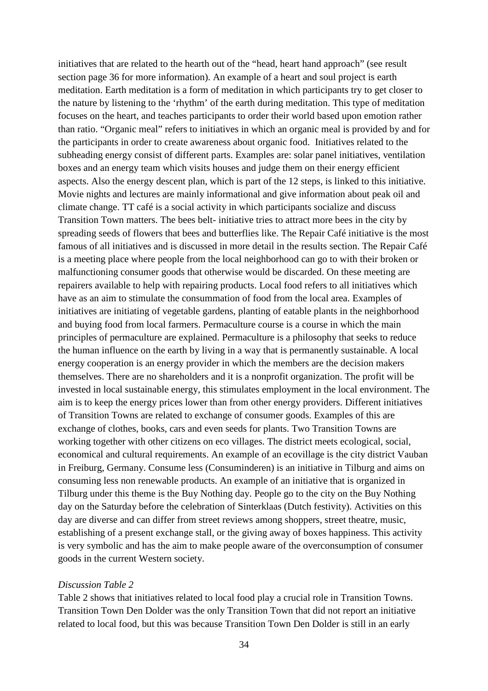initiatives that are related to the hearth out of the "head, heart hand approach" (see result section page 36 for more information). An example of a heart and soul project is earth meditation. Earth meditation is a form of meditation in which participants try to get closer to the nature by listening to the 'rhythm' of the earth during meditation. This type of meditation focuses on the heart, and teaches participants to order their world based upon emotion rather than ratio. "Organic meal" refers to initiatives in which an organic meal is provided by and for the participants in order to create awareness about organic food. Initiatives related to the subheading energy consist of different parts. Examples are: solar panel initiatives, ventilation boxes and an energy team which visits houses and judge them on their energy efficient aspects. Also the energy descent plan, which is part of the 12 steps, is linked to this initiative. Movie nights and lectures are mainly informational and give information about peak oil and climate change. TT café is a social activity in which participants socialize and discuss Transition Town matters. The bees belt- initiative tries to attract more bees in the city by spreading seeds of flowers that bees and butterflies like. The Repair Café initiative is the most famous of all initiatives and is discussed in more detail in the results section. The Repair Café is a meeting place where people from the local neighborhood can go to with their broken or malfunctioning consumer goods that otherwise would be discarded. On these meeting are repairers available to help with repairing products. Local food refers to all initiatives which have as an aim to stimulate the consummation of food from the local area. Examples of initiatives are initiating of vegetable gardens, planting of eatable plants in the neighborhood and buying food from local farmers. Permaculture course is a course in which the main principles of permaculture are explained. Permaculture is a philosophy that seeks to reduce the human influence on the earth by living in a way that is permanently sustainable. A local energy cooperation is an energy provider in which the members are the decision makers themselves. There are no shareholders and it is a nonprofit organization. The profit will be invested in local sustainable energy, this stimulates employment in the local environment. The aim is to keep the energy prices lower than from other energy providers. Different initiatives of Transition Towns are related to exchange of consumer goods. Examples of this are exchange of clothes, books, cars and even seeds for plants. Two Transition Towns are working together with other citizens on eco villages. The district meets ecological, social, economical and cultural requirements. An example of an ecovillage is the city district Vauban in Freiburg, Germany. Consume less (Consuminderen) is an initiative in Tilburg and aims on consuming less non renewable products. An example of an initiative that is organized in Tilburg under this theme is the Buy Nothing day. People go to the city on the Buy Nothing day on the Saturday before the celebration of Sinterklaas (Dutch festivity). Activities on this day are diverse and can differ from street reviews among shoppers, street theatre, music, establishing of a present exchange stall, or the giving away of boxes happiness. This activity is very symbolic and has the aim to make people aware of the overconsumption of consumer goods in the current Western society.

#### *Discussion Table 2*

Table 2 shows that initiatives related to local food play a crucial role in Transition Towns. Transition Town Den Dolder was the only Transition Town that did not report an initiative related to local food, but this was because Transition Town Den Dolder is still in an early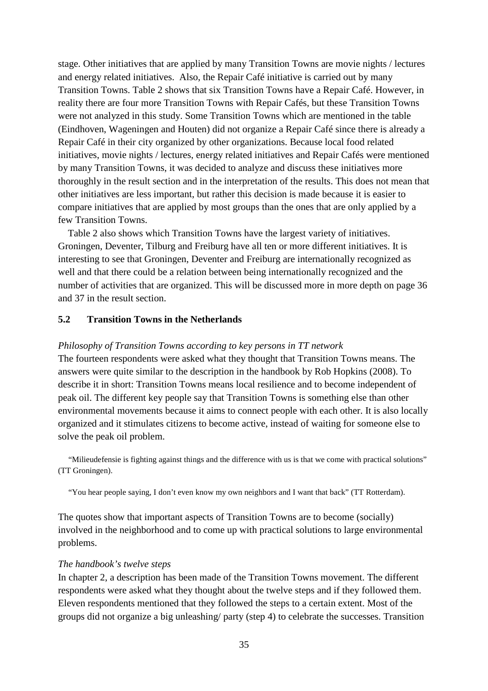stage. Other initiatives that are applied by many Transition Towns are movie nights / lectures and energy related initiatives. Also, the Repair Café initiative is carried out by many Transition Towns. Table 2 shows that six Transition Towns have a Repair Café. However, in reality there are four more Transition Towns with Repair Cafés, but these Transition Towns were not analyzed in this study. Some Transition Towns which are mentioned in the table (Eindhoven, Wageningen and Houten) did not organize a Repair Café since there is already a Repair Café in their city organized by other organizations. Because local food related initiatives, movie nights / lectures, energy related initiatives and Repair Cafés were mentioned by many Transition Towns, it was decided to analyze and discuss these initiatives more thoroughly in the result section and in the interpretation of the results. This does not mean that other initiatives are less important, but rather this decision is made because it is easier to compare initiatives that are applied by most groups than the ones that are only applied by a few Transition Towns.

 Table 2 also shows which Transition Towns have the largest variety of initiatives. Groningen, Deventer, Tilburg and Freiburg have all ten or more different initiatives. It is interesting to see that Groningen, Deventer and Freiburg are internationally recognized as well and that there could be a relation between being internationally recognized and the number of activities that are organized. This will be discussed more in more depth on page 36 and 37 in the result section.

#### **5.2 Transition Towns in the Netherlands**

#### *Philosophy of Transition Towns according to key persons in TT network*

The fourteen respondents were asked what they thought that Transition Towns means. The answers were quite similar to the description in the handbook by Rob Hopkins (2008). To describe it in short: Transition Towns means local resilience and to become independent of peak oil. The different key people say that Transition Towns is something else than other environmental movements because it aims to connect people with each other. It is also locally organized and it stimulates citizens to become active, instead of waiting for someone else to solve the peak oil problem.

 "Milieudefensie is fighting against things and the difference with us is that we come with practical solutions" (TT Groningen).

"You hear people saying, I don't even know my own neighbors and I want that back" (TT Rotterdam).

The quotes show that important aspects of Transition Towns are to become (socially) involved in the neighborhood and to come up with practical solutions to large environmental problems.

#### *The handbook's twelve steps*

In chapter 2, a description has been made of the Transition Towns movement. The different respondents were asked what they thought about the twelve steps and if they followed them. Eleven respondents mentioned that they followed the steps to a certain extent. Most of the groups did not organize a big unleashing/ party (step 4) to celebrate the successes. Transition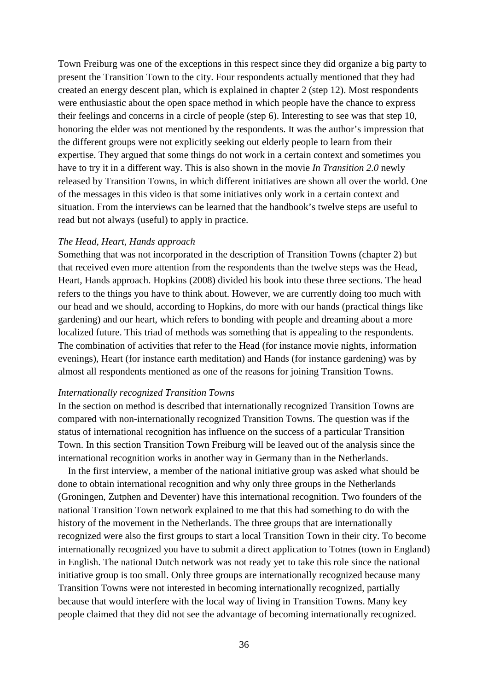Town Freiburg was one of the exceptions in this respect since they did organize a big party to present the Transition Town to the city. Four respondents actually mentioned that they had created an energy descent plan, which is explained in chapter 2 (step 12). Most respondents were enthusiastic about the open space method in which people have the chance to express their feelings and concerns in a circle of people (step 6). Interesting to see was that step 10, honoring the elder was not mentioned by the respondents. It was the author's impression that the different groups were not explicitly seeking out elderly people to learn from their expertise. They argued that some things do not work in a certain context and sometimes you have to try it in a different way. This is also shown in the movie *In Transition 2.0* newly released by Transition Towns, in which different initiatives are shown all over the world. One of the messages in this video is that some initiatives only work in a certain context and situation. From the interviews can be learned that the handbook's twelve steps are useful to read but not always (useful) to apply in practice.

#### *The Head, Heart, Hands approach*

Something that was not incorporated in the description of Transition Towns (chapter 2) but that received even more attention from the respondents than the twelve steps was the Head, Heart, Hands approach. Hopkins (2008) divided his book into these three sections. The head refers to the things you have to think about. However, we are currently doing too much with our head and we should, according to Hopkins, do more with our hands (practical things like gardening) and our heart, which refers to bonding with people and dreaming about a more localized future. This triad of methods was something that is appealing to the respondents. The combination of activities that refer to the Head (for instance movie nights, information evenings), Heart (for instance earth meditation) and Hands (for instance gardening) was by almost all respondents mentioned as one of the reasons for joining Transition Towns.

#### *Internationally recognized Transition Towns*

In the section on method is described that internationally recognized Transition Towns are compared with non-internationally recognized Transition Towns. The question was if the status of international recognition has influence on the success of a particular Transition Town. In this section Transition Town Freiburg will be leaved out of the analysis since the international recognition works in another way in Germany than in the Netherlands.

 In the first interview, a member of the national initiative group was asked what should be done to obtain international recognition and why only three groups in the Netherlands (Groningen, Zutphen and Deventer) have this international recognition. Two founders of the national Transition Town network explained to me that this had something to do with the history of the movement in the Netherlands. The three groups that are internationally recognized were also the first groups to start a local Transition Town in their city. To become internationally recognized you have to submit a direct application to Totnes (town in England) in English. The national Dutch network was not ready yet to take this role since the national initiative group is too small. Only three groups are internationally recognized because many Transition Towns were not interested in becoming internationally recognized, partially because that would interfere with the local way of living in Transition Towns. Many key people claimed that they did not see the advantage of becoming internationally recognized.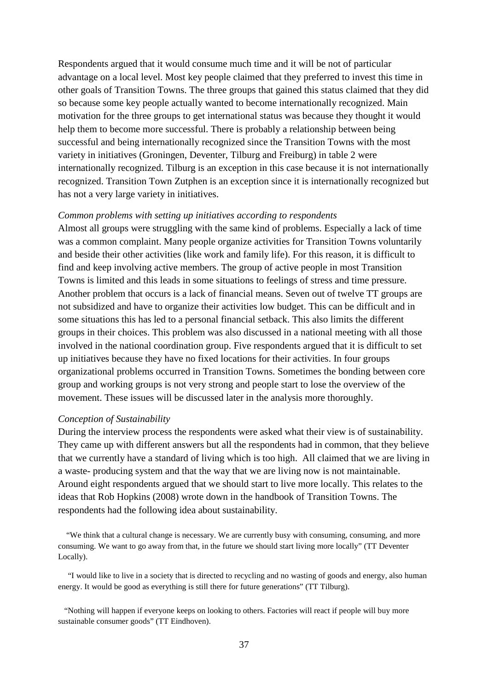Respondents argued that it would consume much time and it will be not of particular advantage on a local level. Most key people claimed that they preferred to invest this time in other goals of Transition Towns. The three groups that gained this status claimed that they did so because some key people actually wanted to become internationally recognized. Main motivation for the three groups to get international status was because they thought it would help them to become more successful. There is probably a relationship between being successful and being internationally recognized since the Transition Towns with the most variety in initiatives (Groningen, Deventer, Tilburg and Freiburg) in table 2 were internationally recognized. Tilburg is an exception in this case because it is not internationally recognized. Transition Town Zutphen is an exception since it is internationally recognized but has not a very large variety in initiatives.

#### *Common problems with setting up initiatives according to respondents*

Almost all groups were struggling with the same kind of problems. Especially a lack of time was a common complaint. Many people organize activities for Transition Towns voluntarily and beside their other activities (like work and family life). For this reason, it is difficult to find and keep involving active members. The group of active people in most Transition Towns is limited and this leads in some situations to feelings of stress and time pressure. Another problem that occurs is a lack of financial means. Seven out of twelve TT groups are not subsidized and have to organize their activities low budget. This can be difficult and in some situations this has led to a personal financial setback. This also limits the different groups in their choices. This problem was also discussed in a national meeting with all those involved in the national coordination group. Five respondents argued that it is difficult to set up initiatives because they have no fixed locations for their activities. In four groups organizational problems occurred in Transition Towns. Sometimes the bonding between core group and working groups is not very strong and people start to lose the overview of the movement. These issues will be discussed later in the analysis more thoroughly.

#### *Conception of Sustainability*

During the interview process the respondents were asked what their view is of sustainability. They came up with different answers but all the respondents had in common, that they believe that we currently have a standard of living which is too high. All claimed that we are living in a waste- producing system and that the way that we are living now is not maintainable. Around eight respondents argued that we should start to live more locally. This relates to the ideas that Rob Hopkins (2008) wrote down in the handbook of Transition Towns. The respondents had the following idea about sustainability.

 "We think that a cultural change is necessary. We are currently busy with consuming, consuming, and more consuming. We want to go away from that, in the future we should start living more locally" (TT Deventer Locally).

 "I would like to live in a society that is directed to recycling and no wasting of goods and energy, also human energy. It would be good as everything is still there for future generations" (TT Tilburg).

 "Nothing will happen if everyone keeps on looking to others. Factories will react if people will buy more sustainable consumer goods" (TT Eindhoven).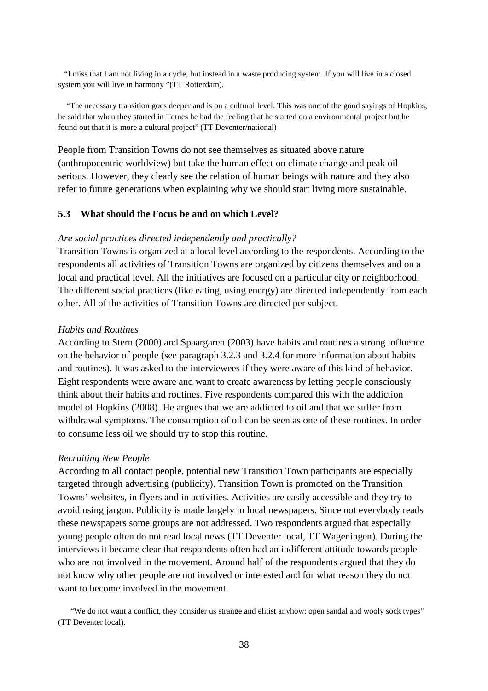"I miss that I am not living in a cycle, but instead in a waste producing system .If you will live in a closed system you will live in harmony "(TT Rotterdam).

 "The necessary transition goes deeper and is on a cultural level. This was one of the good sayings of Hopkins, he said that when they started in Totnes he had the feeling that he started on a environmental project but he found out that it is more a cultural project" (TT Deventer/national)

People from Transition Towns do not see themselves as situated above nature (anthropocentric worldview) but take the human effect on climate change and peak oil serious. However, they clearly see the relation of human beings with nature and they also refer to future generations when explaining why we should start living more sustainable.

#### **5.3 What should the Focus be and on which Level?**

#### *Are social practices directed independently and practically?*

Transition Towns is organized at a local level according to the respondents. According to the respondents all activities of Transition Towns are organized by citizens themselves and on a local and practical level. All the initiatives are focused on a particular city or neighborhood. The different social practices (like eating, using energy) are directed independently from each other. All of the activities of Transition Towns are directed per subject.

#### *Habits and Routines*

According to Stern (2000) and Spaargaren (2003) have habits and routines a strong influence on the behavior of people (see paragraph 3.2.3 and 3.2.4 for more information about habits and routines). It was asked to the interviewees if they were aware of this kind of behavior. Eight respondents were aware and want to create awareness by letting people consciously think about their habits and routines. Five respondents compared this with the addiction model of Hopkins (2008). He argues that we are addicted to oil and that we suffer from withdrawal symptoms. The consumption of oil can be seen as one of these routines. In order to consume less oil we should try to stop this routine.

#### *Recruiting New People*

According to all contact people, potential new Transition Town participants are especially targeted through advertising (publicity). Transition Town is promoted on the Transition Towns' websites, in flyers and in activities. Activities are easily accessible and they try to avoid using jargon. Publicity is made largely in local newspapers. Since not everybody reads these newspapers some groups are not addressed. Two respondents argued that especially young people often do not read local news (TT Deventer local, TT Wageningen). During the interviews it became clear that respondents often had an indifferent attitude towards people who are not involved in the movement. Around half of the respondents argued that they do not know why other people are not involved or interested and for what reason they do not want to become involved in the movement.

 "We do not want a conflict, they consider us strange and elitist anyhow: open sandal and wooly sock types" (TT Deventer local).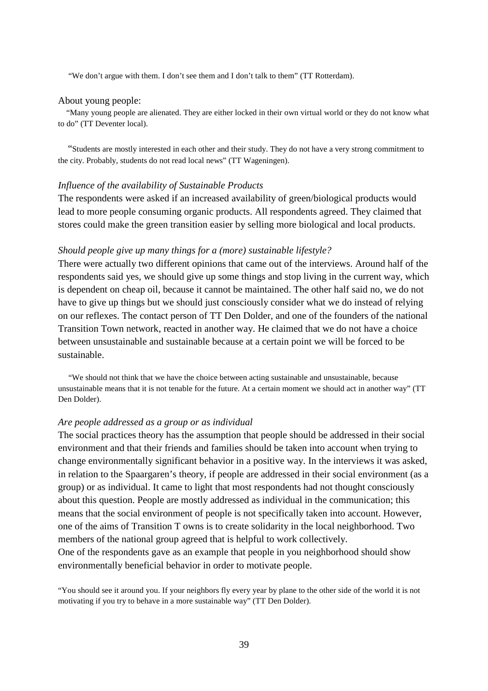"We don't argue with them. I don't see them and I don't talk to them" (TT Rotterdam).

#### About young people:

 "Many young people are alienated. They are either locked in their own virtual world or they do not know what to do" (TT Deventer local).

 "Students are mostly interested in each other and their study. They do not have a very strong commitment to the city. Probably, students do not read local news" (TT Wageningen).

#### *Influence of the availability of Sustainable Products*

The respondents were asked if an increased availability of green/biological products would lead to more people consuming organic products. All respondents agreed. They claimed that stores could make the green transition easier by selling more biological and local products.

#### *Should people give up many things for a (more) sustainable lifestyle?*

There were actually two different opinions that came out of the interviews. Around half of the respondents said yes, we should give up some things and stop living in the current way, which is dependent on cheap oil, because it cannot be maintained. The other half said no, we do not have to give up things but we should just consciously consider what we do instead of relying on our reflexes. The contact person of TT Den Dolder, and one of the founders of the national Transition Town network, reacted in another way. He claimed that we do not have a choice between unsustainable and sustainable because at a certain point we will be forced to be sustainable.

 "We should not think that we have the choice between acting sustainable and unsustainable, because unsustainable means that it is not tenable for the future. At a certain moment we should act in another way" (TT Den Dolder).

#### *Are people addressed as a group or as individual*

The social practices theory has the assumption that people should be addressed in their social environment and that their friends and families should be taken into account when trying to change environmentally significant behavior in a positive way. In the interviews it was asked, in relation to the Spaargaren's theory, if people are addressed in their social environment (as a group) or as individual. It came to light that most respondents had not thought consciously about this question. People are mostly addressed as individual in the communication; this means that the social environment of people is not specifically taken into account. However, one of the aims of Transition T owns is to create solidarity in the local neighborhood. Two members of the national group agreed that is helpful to work collectively.

One of the respondents gave as an example that people in you neighborhood should show environmentally beneficial behavior in order to motivate people.

"You should see it around you. If your neighbors fly every year by plane to the other side of the world it is not motivating if you try to behave in a more sustainable way" (TT Den Dolder).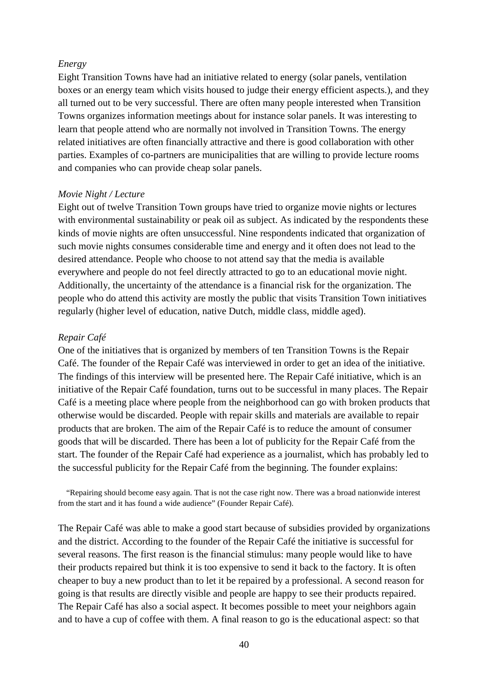#### *Energy*

Eight Transition Towns have had an initiative related to energy (solar panels, ventilation boxes or an energy team which visits housed to judge their energy efficient aspects.), and they all turned out to be very successful. There are often many people interested when Transition Towns organizes information meetings about for instance solar panels. It was interesting to learn that people attend who are normally not involved in Transition Towns. The energy related initiatives are often financially attractive and there is good collaboration with other parties. Examples of co-partners are municipalities that are willing to provide lecture rooms and companies who can provide cheap solar panels.

#### *Movie Night / Lecture*

Eight out of twelve Transition Town groups have tried to organize movie nights or lectures with environmental sustainability or peak oil as subject. As indicated by the respondents these kinds of movie nights are often unsuccessful. Nine respondents indicated that organization of such movie nights consumes considerable time and energy and it often does not lead to the desired attendance. People who choose to not attend say that the media is available everywhere and people do not feel directly attracted to go to an educational movie night. Additionally, the uncertainty of the attendance is a financial risk for the organization. The people who do attend this activity are mostly the public that visits Transition Town initiatives regularly (higher level of education, native Dutch, middle class, middle aged).

#### *Repair Café*

One of the initiatives that is organized by members of ten Transition Towns is the Repair Café. The founder of the Repair Café was interviewed in order to get an idea of the initiative. The findings of this interview will be presented here. The Repair Café initiative, which is an initiative of the Repair Café foundation, turns out to be successful in many places. The Repair Café is a meeting place where people from the neighborhood can go with broken products that otherwise would be discarded. People with repair skills and materials are available to repair products that are broken. The aim of the Repair Café is to reduce the amount of consumer goods that will be discarded. There has been a lot of publicity for the Repair Café from the start. The founder of the Repair Café had experience as a journalist, which has probably led to the successful publicity for the Repair Café from the beginning. The founder explains:

 "Repairing should become easy again. That is not the case right now. There was a broad nationwide interest from the start and it has found a wide audience" (Founder Repair Café).

The Repair Café was able to make a good start because of subsidies provided by organizations and the district. According to the founder of the Repair Café the initiative is successful for several reasons. The first reason is the financial stimulus: many people would like to have their products repaired but think it is too expensive to send it back to the factory. It is often cheaper to buy a new product than to let it be repaired by a professional. A second reason for going is that results are directly visible and people are happy to see their products repaired. The Repair Café has also a social aspect. It becomes possible to meet your neighbors again and to have a cup of coffee with them. A final reason to go is the educational aspect: so that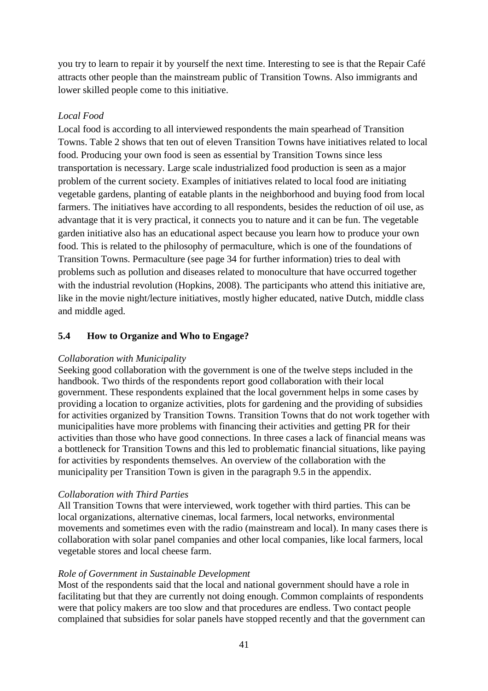you try to learn to repair it by yourself the next time. Interesting to see is that the Repair Café attracts other people than the mainstream public of Transition Towns. Also immigrants and lower skilled people come to this initiative.

## *Local Food*

Local food is according to all interviewed respondents the main spearhead of Transition Towns. Table 2 shows that ten out of eleven Transition Towns have initiatives related to local food. Producing your own food is seen as essential by Transition Towns since less transportation is necessary. Large scale industrialized food production is seen as a major problem of the current society. Examples of initiatives related to local food are initiating vegetable gardens, planting of eatable plants in the neighborhood and buying food from local farmers. The initiatives have according to all respondents, besides the reduction of oil use, as advantage that it is very practical, it connects you to nature and it can be fun. The vegetable garden initiative also has an educational aspect because you learn how to produce your own food. This is related to the philosophy of permaculture, which is one of the foundations of Transition Towns. Permaculture (see page 34 for further information) tries to deal with problems such as pollution and diseases related to monoculture that have occurred together with the industrial revolution (Hopkins, 2008). The participants who attend this initiative are, like in the movie night/lecture initiatives, mostly higher educated, native Dutch, middle class and middle aged.

## **5.4 How to Organize and Who to Engage?**

### *Collaboration with Municipality*

Seeking good collaboration with the government is one of the twelve steps included in the handbook. Two thirds of the respondents report good collaboration with their local government. These respondents explained that the local government helps in some cases by providing a location to organize activities, plots for gardening and the providing of subsidies for activities organized by Transition Towns. Transition Towns that do not work together with municipalities have more problems with financing their activities and getting PR for their activities than those who have good connections. In three cases a lack of financial means was a bottleneck for Transition Towns and this led to problematic financial situations, like paying for activities by respondents themselves. An overview of the collaboration with the municipality per Transition Town is given in the paragraph 9.5 in the appendix.

### *Collaboration with Third Parties*

All Transition Towns that were interviewed, work together with third parties. This can be local organizations, alternative cinemas, local farmers, local networks, environmental movements and sometimes even with the radio (mainstream and local). In many cases there is collaboration with solar panel companies and other local companies, like local farmers, local vegetable stores and local cheese farm.

#### *Role of Government in Sustainable Development*

Most of the respondents said that the local and national government should have a role in facilitating but that they are currently not doing enough. Common complaints of respondents were that policy makers are too slow and that procedures are endless. Two contact people complained that subsidies for solar panels have stopped recently and that the government can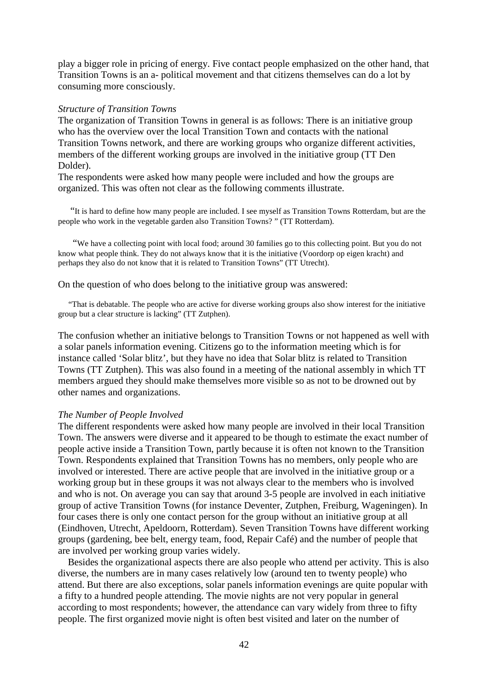play a bigger role in pricing of energy. Five contact people emphasized on the other hand, that Transition Towns is an a- political movement and that citizens themselves can do a lot by consuming more consciously.

#### *Structure of Transition Towns*

The organization of Transition Towns in general is as follows: There is an initiative group who has the overview over the local Transition Town and contacts with the national Transition Towns network, and there are working groups who organize different activities, members of the different working groups are involved in the initiative group (TT Den Dolder).

The respondents were asked how many people were included and how the groups are organized. This was often not clear as the following comments illustrate.

 "It is hard to define how many people are included. I see myself as Transition Towns Rotterdam, but are the people who work in the vegetable garden also Transition Towns? " (TT Rotterdam).

 "We have a collecting point with local food; around 30 families go to this collecting point. But you do not know what people think. They do not always know that it is the initiative (Voordorp op eigen kracht) and perhaps they also do not know that it is related to Transition Towns" (TT Utrecht).

On the question of who does belong to the initiative group was answered:

 "That is debatable. The people who are active for diverse working groups also show interest for the initiative group but a clear structure is lacking" (TT Zutphen).

The confusion whether an initiative belongs to Transition Towns or not happened as well with a solar panels information evening. Citizens go to the information meeting which is for instance called 'Solar blitz', but they have no idea that Solar blitz is related to Transition Towns (TT Zutphen). This was also found in a meeting of the national assembly in which TT members argued they should make themselves more visible so as not to be drowned out by other names and organizations.

#### *The Number of People Involved*

The different respondents were asked how many people are involved in their local Transition Town. The answers were diverse and it appeared to be though to estimate the exact number of people active inside a Transition Town, partly because it is often not known to the Transition Town. Respondents explained that Transition Towns has no members, only people who are involved or interested. There are active people that are involved in the initiative group or a working group but in these groups it was not always clear to the members who is involved and who is not. On average you can say that around 3-5 people are involved in each initiative group of active Transition Towns (for instance Deventer, Zutphen, Freiburg, Wageningen). In four cases there is only one contact person for the group without an initiative group at all (Eindhoven, Utrecht, Apeldoorn, Rotterdam). Seven Transition Towns have different working groups (gardening, bee belt, energy team, food, Repair Café) and the number of people that are involved per working group varies widely.

 Besides the organizational aspects there are also people who attend per activity. This is also diverse, the numbers are in many cases relatively low (around ten to twenty people) who attend. But there are also exceptions, solar panels information evenings are quite popular with a fifty to a hundred people attending. The movie nights are not very popular in general according to most respondents; however, the attendance can vary widely from three to fifty people. The first organized movie night is often best visited and later on the number of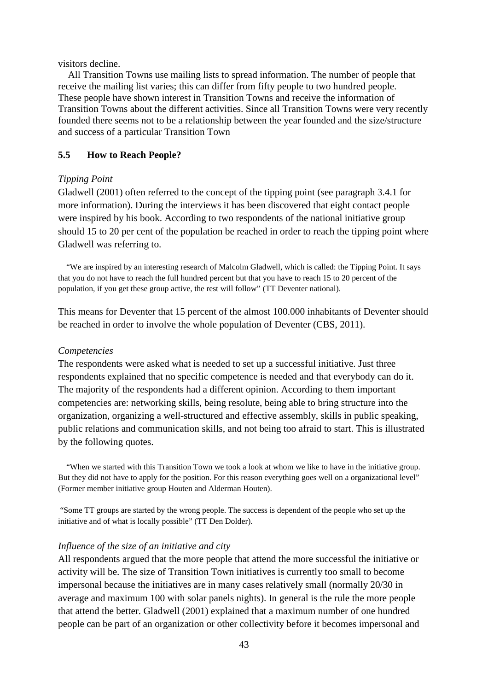visitors decline.

 All Transition Towns use mailing lists to spread information. The number of people that receive the mailing list varies; this can differ from fifty people to two hundred people. These people have shown interest in Transition Towns and receive the information of Transition Towns about the different activities. Since all Transition Towns were very recently founded there seems not to be a relationship between the year founded and the size/structure and success of a particular Transition Town

#### **5.5 How to Reach People?**

#### *Tipping Point*

Gladwell (2001) often referred to the concept of the tipping point (see paragraph 3.4.1 for more information). During the interviews it has been discovered that eight contact people were inspired by his book. According to two respondents of the national initiative group should 15 to 20 per cent of the population be reached in order to reach the tipping point where Gladwell was referring to.

 "We are inspired by an interesting research of Malcolm Gladwell, which is called: the Tipping Point. It says that you do not have to reach the full hundred percent but that you have to reach 15 to 20 percent of the population, if you get these group active, the rest will follow" (TT Deventer national).

This means for Deventer that 15 percent of the almost 100.000 inhabitants of Deventer should be reached in order to involve the whole population of Deventer (CBS, 2011).

#### *Competencies*

The respondents were asked what is needed to set up a successful initiative. Just three respondents explained that no specific competence is needed and that everybody can do it. The majority of the respondents had a different opinion. According to them important competencies are: networking skills, being resolute, being able to bring structure into the organization, organizing a well-structured and effective assembly, skills in public speaking, public relations and communication skills, and not being too afraid to start. This is illustrated by the following quotes.

 "When we started with this Transition Town we took a look at whom we like to have in the initiative group. But they did not have to apply for the position. For this reason everything goes well on a organizational level" (Former member initiative group Houten and Alderman Houten).

 "Some TT groups are started by the wrong people. The success is dependent of the people who set up the initiative and of what is locally possible" (TT Den Dolder).

#### *Influence of the size of an initiative and city*

All respondents argued that the more people that attend the more successful the initiative or activity will be. The size of Transition Town initiatives is currently too small to become impersonal because the initiatives are in many cases relatively small (normally 20/30 in average and maximum 100 with solar panels nights). In general is the rule the more people that attend the better. Gladwell (2001) explained that a maximum number of one hundred people can be part of an organization or other collectivity before it becomes impersonal and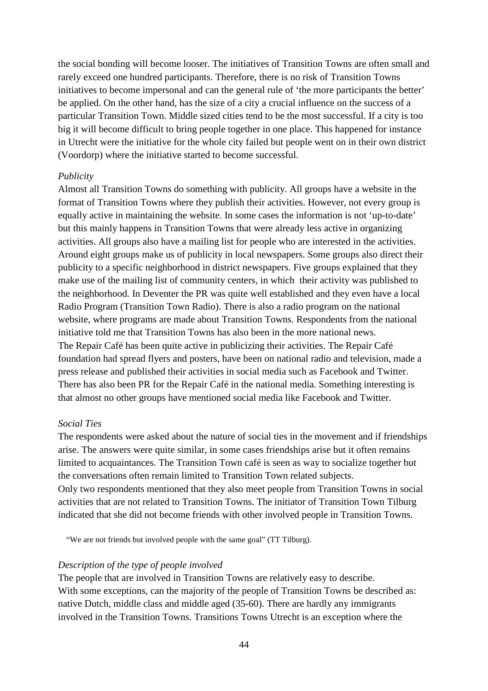the social bonding will become looser. The initiatives of Transition Towns are often small and rarely exceed one hundred participants. Therefore, there is no risk of Transition Towns initiatives to become impersonal and can the general rule of 'the more participants the better' be applied. On the other hand, has the size of a city a crucial influence on the success of a particular Transition Town. Middle sized cities tend to be the most successful. If a city is too big it will become difficult to bring people together in one place. This happened for instance in Utrecht were the initiative for the whole city failed but people went on in their own district (Voordorp) where the initiative started to become successful.

#### *Publicity*

Almost all Transition Towns do something with publicity. All groups have a website in the format of Transition Towns where they publish their activities. However, not every group is equally active in maintaining the website. In some cases the information is not 'up-to-date' but this mainly happens in Transition Towns that were already less active in organizing activities. All groups also have a mailing list for people who are interested in the activities. Around eight groups make us of publicity in local newspapers. Some groups also direct their publicity to a specific neighborhood in district newspapers. Five groups explained that they make use of the mailing list of community centers, in which their activity was published to the neighborhood. In Deventer the PR was quite well established and they even have a local Radio Program (Transition Town Radio). There is also a radio program on the national website, where programs are made about Transition Towns. Respondents from the national initiative told me that Transition Towns has also been in the more national news. The Repair Café has been quite active in publicizing their activities. The Repair Café foundation had spread flyers and posters, have been on national radio and television, made a press release and published their activities in social media such as Facebook and Twitter. There has also been PR for the Repair Café in the national media. Something interesting is that almost no other groups have mentioned social media like Facebook and Twitter.

#### *Social Ties*

The respondents were asked about the nature of social ties in the movement and if friendships arise. The answers were quite similar, in some cases friendships arise but it often remains limited to acquaintances. The Transition Town café is seen as way to socialize together but the conversations often remain limited to Transition Town related subjects. Only two respondents mentioned that they also meet people from Transition Towns in social activities that are not related to Transition Towns. The initiator of Transition Town Tilburg indicated that she did not become friends with other involved people in Transition Towns.

"We are not friends but involved people with the same goal" (TT Tilburg).

#### *Description of the type of people involved*

The people that are involved in Transition Towns are relatively easy to describe. With some exceptions, can the majority of the people of Transition Towns be described as: native Dutch, middle class and middle aged (35-60). There are hardly any immigrants involved in the Transition Towns. Transitions Towns Utrecht is an exception where the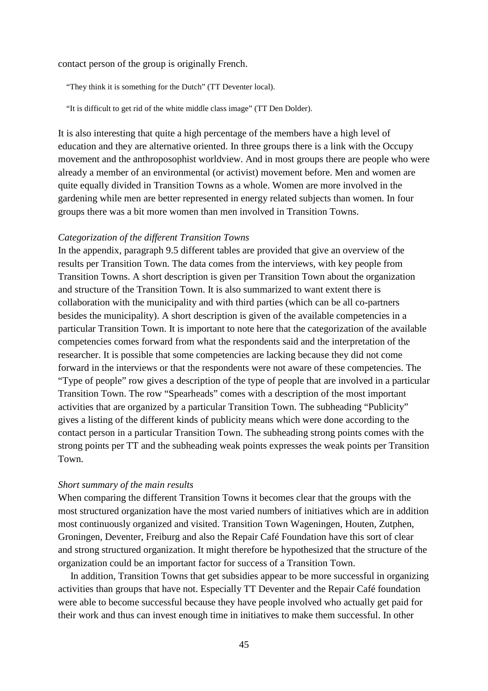contact person of the group is originally French.

"They think it is something for the Dutch" (TT Deventer local).

"It is difficult to get rid of the white middle class image" (TT Den Dolder).

It is also interesting that quite a high percentage of the members have a high level of education and they are alternative oriented. In three groups there is a link with the Occupy movement and the anthroposophist worldview. And in most groups there are people who were already a member of an environmental (or activist) movement before. Men and women are quite equally divided in Transition Towns as a whole. Women are more involved in the gardening while men are better represented in energy related subjects than women. In four groups there was a bit more women than men involved in Transition Towns.

#### *Categorization of the different Transition Towns*

In the appendix, paragraph 9.5 different tables are provided that give an overview of the results per Transition Town. The data comes from the interviews, with key people from Transition Towns. A short description is given per Transition Town about the organization and structure of the Transition Town. It is also summarized to want extent there is collaboration with the municipality and with third parties (which can be all co-partners besides the municipality). A short description is given of the available competencies in a particular Transition Town. It is important to note here that the categorization of the available competencies comes forward from what the respondents said and the interpretation of the researcher. It is possible that some competencies are lacking because they did not come forward in the interviews or that the respondents were not aware of these competencies. The "Type of people" row gives a description of the type of people that are involved in a particular Transition Town. The row "Spearheads" comes with a description of the most important activities that are organized by a particular Transition Town. The subheading "Publicity" gives a listing of the different kinds of publicity means which were done according to the contact person in a particular Transition Town. The subheading strong points comes with the strong points per TT and the subheading weak points expresses the weak points per Transition Town.

#### *Short summary of the main results*

When comparing the different Transition Towns it becomes clear that the groups with the most structured organization have the most varied numbers of initiatives which are in addition most continuously organized and visited. Transition Town Wageningen, Houten, Zutphen, Groningen, Deventer, Freiburg and also the Repair Café Foundation have this sort of clear and strong structured organization. It might therefore be hypothesized that the structure of the organization could be an important factor for success of a Transition Town.

 In addition, Transition Towns that get subsidies appear to be more successful in organizing activities than groups that have not. Especially TT Deventer and the Repair Café foundation were able to become successful because they have people involved who actually get paid for their work and thus can invest enough time in initiatives to make them successful. In other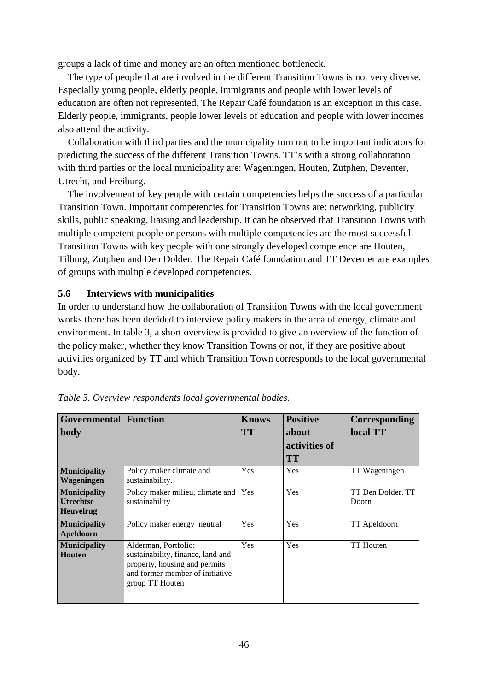groups a lack of time and money are an often mentioned bottleneck.

 The type of people that are involved in the different Transition Towns is not very diverse. Especially young people, elderly people, immigrants and people with lower levels of education are often not represented. The Repair Café foundation is an exception in this case. Elderly people, immigrants, people lower levels of education and people with lower incomes also attend the activity.

 Collaboration with third parties and the municipality turn out to be important indicators for predicting the success of the different Transition Towns. TT's with a strong collaboration with third parties or the local municipality are: Wageningen, Houten, Zutphen, Deventer, Utrecht, and Freiburg.

 The involvement of key people with certain competencies helps the success of a particular Transition Town. Important competencies for Transition Towns are: networking, publicity skills, public speaking, liaising and leadership. It can be observed that Transition Towns with multiple competent people or persons with multiple competencies are the most successful. Transition Towns with key people with one strongly developed competence are Houten, Tilburg, Zutphen and Den Dolder. The Repair Café foundation and TT Deventer are examples of groups with multiple developed competencies.

### **5.6 Interviews with municipalities**

In order to understand how the collaboration of Transition Towns with the local government works there has been decided to interview policy makers in the area of energy, climate and environment. In table 3, a short overview is provided to give an overview of the function of the policy maker, whether they know Transition Towns or not, if they are positive about activities organized by TT and which Transition Town corresponds to the local governmental body.

| <b>Governmental Function</b>                                |                                                                                                                                                  | <b>Knows</b> | <b>Positive</b> | <b>Corresponding</b>       |
|-------------------------------------------------------------|--------------------------------------------------------------------------------------------------------------------------------------------------|--------------|-----------------|----------------------------|
| body                                                        |                                                                                                                                                  | <b>TT</b>    | about           | local TT                   |
|                                                             |                                                                                                                                                  |              | activities of   |                            |
|                                                             |                                                                                                                                                  |              | <b>TT</b>       |                            |
| <b>Municipality</b><br>Wageningen                           | Policy maker climate and<br>sustainability.                                                                                                      | Yes          | Yes             | TT Wageningen              |
| <b>Municipality</b><br><b>Utrechtse</b><br><b>Heuvelrug</b> | Policy maker milieu, climate and<br>sustainability                                                                                               | Yes          | Yes             | TT Den Dolder. TT<br>Doorn |
| <b>Municipality</b><br>Apeldoorn                            | Policy maker energy neutral                                                                                                                      | Yes          | <b>Yes</b>      | TT Apeldoorn               |
| <b>Municipality</b><br>Houten                               | Alderman, Portfolio:<br>sustainability, finance, land and<br>property, housing and permits<br>and former member of initiative<br>group TT Houten | Yes          | Yes             | <b>TT</b> Houten           |

*Table 3. Overview respondents local governmental bodies.*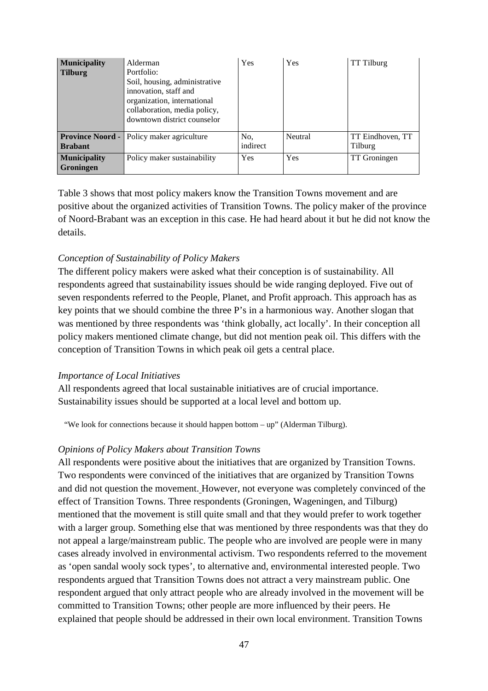| <b>Municipality</b><br><b>Tilburg</b>   | Alderman<br>Portfolio:<br>Soil, housing, administrative<br>innovation, staff and<br>organization, international<br>collaboration, media policy,<br>downtown district counselor | Yes             | Yes     | TT Tilburg                  |
|-----------------------------------------|--------------------------------------------------------------------------------------------------------------------------------------------------------------------------------|-----------------|---------|-----------------------------|
| <b>Brabant</b>                          | <b>Province Noord -</b> Policy maker agriculture                                                                                                                               | No.<br>indirect | Neutral | TT Eindhoven, TT<br>Tilburg |
| <b>Municipality</b><br><b>Groningen</b> | Policy maker sustainability                                                                                                                                                    | Yes             | Yes     | <b>TT</b> Groningen         |

Table 3 shows that most policy makers know the Transition Towns movement and are positive about the organized activities of Transition Towns. The policy maker of the province of Noord-Brabant was an exception in this case. He had heard about it but he did not know the details.

## *Conception of Sustainability of Policy Makers*

The different policy makers were asked what their conception is of sustainability. All respondents agreed that sustainability issues should be wide ranging deployed. Five out of seven respondents referred to the People, Planet, and Profit approach. This approach has as key points that we should combine the three P's in a harmonious way. Another slogan that was mentioned by three respondents was 'think globally, act locally'. In their conception all policy makers mentioned climate change, but did not mention peak oil. This differs with the conception of Transition Towns in which peak oil gets a central place.

### *Importance of Local Initiatives*

All respondents agreed that local sustainable initiatives are of crucial importance. Sustainability issues should be supported at a local level and bottom up.

"We look for connections because it should happen bottom – up" (Alderman Tilburg).

### *Opinions of Policy Makers about Transition Towns*

All respondents were positive about the initiatives that are organized by Transition Towns. Two respondents were convinced of the initiatives that are organized by Transition Towns and did not question the movement. However, not everyone was completely convinced of the effect of Transition Towns. Three respondents (Groningen, Wageningen, and Tilburg) mentioned that the movement is still quite small and that they would prefer to work together with a larger group. Something else that was mentioned by three respondents was that they do not appeal a large/mainstream public. The people who are involved are people were in many cases already involved in environmental activism. Two respondents referred to the movement as 'open sandal wooly sock types', to alternative and, environmental interested people. Two respondents argued that Transition Towns does not attract a very mainstream public. One respondent argued that only attract people who are already involved in the movement will be committed to Transition Towns; other people are more influenced by their peers. He explained that people should be addressed in their own local environment. Transition Towns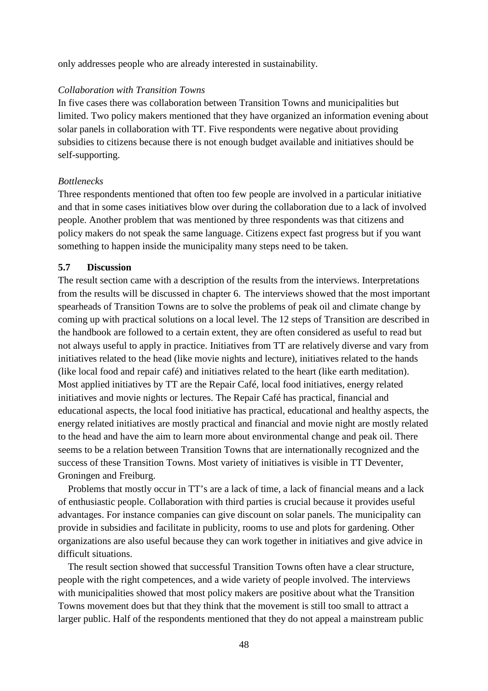only addresses people who are already interested in sustainability.

#### *Collaboration with Transition Towns*

In five cases there was collaboration between Transition Towns and municipalities but limited. Two policy makers mentioned that they have organized an information evening about solar panels in collaboration with TT. Five respondents were negative about providing subsidies to citizens because there is not enough budget available and initiatives should be self-supporting.

#### *Bottlenecks*

Three respondents mentioned that often too few people are involved in a particular initiative and that in some cases initiatives blow over during the collaboration due to a lack of involved people. Another problem that was mentioned by three respondents was that citizens and policy makers do not speak the same language. Citizens expect fast progress but if you want something to happen inside the municipality many steps need to be taken.

#### **5.7 Discussion**

The result section came with a description of the results from the interviews. Interpretations from the results will be discussed in chapter 6. The interviews showed that the most important spearheads of Transition Towns are to solve the problems of peak oil and climate change by coming up with practical solutions on a local level. The 12 steps of Transition are described in the handbook are followed to a certain extent, they are often considered as useful to read but not always useful to apply in practice. Initiatives from TT are relatively diverse and vary from initiatives related to the head (like movie nights and lecture), initiatives related to the hands (like local food and repair café) and initiatives related to the heart (like earth meditation). Most applied initiatives by TT are the Repair Café, local food initiatives, energy related initiatives and movie nights or lectures. The Repair Café has practical, financial and educational aspects, the local food initiative has practical, educational and healthy aspects, the energy related initiatives are mostly practical and financial and movie night are mostly related to the head and have the aim to learn more about environmental change and peak oil. There seems to be a relation between Transition Towns that are internationally recognized and the success of these Transition Towns. Most variety of initiatives is visible in TT Deventer, Groningen and Freiburg.

 Problems that mostly occur in TT's are a lack of time, a lack of financial means and a lack of enthusiastic people. Collaboration with third parties is crucial because it provides useful advantages. For instance companies can give discount on solar panels. The municipality can provide in subsidies and facilitate in publicity, rooms to use and plots for gardening. Other organizations are also useful because they can work together in initiatives and give advice in difficult situations.

 The result section showed that successful Transition Towns often have a clear structure, people with the right competences, and a wide variety of people involved. The interviews with municipalities showed that most policy makers are positive about what the Transition Towns movement does but that they think that the movement is still too small to attract a larger public. Half of the respondents mentioned that they do not appeal a mainstream public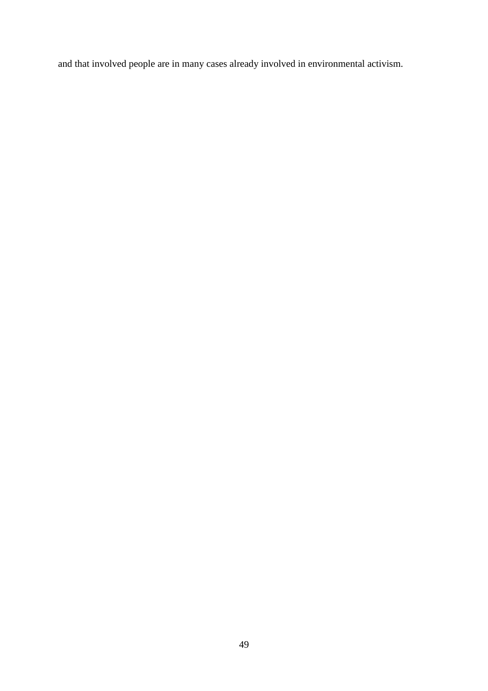and that involved people are in many cases already involved in environmental activism.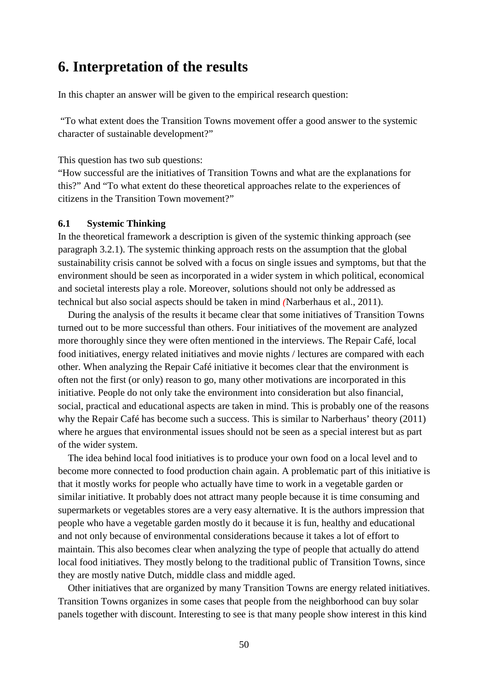## **6. Interpretation of the results**

In this chapter an answer will be given to the empirical research question:

 "To what extent does the Transition Towns movement offer a good answer to the systemic character of sustainable development?"

This question has two sub questions:

"How successful are the initiatives of Transition Towns and what are the explanations for this?" And "To what extent do these theoretical approaches relate to the experiences of citizens in the Transition Town movement?"

#### **6.1 Systemic Thinking**

In the theoretical framework a description is given of the systemic thinking approach (see paragraph 3.2.1). The systemic thinking approach rests on the assumption that the global sustainability crisis cannot be solved with a focus on single issues and symptoms, but that the environment should be seen as incorporated in a wider system in which political, economical and societal interests play a role. Moreover, solutions should not only be addressed as technical but also social aspects should be taken in mind *(*Narberhaus et al., 2011).

 During the analysis of the results it became clear that some initiatives of Transition Towns turned out to be more successful than others. Four initiatives of the movement are analyzed more thoroughly since they were often mentioned in the interviews. The Repair Café, local food initiatives, energy related initiatives and movie nights / lectures are compared with each other. When analyzing the Repair Café initiative it becomes clear that the environment is often not the first (or only) reason to go, many other motivations are incorporated in this initiative. People do not only take the environment into consideration but also financial, social, practical and educational aspects are taken in mind. This is probably one of the reasons why the Repair Café has become such a success. This is similar to Narberhaus' theory (2011) where he argues that environmental issues should not be seen as a special interest but as part of the wider system.

 The idea behind local food initiatives is to produce your own food on a local level and to become more connected to food production chain again. A problematic part of this initiative is that it mostly works for people who actually have time to work in a vegetable garden or similar initiative. It probably does not attract many people because it is time consuming and supermarkets or vegetables stores are a very easy alternative. It is the authors impression that people who have a vegetable garden mostly do it because it is fun, healthy and educational and not only because of environmental considerations because it takes a lot of effort to maintain. This also becomes clear when analyzing the type of people that actually do attend local food initiatives. They mostly belong to the traditional public of Transition Towns, since they are mostly native Dutch, middle class and middle aged.

 Other initiatives that are organized by many Transition Towns are energy related initiatives. Transition Towns organizes in some cases that people from the neighborhood can buy solar panels together with discount. Interesting to see is that many people show interest in this kind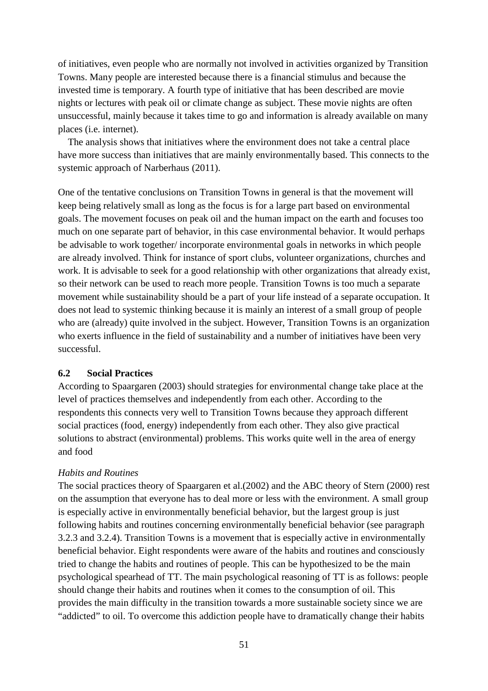of initiatives, even people who are normally not involved in activities organized by Transition Towns. Many people are interested because there is a financial stimulus and because the invested time is temporary. A fourth type of initiative that has been described are movie nights or lectures with peak oil or climate change as subject. These movie nights are often unsuccessful, mainly because it takes time to go and information is already available on many places (i.e. internet).

 The analysis shows that initiatives where the environment does not take a central place have more success than initiatives that are mainly environmentally based. This connects to the systemic approach of Narberhaus (2011).

One of the tentative conclusions on Transition Towns in general is that the movement will keep being relatively small as long as the focus is for a large part based on environmental goals. The movement focuses on peak oil and the human impact on the earth and focuses too much on one separate part of behavior, in this case environmental behavior. It would perhaps be advisable to work together/ incorporate environmental goals in networks in which people are already involved. Think for instance of sport clubs, volunteer organizations, churches and work. It is advisable to seek for a good relationship with other organizations that already exist, so their network can be used to reach more people. Transition Towns is too much a separate movement while sustainability should be a part of your life instead of a separate occupation. It does not lead to systemic thinking because it is mainly an interest of a small group of people who are (already) quite involved in the subject. However, Transition Towns is an organization who exerts influence in the field of sustainability and a number of initiatives have been very successful.

## **6.2 Social Practices**

According to Spaargaren (2003) should strategies for environmental change take place at the level of practices themselves and independently from each other. According to the respondents this connects very well to Transition Towns because they approach different social practices (food, energy) independently from each other. They also give practical solutions to abstract (environmental) problems. This works quite well in the area of energy and food

## *Habits and Routines*

The social practices theory of Spaargaren et al.(2002) and the ABC theory of Stern (2000) rest on the assumption that everyone has to deal more or less with the environment. A small group is especially active in environmentally beneficial behavior, but the largest group is just following habits and routines concerning environmentally beneficial behavior (see paragraph 3.2.3 and 3.2.4). Transition Towns is a movement that is especially active in environmentally beneficial behavior. Eight respondents were aware of the habits and routines and consciously tried to change the habits and routines of people. This can be hypothesized to be the main psychological spearhead of TT. The main psychological reasoning of TT is as follows: people should change their habits and routines when it comes to the consumption of oil. This provides the main difficulty in the transition towards a more sustainable society since we are "addicted" to oil. To overcome this addiction people have to dramatically change their habits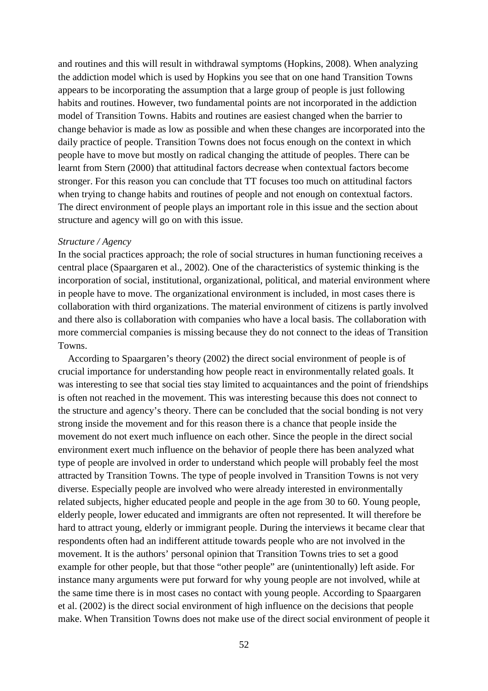and routines and this will result in withdrawal symptoms (Hopkins, 2008). When analyzing the addiction model which is used by Hopkins you see that on one hand Transition Towns appears to be incorporating the assumption that a large group of people is just following habits and routines. However, two fundamental points are not incorporated in the addiction model of Transition Towns. Habits and routines are easiest changed when the barrier to change behavior is made as low as possible and when these changes are incorporated into the daily practice of people. Transition Towns does not focus enough on the context in which people have to move but mostly on radical changing the attitude of peoples. There can be learnt from Stern (2000) that attitudinal factors decrease when contextual factors become stronger. For this reason you can conclude that TT focuses too much on attitudinal factors when trying to change habits and routines of people and not enough on contextual factors. The direct environment of people plays an important role in this issue and the section about structure and agency will go on with this issue.

#### *Structure / Agency*

In the social practices approach; the role of social structures in human functioning receives a central place (Spaargaren et al., 2002). One of the characteristics of systemic thinking is the incorporation of social, institutional, organizational, political, and material environment where in people have to move. The organizational environment is included, in most cases there is collaboration with third organizations. The material environment of citizens is partly involved and there also is collaboration with companies who have a local basis. The collaboration with more commercial companies is missing because they do not connect to the ideas of Transition Towns.

 According to Spaargaren's theory (2002) the direct social environment of people is of crucial importance for understanding how people react in environmentally related goals. It was interesting to see that social ties stay limited to acquaintances and the point of friendships is often not reached in the movement. This was interesting because this does not connect to the structure and agency's theory. There can be concluded that the social bonding is not very strong inside the movement and for this reason there is a chance that people inside the movement do not exert much influence on each other. Since the people in the direct social environment exert much influence on the behavior of people there has been analyzed what type of people are involved in order to understand which people will probably feel the most attracted by Transition Towns. The type of people involved in Transition Towns is not very diverse. Especially people are involved who were already interested in environmentally related subjects, higher educated people and people in the age from 30 to 60. Young people, elderly people, lower educated and immigrants are often not represented. It will therefore be hard to attract young, elderly or immigrant people. During the interviews it became clear that respondents often had an indifferent attitude towards people who are not involved in the movement. It is the authors' personal opinion that Transition Towns tries to set a good example for other people, but that those "other people" are (unintentionally) left aside. For instance many arguments were put forward for why young people are not involved, while at the same time there is in most cases no contact with young people. According to Spaargaren et al. (2002) is the direct social environment of high influence on the decisions that people make. When Transition Towns does not make use of the direct social environment of people it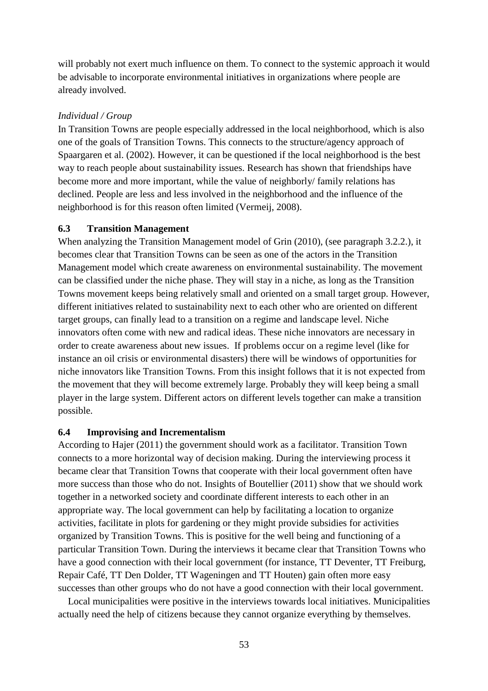will probably not exert much influence on them. To connect to the systemic approach it would be advisable to incorporate environmental initiatives in organizations where people are already involved.

## *Individual / Group*

In Transition Towns are people especially addressed in the local neighborhood, which is also one of the goals of Transition Towns. This connects to the structure/agency approach of Spaargaren et al. (2002). However, it can be questioned if the local neighborhood is the best way to reach people about sustainability issues. Research has shown that friendships have become more and more important, while the value of neighborly/ family relations has declined. People are less and less involved in the neighborhood and the influence of the neighborhood is for this reason often limited (Vermeij, 2008).

## **6.3 Transition Management**

When analyzing the Transition Management model of Grin (2010), (see paragraph 3.2.2.), it becomes clear that Transition Towns can be seen as one of the actors in the Transition Management model which create awareness on environmental sustainability. The movement can be classified under the niche phase. They will stay in a niche, as long as the Transition Towns movement keeps being relatively small and oriented on a small target group. However, different initiatives related to sustainability next to each other who are oriented on different target groups, can finally lead to a transition on a regime and landscape level. Niche innovators often come with new and radical ideas. These niche innovators are necessary in order to create awareness about new issues. If problems occur on a regime level (like for instance an oil crisis or environmental disasters) there will be windows of opportunities for niche innovators like Transition Towns. From this insight follows that it is not expected from the movement that they will become extremely large. Probably they will keep being a small player in the large system. Different actors on different levels together can make a transition possible.

## **6.4 Improvising and Incrementalism**

According to Hajer (2011) the government should work as a facilitator. Transition Town connects to a more horizontal way of decision making. During the interviewing process it became clear that Transition Towns that cooperate with their local government often have more success than those who do not. Insights of Boutellier (2011) show that we should work together in a networked society and coordinate different interests to each other in an appropriate way. The local government can help by facilitating a location to organize activities, facilitate in plots for gardening or they might provide subsidies for activities organized by Transition Towns. This is positive for the well being and functioning of a particular Transition Town. During the interviews it became clear that Transition Towns who have a good connection with their local government (for instance, TT Deventer, TT Freiburg, Repair Café, TT Den Dolder, TT Wageningen and TT Houten) gain often more easy successes than other groups who do not have a good connection with their local government.

 Local municipalities were positive in the interviews towards local initiatives. Municipalities actually need the help of citizens because they cannot organize everything by themselves.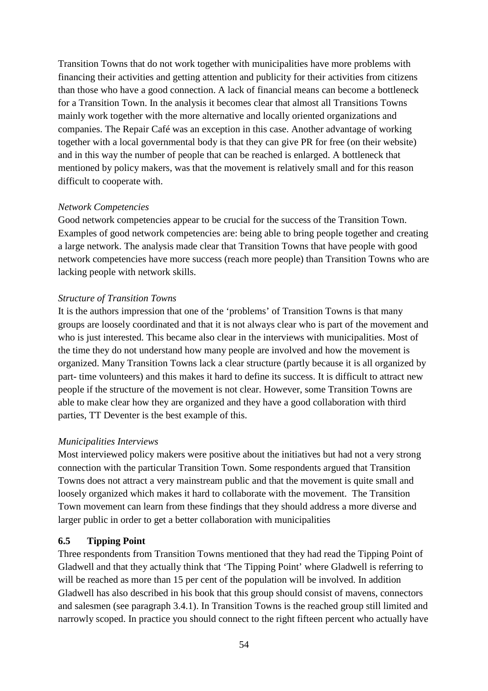Transition Towns that do not work together with municipalities have more problems with financing their activities and getting attention and publicity for their activities from citizens than those who have a good connection. A lack of financial means can become a bottleneck for a Transition Town. In the analysis it becomes clear that almost all Transitions Towns mainly work together with the more alternative and locally oriented organizations and companies. The Repair Café was an exception in this case. Another advantage of working together with a local governmental body is that they can give PR for free (on their website) and in this way the number of people that can be reached is enlarged. A bottleneck that mentioned by policy makers, was that the movement is relatively small and for this reason difficult to cooperate with.

## *Network Competencies*

Good network competencies appear to be crucial for the success of the Transition Town. Examples of good network competencies are: being able to bring people together and creating a large network. The analysis made clear that Transition Towns that have people with good network competencies have more success (reach more people) than Transition Towns who are lacking people with network skills.

## *Structure of Transition Towns*

It is the authors impression that one of the 'problems' of Transition Towns is that many groups are loosely coordinated and that it is not always clear who is part of the movement and who is just interested. This became also clear in the interviews with municipalities. Most of the time they do not understand how many people are involved and how the movement is organized. Many Transition Towns lack a clear structure (partly because it is all organized by part- time volunteers) and this makes it hard to define its success. It is difficult to attract new people if the structure of the movement is not clear. However, some Transition Towns are able to make clear how they are organized and they have a good collaboration with third parties, TT Deventer is the best example of this.

### *Municipalities Interviews*

Most interviewed policy makers were positive about the initiatives but had not a very strong connection with the particular Transition Town. Some respondents argued that Transition Towns does not attract a very mainstream public and that the movement is quite small and loosely organized which makes it hard to collaborate with the movement. The Transition Town movement can learn from these findings that they should address a more diverse and larger public in order to get a better collaboration with municipalities

## **6.5 Tipping Point**

Three respondents from Transition Towns mentioned that they had read the Tipping Point of Gladwell and that they actually think that 'The Tipping Point' where Gladwell is referring to will be reached as more than 15 per cent of the population will be involved. In addition Gladwell has also described in his book that this group should consist of mavens, connectors and salesmen (see paragraph 3.4.1). In Transition Towns is the reached group still limited and narrowly scoped. In practice you should connect to the right fifteen percent who actually have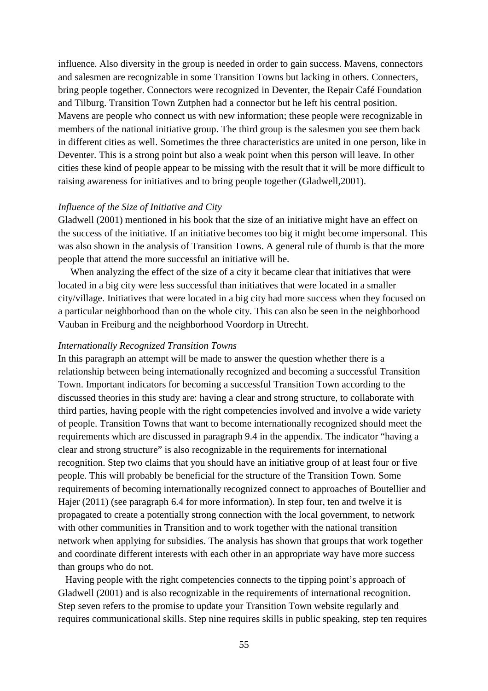influence. Also diversity in the group is needed in order to gain success. Mavens, connectors and salesmen are recognizable in some Transition Towns but lacking in others. Connecters, bring people together. Connectors were recognized in Deventer, the Repair Café Foundation and Tilburg. Transition Town Zutphen had a connector but he left his central position. Mavens are people who connect us with new information; these people were recognizable in members of the national initiative group. The third group is the salesmen you see them back in different cities as well. Sometimes the three characteristics are united in one person, like in Deventer. This is a strong point but also a weak point when this person will leave. In other cities these kind of people appear to be missing with the result that it will be more difficult to raising awareness for initiatives and to bring people together (Gladwell,2001).

#### *Influence of the Size of Initiative and City*

Gladwell (2001) mentioned in his book that the size of an initiative might have an effect on the success of the initiative. If an initiative becomes too big it might become impersonal. This was also shown in the analysis of Transition Towns. A general rule of thumb is that the more people that attend the more successful an initiative will be.

 When analyzing the effect of the size of a city it became clear that initiatives that were located in a big city were less successful than initiatives that were located in a smaller city/village. Initiatives that were located in a big city had more success when they focused on a particular neighborhood than on the whole city. This can also be seen in the neighborhood Vauban in Freiburg and the neighborhood Voordorp in Utrecht.

#### *Internationally Recognized Transition Towns*

In this paragraph an attempt will be made to answer the question whether there is a relationship between being internationally recognized and becoming a successful Transition Town. Important indicators for becoming a successful Transition Town according to the discussed theories in this study are: having a clear and strong structure, to collaborate with third parties, having people with the right competencies involved and involve a wide variety of people. Transition Towns that want to become internationally recognized should meet the requirements which are discussed in paragraph 9.4 in the appendix. The indicator "having a clear and strong structure" is also recognizable in the requirements for international recognition. Step two claims that you should have an initiative group of at least four or five people. This will probably be beneficial for the structure of the Transition Town. Some requirements of becoming internationally recognized connect to approaches of Boutellier and Hajer (2011) (see paragraph 6.4 for more information). In step four, ten and twelve it is propagated to create a potentially strong connection with the local government, to network with other communities in Transition and to work together with the national transition network when applying for subsidies. The analysis has shown that groups that work together and coordinate different interests with each other in an appropriate way have more success than groups who do not.

 Having people with the right competencies connects to the tipping point's approach of Gladwell (2001) and is also recognizable in the requirements of international recognition. Step seven refers to the promise to update your Transition Town website regularly and requires communicational skills. Step nine requires skills in public speaking, step ten requires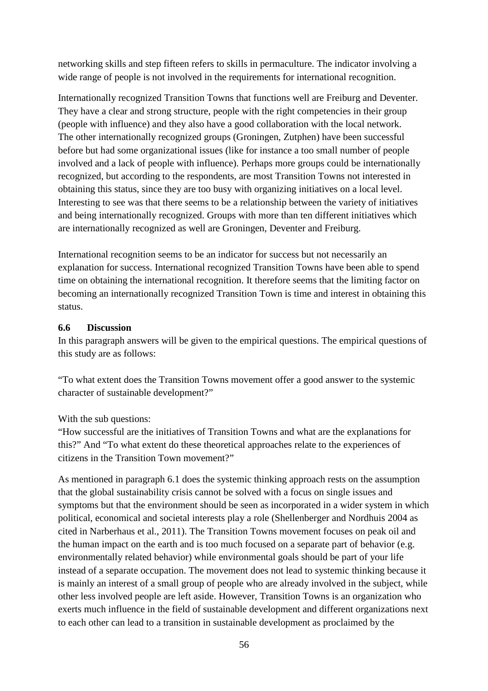networking skills and step fifteen refers to skills in permaculture. The indicator involving a wide range of people is not involved in the requirements for international recognition.

Internationally recognized Transition Towns that functions well are Freiburg and Deventer. They have a clear and strong structure, people with the right competencies in their group (people with influence) and they also have a good collaboration with the local network. The other internationally recognized groups (Groningen, Zutphen) have been successful before but had some organizational issues (like for instance a too small number of people involved and a lack of people with influence). Perhaps more groups could be internationally recognized, but according to the respondents, are most Transition Towns not interested in obtaining this status, since they are too busy with organizing initiatives on a local level. Interesting to see was that there seems to be a relationship between the variety of initiatives and being internationally recognized. Groups with more than ten different initiatives which are internationally recognized as well are Groningen, Deventer and Freiburg.

International recognition seems to be an indicator for success but not necessarily an explanation for success. International recognized Transition Towns have been able to spend time on obtaining the international recognition. It therefore seems that the limiting factor on becoming an internationally recognized Transition Town is time and interest in obtaining this status.

## **6.6 Discussion**

In this paragraph answers will be given to the empirical questions. The empirical questions of this study are as follows:

"To what extent does the Transition Towns movement offer a good answer to the systemic character of sustainable development?"

## With the sub questions:

"How successful are the initiatives of Transition Towns and what are the explanations for this?" And "To what extent do these theoretical approaches relate to the experiences of citizens in the Transition Town movement?"

As mentioned in paragraph 6.1 does the systemic thinking approach rests on the assumption that the global sustainability crisis cannot be solved with a focus on single issues and symptoms but that the environment should be seen as incorporated in a wider system in which political, economical and societal interests play a role (Shellenberger and Nordhuis 2004 as cited in Narberhaus et al., 2011). The Transition Towns movement focuses on peak oil and the human impact on the earth and is too much focused on a separate part of behavior (e.g. environmentally related behavior) while environmental goals should be part of your life instead of a separate occupation. The movement does not lead to systemic thinking because it is mainly an interest of a small group of people who are already involved in the subject, while other less involved people are left aside. However, Transition Towns is an organization who exerts much influence in the field of sustainable development and different organizations next to each other can lead to a transition in sustainable development as proclaimed by the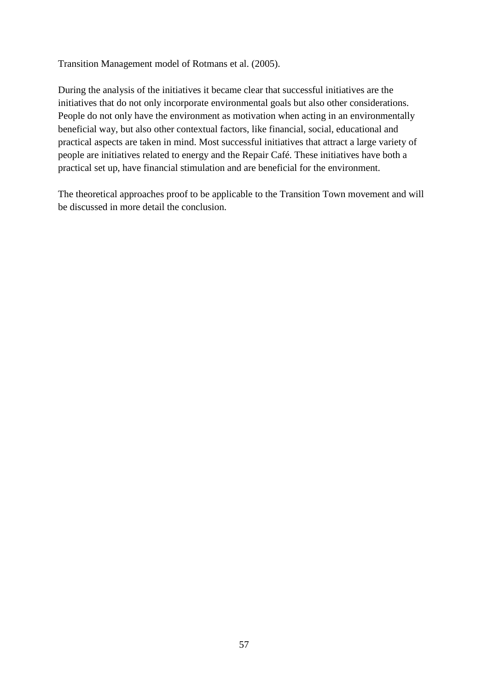Transition Management model of Rotmans et al. (2005).

During the analysis of the initiatives it became clear that successful initiatives are the initiatives that do not only incorporate environmental goals but also other considerations. People do not only have the environment as motivation when acting in an environmentally beneficial way, but also other contextual factors, like financial, social, educational and practical aspects are taken in mind. Most successful initiatives that attract a large variety of people are initiatives related to energy and the Repair Café. These initiatives have both a practical set up, have financial stimulation and are beneficial for the environment.

The theoretical approaches proof to be applicable to the Transition Town movement and will be discussed in more detail the conclusion.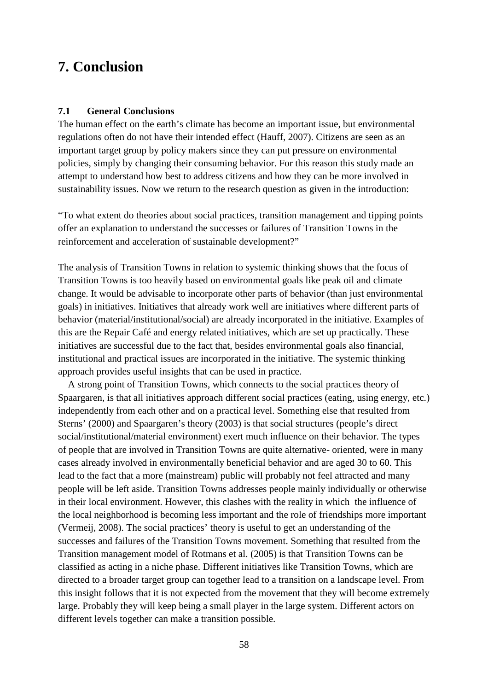## **7. Conclusion**

#### **7.1 General Conclusions**

The human effect on the earth's climate has become an important issue, but environmental regulations often do not have their intended effect (Hauff, 2007). Citizens are seen as an important target group by policy makers since they can put pressure on environmental policies, simply by changing their consuming behavior. For this reason this study made an attempt to understand how best to address citizens and how they can be more involved in sustainability issues. Now we return to the research question as given in the introduction:

"To what extent do theories about social practices, transition management and tipping points offer an explanation to understand the successes or failures of Transition Towns in the reinforcement and acceleration of sustainable development?"

The analysis of Transition Towns in relation to systemic thinking shows that the focus of Transition Towns is too heavily based on environmental goals like peak oil and climate change. It would be advisable to incorporate other parts of behavior (than just environmental goals) in initiatives. Initiatives that already work well are initiatives where different parts of behavior (material/institutional/social) are already incorporated in the initiative. Examples of this are the Repair Café and energy related initiatives, which are set up practically. These initiatives are successful due to the fact that, besides environmental goals also financial, institutional and practical issues are incorporated in the initiative. The systemic thinking approach provides useful insights that can be used in practice.

 A strong point of Transition Towns, which connects to the social practices theory of Spaargaren, is that all initiatives approach different social practices (eating, using energy, etc.) independently from each other and on a practical level. Something else that resulted from Sterns' (2000) and Spaargaren's theory (2003) is that social structures (people's direct social/institutional/material environment) exert much influence on their behavior. The types of people that are involved in Transition Towns are quite alternative- oriented, were in many cases already involved in environmentally beneficial behavior and are aged 30 to 60. This lead to the fact that a more (mainstream) public will probably not feel attracted and many people will be left aside. Transition Towns addresses people mainly individually or otherwise in their local environment. However, this clashes with the reality in which the influence of the local neighborhood is becoming less important and the role of friendships more important (Vermeij, 2008). The social practices' theory is useful to get an understanding of the successes and failures of the Transition Towns movement. Something that resulted from the Transition management model of Rotmans et al. (2005) is that Transition Towns can be classified as acting in a niche phase. Different initiatives like Transition Towns, which are directed to a broader target group can together lead to a transition on a landscape level. From this insight follows that it is not expected from the movement that they will become extremely large. Probably they will keep being a small player in the large system. Different actors on different levels together can make a transition possible.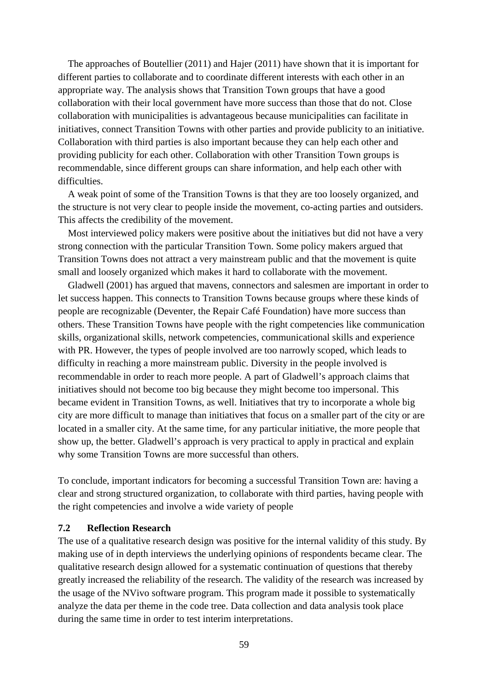The approaches of Boutellier (2011) and Hajer (2011) have shown that it is important for different parties to collaborate and to coordinate different interests with each other in an appropriate way. The analysis shows that Transition Town groups that have a good collaboration with their local government have more success than those that do not. Close collaboration with municipalities is advantageous because municipalities can facilitate in initiatives, connect Transition Towns with other parties and provide publicity to an initiative. Collaboration with third parties is also important because they can help each other and providing publicity for each other. Collaboration with other Transition Town groups is recommendable, since different groups can share information, and help each other with difficulties.

 A weak point of some of the Transition Towns is that they are too loosely organized, and the structure is not very clear to people inside the movement, co-acting parties and outsiders. This affects the credibility of the movement.

 Most interviewed policy makers were positive about the initiatives but did not have a very strong connection with the particular Transition Town. Some policy makers argued that Transition Towns does not attract a very mainstream public and that the movement is quite small and loosely organized which makes it hard to collaborate with the movement.

 Gladwell (2001) has argued that mavens, connectors and salesmen are important in order to let success happen. This connects to Transition Towns because groups where these kinds of people are recognizable (Deventer, the Repair Café Foundation) have more success than others. These Transition Towns have people with the right competencies like communication skills, organizational skills, network competencies, communicational skills and experience with PR. However, the types of people involved are too narrowly scoped, which leads to difficulty in reaching a more mainstream public. Diversity in the people involved is recommendable in order to reach more people. A part of Gladwell's approach claims that initiatives should not become too big because they might become too impersonal. This became evident in Transition Towns, as well. Initiatives that try to incorporate a whole big city are more difficult to manage than initiatives that focus on a smaller part of the city or are located in a smaller city. At the same time, for any particular initiative, the more people that show up, the better. Gladwell's approach is very practical to apply in practical and explain why some Transition Towns are more successful than others.

To conclude, important indicators for becoming a successful Transition Town are: having a clear and strong structured organization, to collaborate with third parties, having people with the right competencies and involve a wide variety of people

#### **7.2 Reflection Research**

The use of a qualitative research design was positive for the internal validity of this study. By making use of in depth interviews the underlying opinions of respondents became clear. The qualitative research design allowed for a systematic continuation of questions that thereby greatly increased the reliability of the research. The validity of the research was increased by the usage of the NVivo software program. This program made it possible to systematically analyze the data per theme in the code tree. Data collection and data analysis took place during the same time in order to test interim interpretations.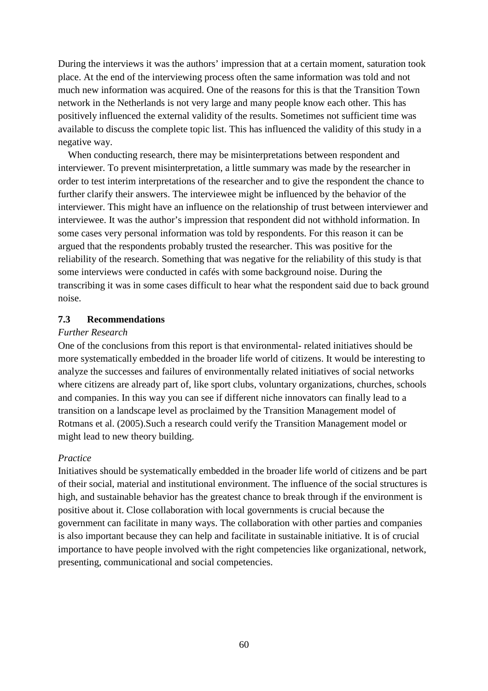During the interviews it was the authors' impression that at a certain moment, saturation took place. At the end of the interviewing process often the same information was told and not much new information was acquired. One of the reasons for this is that the Transition Town network in the Netherlands is not very large and many people know each other. This has positively influenced the external validity of the results. Sometimes not sufficient time was available to discuss the complete topic list. This has influenced the validity of this study in a negative way.

 When conducting research, there may be misinterpretations between respondent and interviewer. To prevent misinterpretation, a little summary was made by the researcher in order to test interim interpretations of the researcher and to give the respondent the chance to further clarify their answers. The interviewee might be influenced by the behavior of the interviewer. This might have an influence on the relationship of trust between interviewer and interviewee. It was the author's impression that respondent did not withhold information. In some cases very personal information was told by respondents. For this reason it can be argued that the respondents probably trusted the researcher. This was positive for the reliability of the research. Something that was negative for the reliability of this study is that some interviews were conducted in cafés with some background noise. During the transcribing it was in some cases difficult to hear what the respondent said due to back ground noise.

### **7.3 Recommendations**

### *Further Research*

One of the conclusions from this report is that environmental- related initiatives should be more systematically embedded in the broader life world of citizens. It would be interesting to analyze the successes and failures of environmentally related initiatives of social networks where citizens are already part of, like sport clubs, voluntary organizations, churches, schools and companies. In this way you can see if different niche innovators can finally lead to a transition on a landscape level as proclaimed by the Transition Management model of Rotmans et al. (2005).Such a research could verify the Transition Management model or might lead to new theory building.

## *Practice*

Initiatives should be systematically embedded in the broader life world of citizens and be part of their social, material and institutional environment. The influence of the social structures is high, and sustainable behavior has the greatest chance to break through if the environment is positive about it. Close collaboration with local governments is crucial because the government can facilitate in many ways. The collaboration with other parties and companies is also important because they can help and facilitate in sustainable initiative. It is of crucial importance to have people involved with the right competencies like organizational, network, presenting, communicational and social competencies.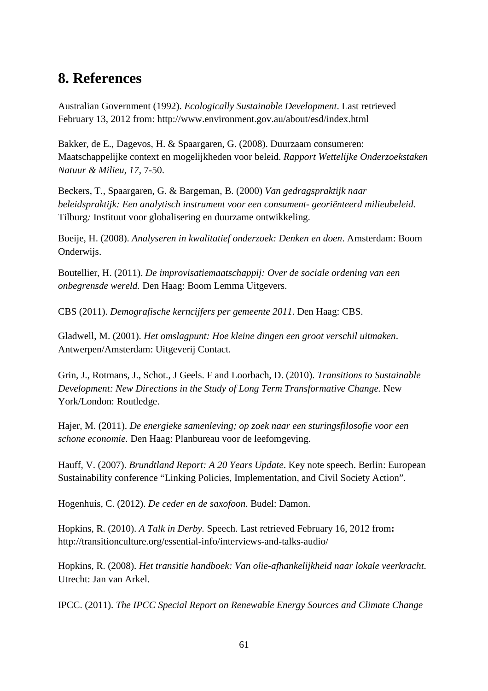# **8. References**

Australian Government (1992). *Ecologically Sustainable Development*. Last retrieved February 13, 2012 from: http://www.environment.gov.au/about/esd/index.html

Bakker, de E., Dagevos, H. & Spaargaren, G. (2008). Duurzaam consumeren: Maatschappelijke context en mogelijkheden voor beleid. *Rapport Wettelijke Onderzoekstaken Natuur & Milieu, 17*, 7-50.

Beckers, T., Spaargaren, G. & Bargeman, B. (2000) *Van gedragspraktijk naar beleidspraktijk: Een analytisch instrument voor een consument- georiënteerd milieubeleid.*  Tilburg*:* Instituut voor globalisering en duurzame ontwikkeling.

Boeije, H. (2008). *Analyseren in kwalitatief onderzoek: Denken en doen*. Amsterdam: Boom Onderwijs.

Boutellier, H. (2011). *De improvisatiemaatschappij: Over de sociale ordening van een onbegrensde wereld.* Den Haag: Boom Lemma Uitgevers.

CBS (2011). *Demografische kerncijfers per gemeente 2011*. Den Haag: CBS.

Gladwell, M. (2001). *Het omslagpunt: Hoe kleine dingen een groot verschil uitmaken*. Antwerpen/Amsterdam: Uitgeverij Contact.

Grin, J., Rotmans, J., Schot., J Geels. F and Loorbach, D. (2010). *Transitions to Sustainable Development: New Directions in the Study of Long Term Transformative Change.* New York/London: Routledge.

Hajer, M. (2011). *De energieke samenleving; op zoek naar een sturingsfilosofie voor een schone economie.* Den Haag: Planbureau voor de leefomgeving.

Hauff, V. (2007). *Brundtland Report: A 20 Years Update*. Key note speech. Berlin: European Sustainability conference "Linking Policies, Implementation, and Civil Society Action".

Hogenhuis, C. (2012). *De ceder en de saxofoon*. Budel: Damon.

Hopkins, R. (2010). *A Talk in Derby.* Speech. Last retrieved February 16, 2012 from**:**  http://transitionculture.org/essential-info/interviews-and-talks-audio/

Hopkins, R. (2008). *Het transitie handboek: Van olie-afhankelijkheid naar lokale veerkracht*. Utrecht: Jan van Arkel.

IPCC. (2011). *The IPCC Special Report on Renewable Energy Sources and Climate Change*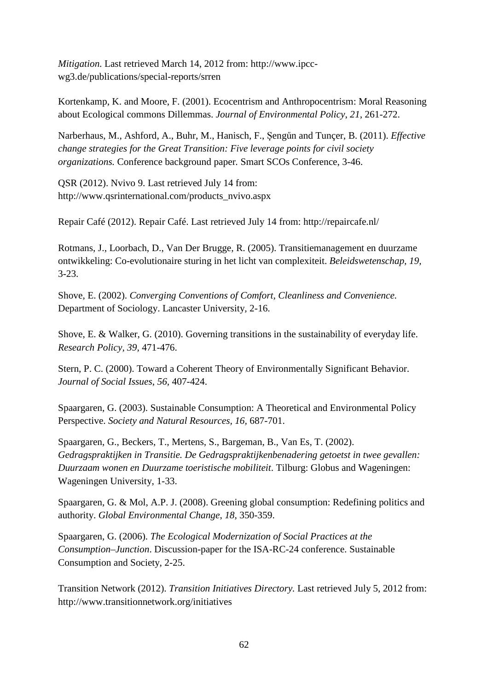*Mitigation.* Last retrieved March 14, 2012 from: http://www.ipccwg3.de/publications/special-reports/srren

Kortenkamp, K. and Moore, F. (2001). Ecocentrism and Anthropocentrism: Moral Reasoning about Ecological commons Dillemmas. *Journal of Environmental Policy*, *21*, 261-272.

Narberhaus, M., Ashford, A., Buhr, M., Hanisch, F., Şengűn and Tunçer, B. (2011). *Effective change strategies for the Great Transition: Five leverage points for civil society organizations.* Conference background paper*.* Smart SCOs Conference, 3-46.

QSR (2012). Nvivo 9. Last retrieved July 14 from: http://www.qsrinternational.com/products\_nvivo.aspx

Repair Café (2012). Repair Café. Last retrieved July 14 from: http://repaircafe.nl/

Rotmans, J., Loorbach, D., Van Der Brugge, R. (2005). Transitiemanagement en duurzame ontwikkeling: Co-evolutionaire sturing in het licht van complexiteit. *Beleidswetenschap, 19,* 3-23.

Shove, E. (2002). *Converging Conventions of Comfort, Cleanliness and Convenience.*  Department of Sociology. Lancaster University*,* 2-16.

Shove, E. & Walker, G. (2010). Governing transitions in the sustainability of everyday life. *Research Policy, 39,* 471-476.

Stern, P. C. (2000). Toward a Coherent Theory of Environmentally Significant Behavior. *Journal of Social Issues*, *56,* 407-424.

Spaargaren, G. (2003). Sustainable Consumption: A Theoretical and Environmental Policy Perspective. *Society and Natural Resources, 16,* 687-701.

Spaargaren, G., Beckers, T., Mertens, S., Bargeman, B., Van Es, T. (2002). *Gedragspraktijken in Transitie. De Gedragspraktijkenbenadering getoetst in twee gevallen: Duurzaam wonen en Duurzame toeristische mobiliteit*. Tilburg: Globus and Wageningen: Wageningen University, 1-33.

Spaargaren, G. & Mol, A.P. J. (2008). Greening global consumption: Redefining politics and authority. *Global Environmental Change*, *18*, 350-359.

Spaargaren, G. (2006). *The Ecological Modernization of Social Practices at the Consumption–Junction*. Discussion-paper for the ISA-RC-24 conference. Sustainable Consumption and Society, 2-25.

Transition Network (2012). *Transition Initiatives Directory.* Last retrieved July 5, 2012 from: http://www.transitionnetwork.org/initiatives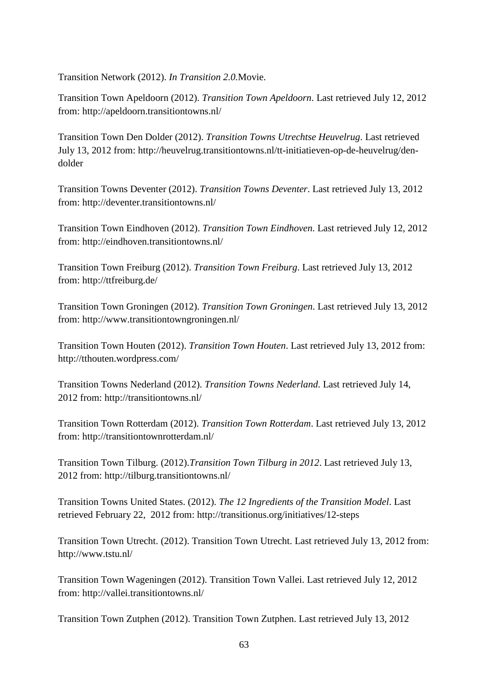Transition Network (2012). *In Transition 2.0.*Movie.

Transition Town Apeldoorn (2012). *Transition Town Apeldoorn*. Last retrieved July 12, 2012 from: http://apeldoorn.transitiontowns.nl/

Transition Town Den Dolder (2012). *Transition Towns Utrechtse Heuvelrug*. Last retrieved July 13, 2012 from: http://heuvelrug.transitiontowns.nl/tt-initiatieven-op-de-heuvelrug/dendolder

Transition Towns Deventer (2012). *Transition Towns Deventer*. Last retrieved July 13, 2012 from: http://deventer.transitiontowns.nl/

Transition Town Eindhoven (2012). *Transition Town Eindhoven*. Last retrieved July 12, 2012 from: http://eindhoven.transitiontowns.nl/

Transition Town Freiburg (2012). *Transition Town Freiburg*. Last retrieved July 13, 2012 from: http://ttfreiburg.de/

Transition Town Groningen (2012). *Transition Town Groningen*. Last retrieved July 13, 2012 from: http://www.transitiontowngroningen.nl/

Transition Town Houten (2012). *Transition Town Houten*. Last retrieved July 13, 2012 from: http://tthouten.wordpress.com/

Transition Towns Nederland (2012). *Transition Towns Nederland*. Last retrieved July 14, 2012 from: http://transitiontowns.nl/

Transition Town Rotterdam (2012). *Transition Town Rotterdam*. Last retrieved July 13, 2012 from: http://transitiontownrotterdam.nl/

Transition Town Tilburg. (2012).*Transition Town Tilburg in 2012*. Last retrieved July 13, 2012 from: http://tilburg.transitiontowns.nl/

Transition Towns United States. (2012). *The 12 Ingredients of the Transition Model*. Last retrieved February 22, 2012 from: http://transitionus.org/initiatives/12-steps

Transition Town Utrecht. (2012). Transition Town Utrecht. Last retrieved July 13, 2012 from: http://www.tstu.nl/

Transition Town Wageningen (2012). Transition Town Vallei. Last retrieved July 12, 2012 from: http://vallei.transitiontowns.nl/

Transition Town Zutphen (2012). Transition Town Zutphen. Last retrieved July 13, 2012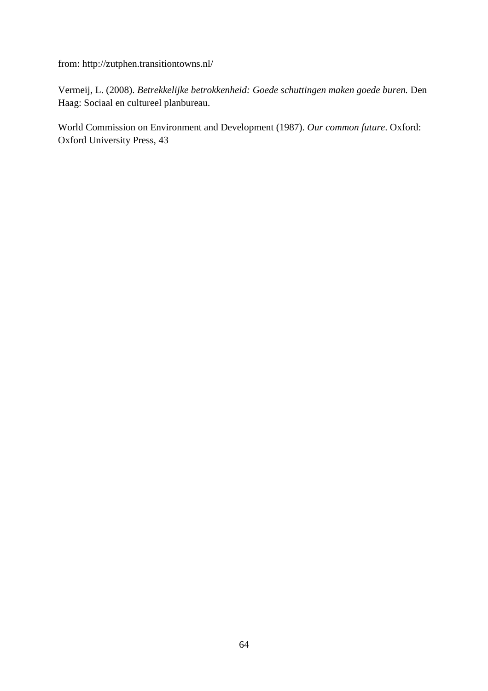from: http://zutphen.transitiontowns.nl/

Vermeij, L. (2008). *Betrekkelijke betrokkenheid: Goede schuttingen maken goede buren.* Den Haag: Sociaal en cultureel planbureau.

World Commission on Environment and Development (1987). *Our common future*. Oxford: Oxford University Press, 43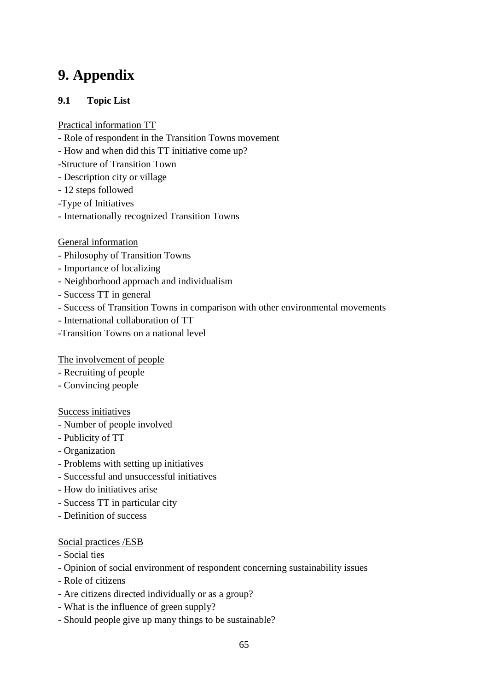# **9. Appendix**

## **9.1 Topic List**

## Practical information TT

- Role of respondent in the Transition Towns movement
- How and when did this TT initiative come up?
- -Structure of Transition Town
- Description city or village
- 12 steps followed
- -Type of Initiatives
- Internationally recognized Transition Towns

## General information

- Philosophy of Transition Towns
- Importance of localizing
- Neighborhood approach and individualism
- Success TT in general
- Success of Transition Towns in comparison with other environmental movements
- International collaboration of TT
- -Transition Towns on a national level

## The involvement of people

- Recruiting of people
- Convincing people

## Success initiatives

- Number of people involved
- Publicity of TT
- Organization
- Problems with setting up initiatives
- Successful and unsuccessful initiatives
- How do initiatives arise
- Success TT in particular city
- Definition of success

## Social practices /ESB

- Social ties
- Opinion of social environment of respondent concerning sustainability issues
- Role of citizens
- Are citizens directed individually or as a group?
- What is the influence of green supply?
- Should people give up many things to be sustainable?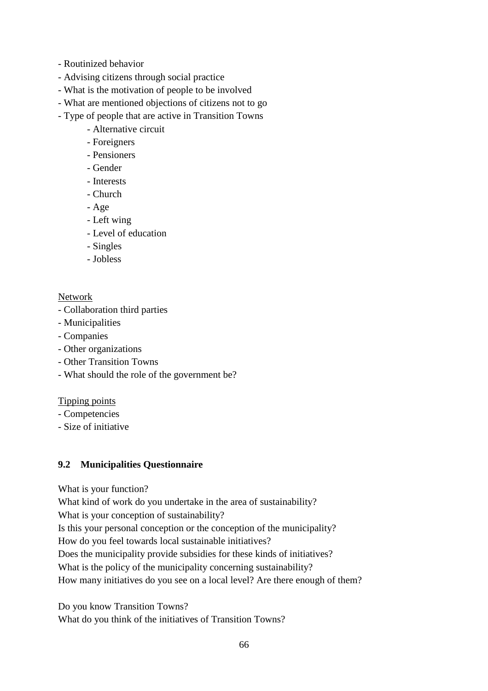- Routinized behavior
- Advising citizens through social practice
- What is the motivation of people to be involved
- What are mentioned objections of citizens not to go
- Type of people that are active in Transition Towns
	- Alternative circuit
	- Foreigners
	- Pensioners
	- Gender
	- Interests
	- Church
	- Age
	- Left wing
	- Level of education
	- Singles
	- Jobless

## Network

- Collaboration third parties
- Municipalities
- Companies
- Other organizations
- Other Transition Towns
- What should the role of the government be?

Tipping points

- Competencies
- Size of initiative

## **9.2 Municipalities Questionnaire**

What is your function?

What kind of work do you undertake in the area of sustainability?

What is your conception of sustainability?

Is this your personal conception or the conception of the municipality?

How do you feel towards local sustainable initiatives?

Does the municipality provide subsidies for these kinds of initiatives?

What is the policy of the municipality concerning sustainability?

How many initiatives do you see on a local level? Are there enough of them?

Do you know Transition Towns? What do you think of the initiatives of Transition Towns?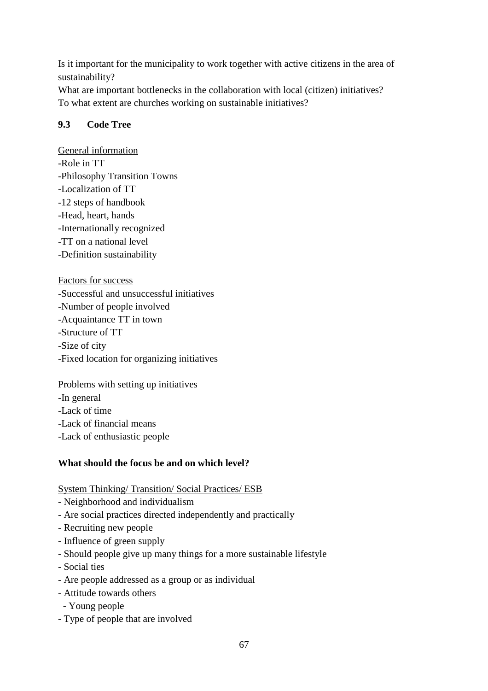Is it important for the municipality to work together with active citizens in the area of sustainability?

What are important bottlenecks in the collaboration with local (citizen) initiatives? To what extent are churches working on sustainable initiatives?

## **9.3 Code Tree**

General information -Role in TT -Philosophy Transition Towns -Localization of TT -12 steps of handbook -Head, heart, hands -Internationally recognized -TT on a national level -Definition sustainability

Factors for success

-Successful and unsuccessful initiatives

-Number of people involved

-Acquaintance TT in town

-Structure of TT

-Size of city

-Fixed location for organizing initiatives

## Problems with setting up initiatives

-In general

-Lack of time

-Lack of financial means

-Lack of enthusiastic people

## **What should the focus be and on which level?**

System Thinking/ Transition/ Social Practices/ ESB

- Neighborhood and individualism
- Are social practices directed independently and practically
- Recruiting new people
- Influence of green supply
- Should people give up many things for a more sustainable lifestyle
- Social ties
- Are people addressed as a group or as individual
- Attitude towards others
- Young people
- Type of people that are involved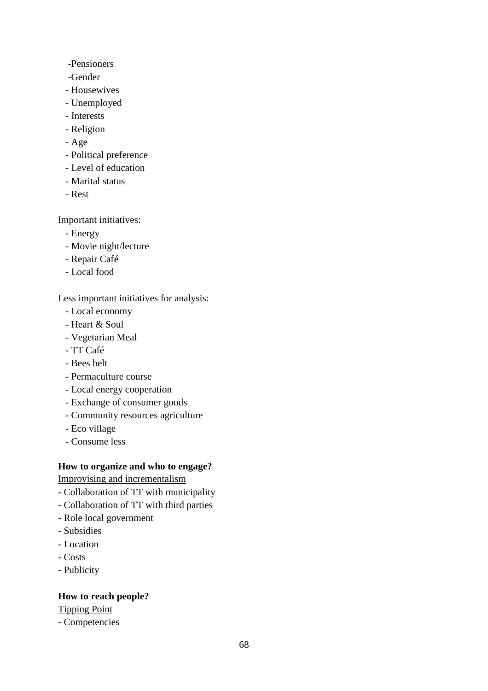- -Pensioners
- -Gender
- Housewives
- Unemployed
- Interests
- Religion
- Age
- Political preference
- Level of education
- Marital status
- Rest

Important initiatives:

- Energy
- Movie night/lecture
- Repair Café
- Local food

Less important initiatives for analysis:

- Local economy
- Heart & Soul
- Vegetarian Meal
- TT Café
- Bees belt
- Permaculture course
- Local energy cooperation
- Exchange of consumer goods
- Community resources agriculture
- Eco village
- Consume less

## **How to organize and who to engage?**

Improvising and incrementalism

- Collaboration of TT with municipality
- Collaboration of TT with third parties
- Role local government
- Subsidies
- Location
- Costs
- Publicity

## **How to reach people?**

Tipping Point

- Competencies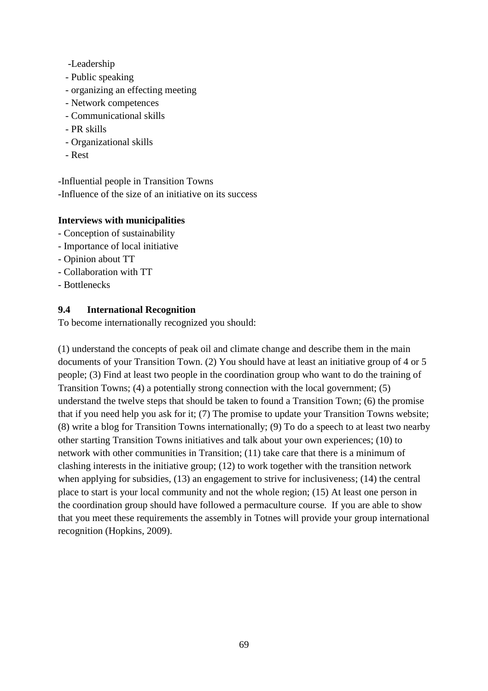- -Leadership
- Public speaking
- organizing an effecting meeting
- Network competences
- Communicational skills
- PR skills
- Organizational skills
- Rest

-Influential people in Transition Towns -Influence of the size of an initiative on its success

## **Interviews with municipalities**

- Conception of sustainability
- Importance of local initiative
- Opinion about TT
- Collaboration with TT
- Bottlenecks

## **9.4 International Recognition**

To become internationally recognized you should:

(1) understand the concepts of peak oil and climate change and describe them in the main documents of your Transition Town. (2) You should have at least an initiative group of 4 or 5 people; (3) Find at least two people in the coordination group who want to do the training of Transition Towns; (4) a potentially strong connection with the local government; (5) understand the twelve steps that should be taken to found a Transition Town; (6) the promise that if you need help you ask for it; (7) The promise to update your Transition Towns website; (8) write a blog for Transition Towns internationally; (9) To do a speech to at least two nearby other starting Transition Towns initiatives and talk about your own experiences; (10) to network with other communities in Transition; (11) take care that there is a minimum of clashing interests in the initiative group; (12) to work together with the transition network when applying for subsidies, (13) an engagement to strive for inclusiveness; (14) the central place to start is your local community and not the whole region; (15) At least one person in the coordination group should have followed a permaculture course. If you are able to show that you meet these requirements the assembly in Totnes will provide your group international recognition (Hopkins, 2009).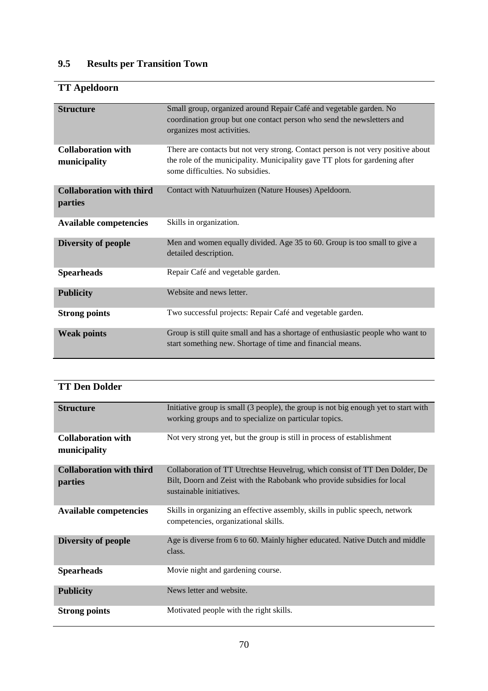# **9.5 Results per Transition Town**

# **TT Apeldoorn**

| <b>Structure</b>                           | Small group, organized around Repair Café and vegetable garden. No<br>coordination group but one contact person who send the newsletters and<br>organizes most activities.                            |
|--------------------------------------------|-------------------------------------------------------------------------------------------------------------------------------------------------------------------------------------------------------|
| <b>Collaboration with</b><br>municipality  | There are contacts but not very strong. Contact person is not very positive about<br>the role of the municipality. Municipality gave TT plots for gardening after<br>some difficulties. No subsidies. |
| <b>Collaboration with third</b><br>parties | Contact with Natuurhuizen (Nature Houses) Apeldoorn.                                                                                                                                                  |
| <b>Available competencies</b>              | Skills in organization.                                                                                                                                                                               |
| Diversity of people                        | Men and women equally divided. Age 35 to 60. Group is too small to give a<br>detailed description.                                                                                                    |
| <b>Spearheads</b>                          | Repair Café and vegetable garden.                                                                                                                                                                     |
| <b>Publicity</b>                           | Website and news letter.                                                                                                                                                                              |
| <b>Strong points</b>                       | Two successful projects: Repair Café and vegetable garden.                                                                                                                                            |
| <b>Weak points</b>                         | Group is still quite small and has a shortage of enthusiastic people who want to<br>start something new. Shortage of time and financial means.                                                        |

| <b>TT Den Dolder</b> |
|----------------------|
|----------------------|

| <b>Structure</b>                                  | Initiative group is small (3 people), the group is not big enough yet to start with<br>working groups and to specialize on particular topics.                                      |
|---------------------------------------------------|------------------------------------------------------------------------------------------------------------------------------------------------------------------------------------|
| <b>Collaboration with</b><br>municipality         | Not very strong yet, but the group is still in process of establishment                                                                                                            |
| <b>Collaboration with third</b><br><i>parties</i> | Collaboration of TT Utrechtse Heuvelrug, which consist of TT Den Dolder, De<br>Bilt, Doorn and Zeist with the Rabobank who provide subsidies for local<br>sustainable initiatives. |
| <b>Available competencies</b>                     | Skills in organizing an effective assembly, skills in public speech, network<br>competencies, organizational skills.                                                               |
| Diversity of people                               | Age is diverse from 6 to 60. Mainly higher educated. Native Dutch and middle<br>class.                                                                                             |
| <b>Spearheads</b>                                 | Movie night and gardening course.                                                                                                                                                  |
| <b>Publicity</b>                                  | News letter and website.                                                                                                                                                           |
| <b>Strong points</b>                              | Motivated people with the right skills.                                                                                                                                            |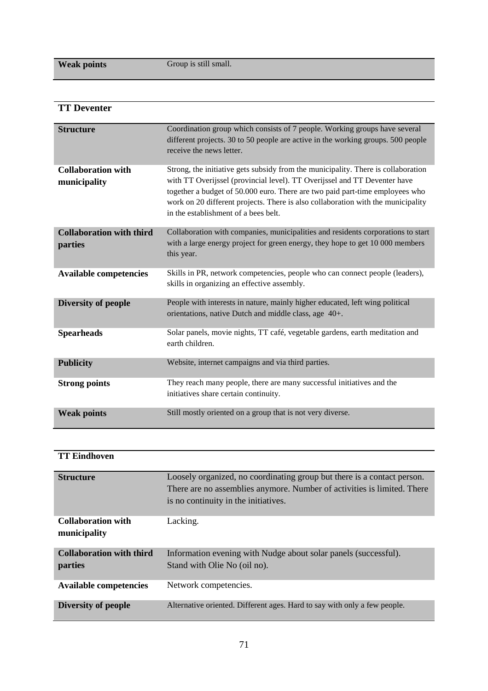**Weak points Group** is still small.

## **TT Deventer**

| <b>Structure</b>                           | Coordination group which consists of 7 people. Working groups have several<br>different projects. 30 to 50 people are active in the working groups. 500 people<br>receive the news letter.                                                                                                                                                                                 |
|--------------------------------------------|----------------------------------------------------------------------------------------------------------------------------------------------------------------------------------------------------------------------------------------------------------------------------------------------------------------------------------------------------------------------------|
| <b>Collaboration with</b><br>municipality  | Strong, the initiative gets subsidy from the municipality. There is collaboration<br>with TT Overijssel (provincial level). TT Overijssel and TT Deventer have<br>together a budget of 50.000 euro. There are two paid part-time employees who<br>work on 20 different projects. There is also collaboration with the municipality<br>in the establishment of a bees belt. |
| <b>Collaboration with third</b><br>parties | Collaboration with companies, municipalities and residents corporations to start<br>with a large energy project for green energy, they hope to get 10 000 members<br>this year.                                                                                                                                                                                            |
| <b>Available competencies</b>              | Skills in PR, network competencies, people who can connect people (leaders),<br>skills in organizing an effective assembly.                                                                                                                                                                                                                                                |
| Diversity of people                        | People with interests in nature, mainly higher educated, left wing political<br>orientations, native Dutch and middle class, age 40+.                                                                                                                                                                                                                                      |
| <b>Spearheads</b>                          | Solar panels, movie nights, TT café, vegetable gardens, earth meditation and<br>earth children.                                                                                                                                                                                                                                                                            |
| <b>Publicity</b>                           | Website, internet campaigns and via third parties.                                                                                                                                                                                                                                                                                                                         |
| <b>Strong points</b>                       | They reach many people, there are many successful initiatives and the<br>initiatives share certain continuity.                                                                                                                                                                                                                                                             |
| <b>Weak points</b>                         | Still mostly oriented on a group that is not very diverse.                                                                                                                                                                                                                                                                                                                 |

## **TT Eindhoven**

| <b>Structure</b>                | Loosely organized, no coordinating group but there is a contact person.<br>There are no assemblies anymore. Number of activities is limited. There<br>is no continuity in the initiatives. |
|---------------------------------|--------------------------------------------------------------------------------------------------------------------------------------------------------------------------------------------|
| <b>Collaboration with</b>       | Lacking.                                                                                                                                                                                   |
| municipality                    |                                                                                                                                                                                            |
| <b>Collaboration with third</b> | Information evening with Nudge about solar panels (successful).                                                                                                                            |
|                                 |                                                                                                                                                                                            |
| parties                         | Stand with Olie No (oil no).                                                                                                                                                               |
| <b>Available competencies</b>   | Network competencies.                                                                                                                                                                      |
| Diversity of people             | Alternative oriented. Different ages. Hard to say with only a few people.                                                                                                                  |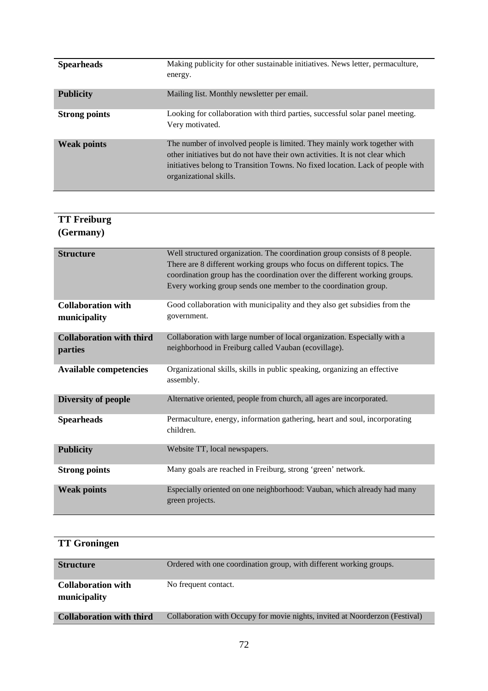| <b>Spearheads</b>    | Making publicity for other sustainable initiatives. News letter, permaculture,<br>energy.                                                                                                                                                                             |
|----------------------|-----------------------------------------------------------------------------------------------------------------------------------------------------------------------------------------------------------------------------------------------------------------------|
| <b>Publicity</b>     | Mailing list. Monthly newsletter per email.                                                                                                                                                                                                                           |
| <b>Strong points</b> | Looking for collaboration with third parties, successful solar panel meeting.<br>Very motivated.                                                                                                                                                                      |
| <b>Weak points</b>   | The number of involved people is limited. They mainly work together with<br>other initiatives but do not have their own activities. It is not clear which<br>initiatives belong to Transition Towns. No fixed location. Lack of people with<br>organizational skills. |

## **TT Freiburg (Germany)**

| <b>Structure</b>                           | Well structured organization. The coordination group consists of 8 people.<br>There are 8 different working groups who focus on different topics. The<br>coordination group has the coordination over the different working groups.<br>Every working group sends one member to the coordination group. |
|--------------------------------------------|--------------------------------------------------------------------------------------------------------------------------------------------------------------------------------------------------------------------------------------------------------------------------------------------------------|
| <b>Collaboration with</b><br>municipality  | Good collaboration with municipality and they also get subsidies from the<br>government.                                                                                                                                                                                                               |
| <b>Collaboration with third</b><br>parties | Collaboration with large number of local organization. Especially with a<br>neighborhood in Freiburg called Vauban (ecovillage).                                                                                                                                                                       |
| <b>Available competencies</b>              | Organizational skills, skills in public speaking, organizing an effective<br>assembly.                                                                                                                                                                                                                 |
| Diversity of people                        | Alternative oriented, people from church, all ages are incorporated.                                                                                                                                                                                                                                   |
| <b>Spearheads</b>                          | Permaculture, energy, information gathering, heart and soul, incorporating<br>children.                                                                                                                                                                                                                |
| <b>Publicity</b>                           | Website TT, local newspapers.                                                                                                                                                                                                                                                                          |
| <b>Strong points</b>                       | Many goals are reached in Freiburg, strong 'green' network.                                                                                                                                                                                                                                            |
| <b>Weak points</b>                         | Especially oriented on one neighborhood: Vauban, which already had many<br>green projects.                                                                                                                                                                                                             |

# **TT Groningen**

| <b>Structure</b>                          | Ordered with one coordination group, with different working groups.          |
|-------------------------------------------|------------------------------------------------------------------------------|
| <b>Collaboration with</b><br>municipality | No frequent contact.                                                         |
| <b>Collaboration with third</b>           | Collaboration with Occupy for movie nights, invited at Noorderzon (Festival) |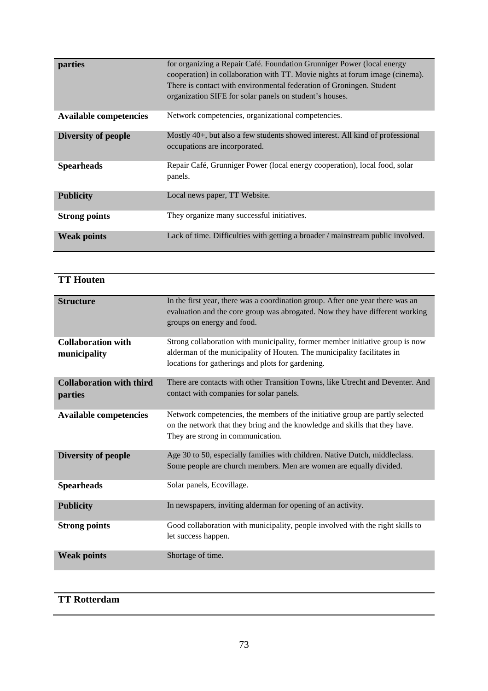| parties                       | for organizing a Repair Café. Foundation Grunniger Power (local energy<br>cooperation) in collaboration with TT. Movie nights at forum image (cinema).<br>There is contact with environmental federation of Groningen. Student<br>organization SIFE for solar panels on student's houses. |
|-------------------------------|-------------------------------------------------------------------------------------------------------------------------------------------------------------------------------------------------------------------------------------------------------------------------------------------|
| <b>Available competencies</b> | Network competencies, organizational competencies.                                                                                                                                                                                                                                        |
| Diversity of people           | Mostly 40+, but also a few students showed interest. All kind of professional<br>occupations are incorporated.                                                                                                                                                                            |
| <b>Spearheads</b>             | Repair Café, Grunniger Power (local energy cooperation), local food, solar<br>panels.                                                                                                                                                                                                     |
| <b>Publicity</b>              | Local news paper, TT Website.                                                                                                                                                                                                                                                             |
| <b>Strong points</b>          | They organize many successful initiatives.                                                                                                                                                                                                                                                |
| <b>Weak points</b>            | Lack of time. Difficulties with getting a broader / mainstream public involved.                                                                                                                                                                                                           |

| <b>TT Houten</b>                           |                                                                                                                                                                                                               |
|--------------------------------------------|---------------------------------------------------------------------------------------------------------------------------------------------------------------------------------------------------------------|
| <b>Structure</b>                           | In the first year, there was a coordination group. After one year there was an<br>evaluation and the core group was abrogated. Now they have different working<br>groups on energy and food.                  |
| <b>Collaboration with</b><br>municipality  | Strong collaboration with municipality, former member initiative group is now<br>alderman of the municipality of Houten. The municipality facilitates in<br>locations for gatherings and plots for gardening. |
| <b>Collaboration with third</b><br>parties | There are contacts with other Transition Towns, like Utrecht and Deventer. And<br>contact with companies for solar panels.                                                                                    |
| <b>Available competencies</b>              | Network competencies, the members of the initiative group are partly selected<br>on the network that they bring and the knowledge and skills that they have.<br>They are strong in communication.             |
| Diversity of people                        | Age 30 to 50, especially families with children. Native Dutch, middleclass.<br>Some people are church members. Men are women are equally divided.                                                             |
| <b>Spearheads</b>                          | Solar panels, Ecovillage.                                                                                                                                                                                     |
| <b>Publicity</b>                           | In newspapers, inviting alderman for opening of an activity.                                                                                                                                                  |
| <b>Strong points</b>                       | Good collaboration with municipality, people involved with the right skills to<br>let success happen.                                                                                                         |
| <b>Weak points</b>                         | Shortage of time.                                                                                                                                                                                             |

## **TT Rotterdam**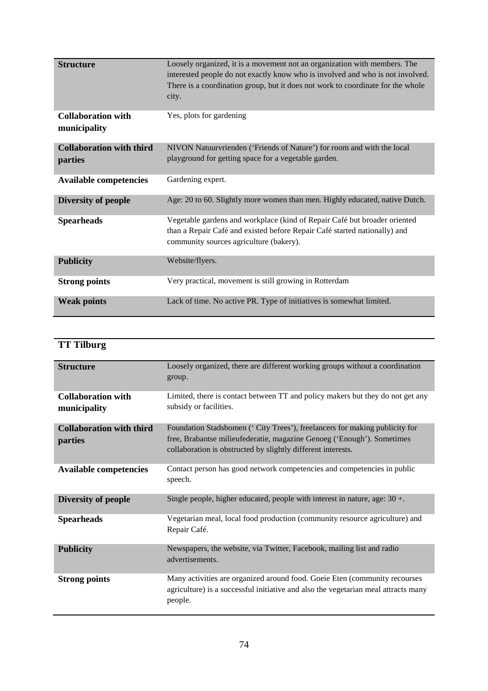| <b>Structure</b>                          | Loosely organized, it is a movement not an organization with members. The                                            |
|-------------------------------------------|----------------------------------------------------------------------------------------------------------------------|
|                                           | interested people do not exactly know who is involved and who is not involved.                                       |
|                                           | There is a coordination group, but it does not work to coordinate for the whole                                      |
|                                           | city.                                                                                                                |
| <b>Collaboration with</b><br>municipality | Yes, plots for gardening                                                                                             |
| <b>Collaboration with third</b>           | NIVON Natuurvrienden ('Friends of Nature') for room and with the local                                               |
| parties                                   | playground for getting space for a vegetable garden.                                                                 |
| <b>Available competencies</b>             | Gardening expert.                                                                                                    |
| Diversity of people                       | Age: 20 to 60. Slightly more women than men. Highly educated, native Dutch.                                          |
| <b>Spearheads</b>                         | Vegetable gardens and workplace (kind of Repair Café but broader oriented                                            |
|                                           | than a Repair Café and existed before Repair Café started nationally) and<br>community sources agriculture (bakery). |
| <b>Publicity</b>                          | Website/flyers.                                                                                                      |
| <b>Strong points</b>                      | Very practical, movement is still growing in Rotterdam                                                               |
| <b>Weak points</b>                        | Lack of time. No active PR. Type of initiatives is somewhat limited.                                                 |

## **TT Tilburg**

| <b>Structure</b>                           | Loosely organized, there are different working groups without a coordination<br>group.                                                                                                                               |
|--------------------------------------------|----------------------------------------------------------------------------------------------------------------------------------------------------------------------------------------------------------------------|
| <b>Collaboration with</b><br>municipality  | Limited, there is contact between TT and policy makers but they do not get any<br>subsidy or facilities.                                                                                                             |
| <b>Collaboration with third</b><br>parties | Foundation Stadsbomen ('City Trees'), freelancers for making publicity for<br>free, Brabantse milieufederatie, magazine Genoeg ('Enough'). Sometimes<br>collaboration is obstructed by slightly different interests. |
| <b>Available competencies</b>              | Contact person has good network competencies and competencies in public<br>speech.                                                                                                                                   |
| Diversity of people                        | Single people, higher educated, people with interest in nature, age: $30 +$ .                                                                                                                                        |
| <b>Spearheads</b>                          | Vegetarian meal, local food production (community resource agriculture) and<br>Repair Café.                                                                                                                          |
| <b>Publicity</b>                           | Newspapers, the website, via Twitter, Facebook, mailing list and radio<br>advertisements.                                                                                                                            |
| <b>Strong points</b>                       | Many activities are organized around food. Goeie Eten (community recourses<br>agriculture) is a successful initiative and also the vegetarian meal attracts many<br>people.                                          |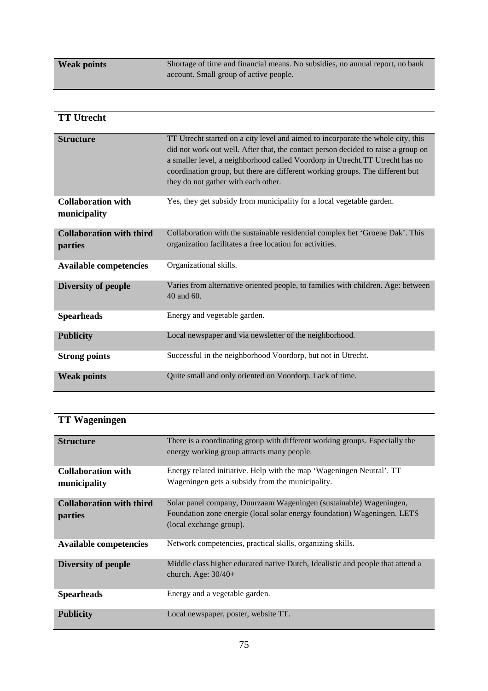**Weak points** Shortage of time and financial means. No subsidies, no annual report, no bank account. Small group of active people.

| <b>TT Utrecht</b>                          |                                                                                                                                                                                                                                                                                                                                                                               |
|--------------------------------------------|-------------------------------------------------------------------------------------------------------------------------------------------------------------------------------------------------------------------------------------------------------------------------------------------------------------------------------------------------------------------------------|
| <b>Structure</b>                           | TT Utrecht started on a city level and aimed to incorporate the whole city, this<br>did not work out well. After that, the contact person decided to raise a group on<br>a smaller level, a neighborhood called Voordorp in Utrecht.TT Utrecht has no<br>coordination group, but there are different working groups. The different but<br>they do not gather with each other. |
| <b>Collaboration with</b><br>municipality  | Yes, they get subsidy from municipality for a local vegetable garden.                                                                                                                                                                                                                                                                                                         |
| <b>Collaboration with third</b><br>parties | Collaboration with the sustainable residential complex het 'Groene Dak'. This<br>organization facilitates a free location for activities.                                                                                                                                                                                                                                     |
| <b>Available competencies</b>              | Organizational skills.                                                                                                                                                                                                                                                                                                                                                        |
| Diversity of people                        | Varies from alternative oriented people, to families with children. Age: between<br>40 and 60.                                                                                                                                                                                                                                                                                |
| <b>Spearheads</b>                          | Energy and vegetable garden.                                                                                                                                                                                                                                                                                                                                                  |
| <b>Publicity</b>                           | Local newspaper and via newsletter of the neighborhood.                                                                                                                                                                                                                                                                                                                       |
| <b>Strong points</b>                       | Successful in the neighborhood Voordorp, but not in Utrecht.                                                                                                                                                                                                                                                                                                                  |
| <b>Weak points</b>                         | Quite small and only oriented on Voordorp. Lack of time.                                                                                                                                                                                                                                                                                                                      |

## **TT Wageningen**

| <b>Structure</b>                           | There is a coordinating group with different working groups. Especially the<br>energy working group attracts many people.                                                 |
|--------------------------------------------|---------------------------------------------------------------------------------------------------------------------------------------------------------------------------|
| <b>Collaboration with</b><br>municipality  | Energy related initiative. Help with the map 'Wageningen Neutral'. TT<br>Wageningen gets a subsidy from the municipality.                                                 |
| <b>Collaboration with third</b><br>parties | Solar panel company, Duurzaam Wageningen (sustainable) Wageningen,<br>Foundation zone energie (local solar energy foundation) Wageningen. LETS<br>(local exchange group). |
| <b>Available competencies</b>              | Network competencies, practical skills, organizing skills.                                                                                                                |
| Diversity of people                        | Middle class higher educated native Dutch, Idealistic and people that attend a<br>church. Age: $30/40+$                                                                   |
| <b>Spearheads</b>                          | Energy and a vegetable garden.                                                                                                                                            |
| <b>Publicity</b>                           | Local newspaper, poster, website TT.                                                                                                                                      |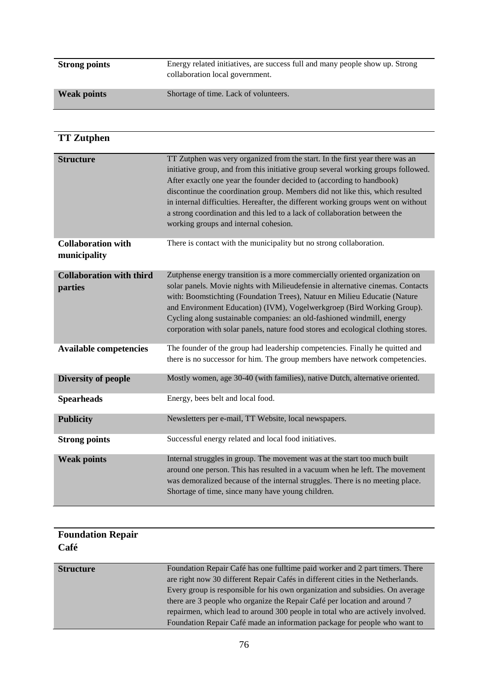| <b>Strong points</b> | Energy related initiatives, are success full and many people show up. Strong<br>collaboration local government. |
|----------------------|-----------------------------------------------------------------------------------------------------------------|
| <b>Weak points</b>   | Shortage of time. Lack of volunteers.                                                                           |

## **TT Zutphen**

| <b>Structure</b>                           | TT Zutphen was very organized from the start. In the first year there was an<br>initiative group, and from this initiative group several working groups followed.<br>After exactly one year the founder decided to (according to handbook)<br>discontinue the coordination group. Members did not like this, which resulted<br>in internal difficulties. Hereafter, the different working groups went on without<br>a strong coordination and this led to a lack of collaboration between the<br>working groups and internal cohesion. |
|--------------------------------------------|----------------------------------------------------------------------------------------------------------------------------------------------------------------------------------------------------------------------------------------------------------------------------------------------------------------------------------------------------------------------------------------------------------------------------------------------------------------------------------------------------------------------------------------|
| <b>Collaboration with</b><br>municipality  | There is contact with the municipality but no strong collaboration.                                                                                                                                                                                                                                                                                                                                                                                                                                                                    |
| <b>Collaboration with third</b><br>parties | Zutphense energy transition is a more commercially oriented organization on<br>solar panels. Movie nights with Milieudefensie in alternative cinemas. Contacts<br>with: Boomstichting (Foundation Trees), Natuur en Milieu Educatie (Nature<br>and Environment Education) (IVM), Vogelwerkgroep (Bird Working Group).<br>Cycling along sustainable companies: an old-fashioned windmill, energy<br>corporation with solar panels, nature food stores and ecological clothing stores.                                                   |
| <b>Available competencies</b>              | The founder of the group had leadership competencies. Finally he quitted and<br>there is no successor for him. The group members have network competencies.                                                                                                                                                                                                                                                                                                                                                                            |
| Diversity of people                        | Mostly women, age 30-40 (with families), native Dutch, alternative oriented.                                                                                                                                                                                                                                                                                                                                                                                                                                                           |
| <b>Spearheads</b>                          | Energy, bees belt and local food.                                                                                                                                                                                                                                                                                                                                                                                                                                                                                                      |
| <b>Publicity</b>                           | Newsletters per e-mail, TT Website, local newspapers.                                                                                                                                                                                                                                                                                                                                                                                                                                                                                  |
| <b>Strong points</b>                       | Successful energy related and local food initiatives.                                                                                                                                                                                                                                                                                                                                                                                                                                                                                  |
| <b>Weak points</b>                         | Internal struggles in group. The movement was at the start too much built<br>around one person. This has resulted in a vacuum when he left. The movement<br>was demoralized because of the internal struggles. There is no meeting place.<br>Shortage of time, since many have young children.                                                                                                                                                                                                                                         |

| <b>Foundation Repair</b><br>Café |                                                                                                                                                                 |
|----------------------------------|-----------------------------------------------------------------------------------------------------------------------------------------------------------------|
| <b>Structure</b>                 | Foundation Repair Café has one fulltime paid worker and 2 part timers. There<br>are right now 30 different Repair Cafés in different cities in the Netherlands. |
|                                  | Every group is responsible for his own organization and subsidies. On average                                                                                   |
|                                  | there are 3 people who organize the Repair Café per location and around 7                                                                                       |
|                                  | repairmen, which lead to around 300 people in total who are actively involved.                                                                                  |
|                                  | Foundation Repair Café made an information package for people who want to                                                                                       |